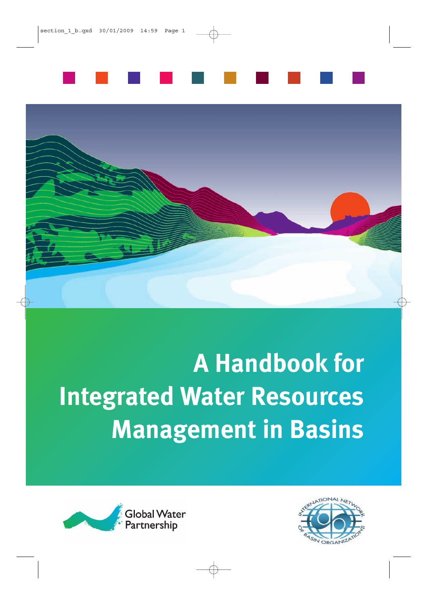



# **A Handbook for Integrated Water Resources Management in Basins**



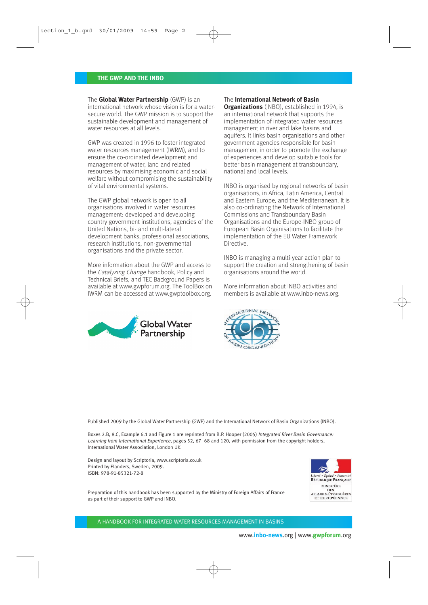#### **THE GWP AND THE INBO**

The **Global Water Partnership** (GWP) is an international network whose vision is for a watersecure world. The GWP mission is to support the sustainable development and management of water resources at all levels.

GWP was created in 1996 to foster integrated water resources management (IWRM), and to ensure the co-ordinated development and management of water, land and related resources by maximising economic and social welfare without compromising the sustainability of vital environmental systems.

The GWP global network is open to all organisations involved in water resources management: developed and developing country government institutions, agencies of the United Nations, bi- and multi-lateral development banks, professional associations, research institutions, non-governmental organisations and the private sector.

More information about the GWP and access to the Catalyzing Change handbook, Policy and Technical Briefs, and TEC Background Papers is available at www.gwpforum.org. The ToolBox on IWRM can be accessed at www.gwptoolbox.org.



#### The **International Network of Basin**

**Organizations** (INBO), established in 1994, is an international network that supports the implementation of integrated water resources management in river and lake basins and aquifers. It links basin organisations and other government agencies responsible for basin management in order to promote the exchange of experiences and develop suitable tools for better basin management at transboundary, national and local levels.

INBO is organised by regional networks of basin organisations, in Africa, Latin America, Central and Eastern Europe, and the Mediterranean. It is also co-ordinating the Network of International Commissions and Transboundary Basin Organisations and the Europe-INBO group of European Basin Organisations to facilitate the implementation of the EU Water Framework Directive.

INBO is managing a multi-year action plan to support the creation and strengthening of basin organisations around the world.

More information about INBO activities and members is available at www.inbo-news.org.



Published 2009 by the Global Water Partnership (GWP) and the International Network of Basin Organizations (INBO).

Boxes 2.B, 8.C, Example 6.1 and Figure 1 are reprinted from B.P. Hooper (2005) Integrated River Basin Governance: Learning from International Experience, pages 52, 67–68 and 120, with permission from the copyright holders, International Water Association, London UK.

Design and layout by Scriptoria, www.scriptoria.co.uk Printed by Elanders, Sweden, 2009. ISBN: 978-91-85321-72-8



Preparation of this handbook has been supported by the Ministry of Foreign Affairs of France as part of their support to GWP and INBO.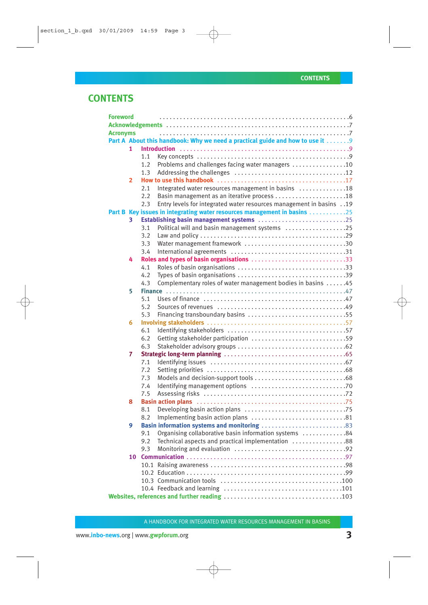## **CONTENTS**

| <b>Foreword</b> |                |     |                                                                               |  |
|-----------------|----------------|-----|-------------------------------------------------------------------------------|--|
|                 |                |     |                                                                               |  |
| <b>Acronyms</b> |                |     |                                                                               |  |
|                 |                |     | Part A About this handbook: Why we need a practical guide and how to use it 9 |  |
|                 | 1.             |     |                                                                               |  |
|                 |                | 1.1 |                                                                               |  |
|                 |                | 1.2 | Problems and challenges facing water managers 10                              |  |
|                 |                | 1.3 |                                                                               |  |
|                 | $\overline{2}$ |     |                                                                               |  |
|                 |                | 2.1 | Integrated water resources management in basins 18                            |  |
|                 |                | 2.2 | Basin management as an iterative process 18                                   |  |
|                 |                | 2.3 | Entry levels for integrated water resources management in basins 19           |  |
|                 |                |     | Part B Key issues in integrating water resources management in basins 25      |  |
|                 | 3              |     | Establishing basin management systems 25                                      |  |
|                 |                | 3.1 | Political will and basin management systems 25                                |  |
|                 |                | 3.2 |                                                                               |  |
|                 |                | 3.3 | Water management framework 30                                                 |  |
|                 |                | 3.4 |                                                                               |  |
|                 | 4              |     | Roles and types of basin organisations 33                                     |  |
|                 |                | 4.1 |                                                                               |  |
|                 |                | 4.2 |                                                                               |  |
|                 |                | 4.3 | Complementary roles of water management bodies in basins 45                   |  |
|                 | 5              |     |                                                                               |  |
|                 |                | 5.1 |                                                                               |  |
|                 |                | 5.2 |                                                                               |  |
|                 |                | 5.3 |                                                                               |  |
|                 | 6              |     |                                                                               |  |
|                 |                | 6.1 |                                                                               |  |
|                 |                | 6.2 |                                                                               |  |
|                 |                | 6.3 |                                                                               |  |
|                 | 7              |     |                                                                               |  |
|                 |                | 7.1 |                                                                               |  |
|                 |                | 7.2 |                                                                               |  |
|                 |                | 7.3 |                                                                               |  |
|                 |                | 7.4 |                                                                               |  |
|                 |                | 7.5 |                                                                               |  |
|                 | 8              |     |                                                                               |  |
|                 |                | 8.1 |                                                                               |  |
|                 |                | 8.2 |                                                                               |  |
|                 | 9              |     |                                                                               |  |
|                 |                | 9.1 | Organising collaborative basin information systems 84                         |  |
|                 |                | 9.2 | Technical aspects and practical implementation 88                             |  |
|                 |                | 9.3 |                                                                               |  |
|                 | 10             |     |                                                                               |  |
|                 |                |     |                                                                               |  |
|                 |                |     |                                                                               |  |
|                 |                |     |                                                                               |  |
|                 |                |     |                                                                               |  |
|                 |                |     |                                                                               |  |
|                 |                |     |                                                                               |  |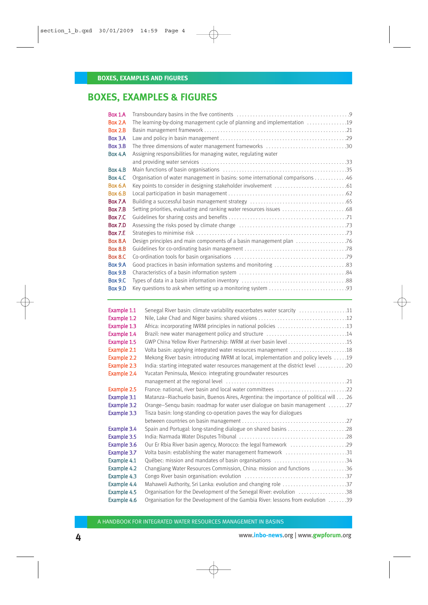## **BOXES, EXAMPLES & FIGURES**

| <b>Box 1.A</b> |                                                                               |  |
|----------------|-------------------------------------------------------------------------------|--|
| Box 2.A        | The learning-by-doing management cycle of planning and implementation 19      |  |
| Box 2.B        |                                                                               |  |
| Box 3.A        |                                                                               |  |
| Box 3.B        | The three dimensions of water management frameworks 30                        |  |
| Box 4.A        | Assigning responsibilities for managing water, regulating water               |  |
|                |                                                                               |  |
| <b>Box 4.B</b> |                                                                               |  |
| <b>Box 4.C</b> | Organisation of water management in basins: some international comparisons 46 |  |
| <b>Box 6.A</b> |                                                                               |  |
| <b>Box 6.B</b> |                                                                               |  |
| Box 7.A        |                                                                               |  |
| Box 7.B        | Setting priorities, evaluating and ranking water resources issues 68          |  |
| <b>Box 7.C</b> |                                                                               |  |
| Box 7.D        |                                                                               |  |
| <b>Box 7.E</b> |                                                                               |  |
| Box 8.A        |                                                                               |  |
| Box 8.B        |                                                                               |  |
| <b>Box 8.C</b> |                                                                               |  |
| Box 9.A        |                                                                               |  |
| <b>Box 9.B</b> |                                                                               |  |
| <b>Box 9.C</b> |                                                                               |  |
| <b>Box 9.D</b> |                                                                               |  |
|                |                                                                               |  |

| Example 1.1 | Senegal River basin: climate variability exacerbates water scarcity 11                |
|-------------|---------------------------------------------------------------------------------------|
| Example 1.2 |                                                                                       |
| Example 1.3 | Africa: incorporating IWRM principles in national policies 13                         |
| Example 1.4 | Brazil: new water management policy and structure 14                                  |
| Example 1.5 |                                                                                       |
| Example 2.1 |                                                                                       |
| Example 2.2 | Mekong River basin: introducing IWRM at local, implementation and policy levels 19    |
| Example 2.3 | 12020 India: starting integrated water resources management at the district level     |
| Example 2.4 | Yucatan Peninsula, Mexico: integrating groundwater resources                          |
|             |                                                                                       |
| Example 2.5 |                                                                                       |
| Example 3.1 | Matanza-Riachuelo basin, Buenos Aires, Argentina: the importance of political will 26 |
| Example 3.2 | Orange-Sengu basin: roadmap for water user dialogue on basin management 27            |
| Example 3.3 | Tisza basin: long-standing co-operation paves the way for dialogues                   |
|             |                                                                                       |
| Example 3.4 | Spain and Portugal: long-standing dialogue on shared basins 28                        |
| Example 3.5 |                                                                                       |
| Example 3.6 | Our Er Rbia River basin agency, Morocco: the legal framework 29                       |
| Example 3.7 | Volta basin: establishing the water management framework 31                           |
| Example 4.1 | Québec: mission and mandates of basin organisations 34                                |
| Example 4.2 | Changjiang Water Resources Commission, China: mission and functions 36                |
| Example 4.3 |                                                                                       |
| Example 4.4 |                                                                                       |
| Example 4.5 | Organisation for the Development of the Senegal River: evolution 38                   |
| Example 4.6 | Organisation for the Development of the Gambia River: lessons from evolution 39       |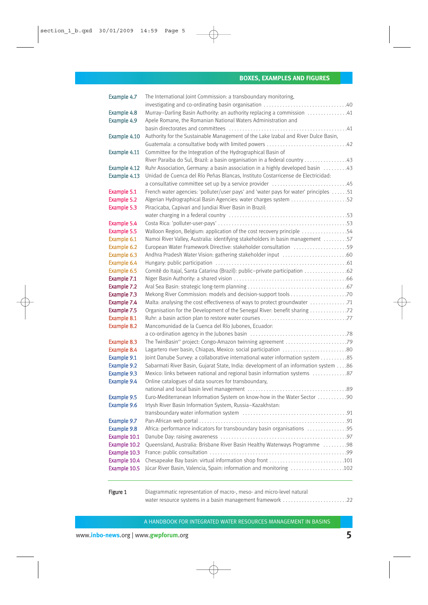#### **BOXES, EXAMPLES AND FIGURES**

| Example 4.7                | The International Joint Commission: a transboundary monitoring,                                                                  |  |
|----------------------------|----------------------------------------------------------------------------------------------------------------------------------|--|
|                            |                                                                                                                                  |  |
| Example 4.8                | Murray-Darling Basin Authority: an authority replacing a commission 41                                                           |  |
| Example 4.9                | Apele Romane, the Romanian National Waters Administration and                                                                    |  |
|                            |                                                                                                                                  |  |
| Example 4.10               | Authority for the Sustainable Management of the Lake Izabal and River Dulce Basin,                                               |  |
|                            |                                                                                                                                  |  |
| Example 4.11               | Committee for the Integration of the Hydrographical Basin of                                                                     |  |
|                            |                                                                                                                                  |  |
| Example 4.12               | Ruhr Association, Germany: a basin association in a highly developed basin 43                                                    |  |
| Example 4.13               | Unidad de Cuenca del Río Peñas Blancas, Instituto Costarricense de Electricidad:                                                 |  |
|                            |                                                                                                                                  |  |
| Example 5.1                | French water agencies: 'polluter/user pays' and 'water pays for water' principles 51                                             |  |
| Example 5.2                | Algerian Hydrographical Basin Agencies: water charges system 52                                                                  |  |
| Example 5.3                | Piracicaba, Capivari and Jundiai River Basin in Brazil:                                                                          |  |
|                            |                                                                                                                                  |  |
| Example 5.4                |                                                                                                                                  |  |
| Example 5.5                | Walloon Region, Belgium: application of the cost recovery principle 54                                                           |  |
| Example 6.1                | Namoi River Valley, Australia: identifying stakeholders in basin management 57                                                   |  |
| Example 6.2                | European Water Framework Directive: stakeholder consultation 59                                                                  |  |
| Example 6.3                | Andhra Pradesh Water Vision: gathering stakeholder input 60                                                                      |  |
| Example 6.4                |                                                                                                                                  |  |
| Example 6.5                | Comitê do Itajaí, Santa Catarina (Brazil): public-private participation 62                                                       |  |
| Example 7.1                |                                                                                                                                  |  |
| Example 7.2                |                                                                                                                                  |  |
| Example 7.3                |                                                                                                                                  |  |
| Example 7.4                | Malta: analysing the cost effectiveness of ways to protect groundwater 71                                                        |  |
| Example 7.5                | Organisation for the Development of the Senegal River: benefit sharing 72                                                        |  |
| Example 8.1                |                                                                                                                                  |  |
| Example 8.2                | Mancomunidad de la Cuenca del Río Jubones, Ecuador:                                                                              |  |
|                            |                                                                                                                                  |  |
| Example 8.3                | The TwinBasin <sup>xn</sup> project: Congo-Amazon twinning agreement 79                                                          |  |
| Example 8.4                | Lagartero river basin, Chiapas, Mexico: social participation 80                                                                  |  |
| Example 9.1                | Joint Danube Survey: a collaborative international water information system 85                                                   |  |
| Example 9.2                | Sabarmati River Basin, Gujarat State, India: development of an information system 86                                             |  |
| Example 9.3<br>Example 9.4 | Mexico: links between national and regional basin information systems 87<br>Online catalogues of data sources for transboundary, |  |
|                            |                                                                                                                                  |  |
| Example 9.5                | Euro-Mediterranean Information System on know-how in the Water Sector 90                                                         |  |
| Example 9.6                | Irtysh River Basin Information System, Russia-Kazakhstan:                                                                        |  |
|                            |                                                                                                                                  |  |
| Example 9.7                |                                                                                                                                  |  |
| Example 9.8                | Africa: performance indicators for transboundary basin organisations 95                                                          |  |
| Example 10.1               |                                                                                                                                  |  |
| Example 10.2               | Queensland, Australia: Brisbane River Basin Healthy Waterways Programme  98                                                      |  |
| Example 10.3               |                                                                                                                                  |  |
| Example 10.4               | Chesapeake Bay basin: virtual information shop front 101                                                                         |  |
| Example 10.5               | Júcar River Basin, Valencia, Spain: information and monitoring 102                                                               |  |
|                            |                                                                                                                                  |  |
|                            |                                                                                                                                  |  |

Figure 1 Diagrammatic representation of macro-, meso- and micro-level natural water resource systems in a basin management framework . . . . . . . . . . . . . . . . . . . . . . . .22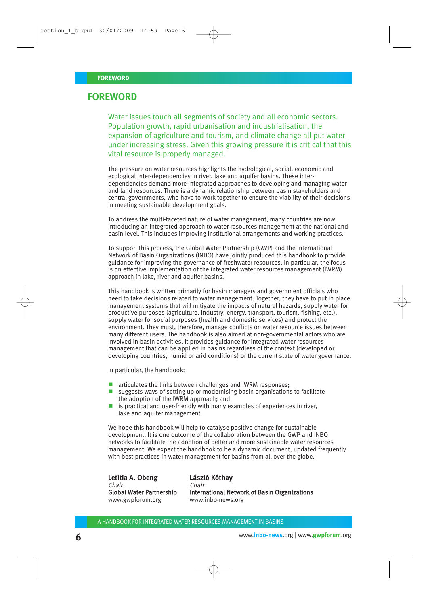#### **FOREWORD**

Water issues touch all segments of society and all economic sectors. Population growth, rapid urbanisation and industrialisation, the expansion of agriculture and tourism, and climate change all put water under increasing stress. Given this growing pressure it is critical that this vital resource is properly managed.

The pressure on water resources highlights the hydrological, social, economic and ecological inter-dependencies in river, lake and aquifer basins. These interdependencies demand more integrated approaches to developing and managing water and land resources. There is a dynamic relationship between basin stakeholders and central governments, who have to work together to ensure the viability of their decisions in meeting sustainable development goals.

To address the multi-faceted nature of water management, many countries are now introducing an integrated approach to water resources management at the national and basin level. This includes improving institutional arrangements and working practices.

To support this process, the Global Water Partnership (GWP) and the International Network of Basin Organizations (INBO) have jointly produced this handbook to provide guidance for improving the governance of freshwater resources. In particular, the focus is on effective implementation of the integrated water resources management (IWRM) approach in lake, river and aquifer basins.

This handbook is written primarily for basin managers and government officials who need to take decisions related to water management. Together, they have to put in place management systems that will mitigate the impacts of natural hazards, supply water for productive purposes (agriculture, industry, energy, transport, tourism, fishing, etc.), supply water for social purposes (health and domestic services) and protect the environment. They must, therefore, manage conflicts on water resource issues between many different users. The handbook is also aimed at non-governmental actors who are involved in basin activities. It provides guidance for integrated water resources management that can be applied in basins regardless of the context (developed or developing countries, humid or arid conditions) or the current state of water governance.

In particular, the handbook:

- **T** articulates the links between challenges and IWRM responses;
- $\blacksquare$  suggests ways of setting up or modernising basin organisations to facilitate the adoption of the IWRM approach; and
- $\blacksquare$  is practical and user-friendly with many examples of experiences in river, lake and aquifer management.

We hope this handbook will help to catalyse positive change for sustainable development. It is one outcome of the collaboration between the GWP and INBO networks to facilitate the adoption of better and more sustainable water resources management. We expect the handbook to be a dynamic document, updated frequently with best practices in water management for basins from all over the globe.

| Letitia A. Obeng                |
|---------------------------------|
| Chair                           |
| <b>Global Water Partnership</b> |
| www.gwpforum.org                |

#### **László Kóthay**

International Network of Basin Organizations www.inbo-news.org

Chair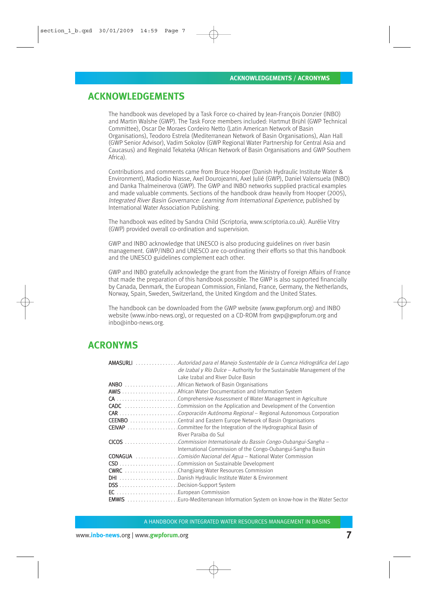### **ACKNOWLEDGEMENTS**

The handbook was developed by a Task Force co-chaired by Jean-François Donzier (INBO) and Martin Walshe (GWP). The Task Force members included: Hartmut Brühl (GWP Technical Committee), Oscar De Moraes Cordeiro Netto (Latin American Network of Basin Organisations), Teodoro Estrela (Mediterranean Network of Basin Organisations), Alan Hall (GWP Senior Advisor), Vadim Sokolov (GWP Regional Water Partnership for Central Asia and Caucasus) and Reginald Tekateka (African Network of Basin Organisations and GWP Southern Africa).

Contributions and comments came from Bruce Hooper (Danish Hydraulic Institute Water & Environment), Madiodio Niasse, Axel Dourojeanni, Axel Julié (GWP), Daniel Valensuela (INBO) and Danka Thalmeinerova (GWP). The GWP and INBO networks supplied practical examples and made valuable comments. Sections of the handbook draw heavily from Hooper (2005), Integrated River Basin Governance: Learning from International Experience, published by International Water Association Publishing.

The handbook was edited by Sandra Child (Scriptoria, www.scriptoria.co.uk). Aurélie Vitry (GWP) provided overall co-ordination and supervision.

GWP and INBO acknowledge that UNESCO is also producing guidelines on river basin management. GWP/INBO and UNESCO are co-ordinating their efforts so that this handbook and the UNESCO guidelines complement each other.

GWP and INBO gratefully acknowledge the grant from the Ministry of Foreign Affairs of France that made the preparation of this handbook possible. The GWP is also supported financially by Canada, Denmark, the European Commission, Finland, France, Germany, the Netherlands, Norway, Spain, Sweden, Switzerland, the United Kingdom and the United States.

The handbook can be downloaded from the GWP website (www.gwpforum.org) and INBO website (www.inbo-news.org), or requested on a CD-ROM from gwp@gwpforum.org and inbo@inbo-news.org.

## **ACRONYMS**

| <b>AMASURLI</b> Autoridad para el Manejo Sustentable de la Cuenca Hidrográfica del Lago |
|-----------------------------------------------------------------------------------------|
| de Izabal y Río Dulce – Authority for the Sustainable Management of the                 |
| Lake Izabal and River Dulce Basin                                                       |
|                                                                                         |
|                                                                                         |
|                                                                                         |
| <b>CADC</b> Commission on the Application and Development of the Convention             |
| CAR Corporación Autónoma Regional - Regional Autonomous Corporation                     |
| <b>CEENBO</b> Central and Eastern Europe Network of Basin Organisations                 |
|                                                                                         |
| River Paraiba do Sul                                                                    |
|                                                                                         |
| International Commission of the Congo-Oubangui-Sangha Basin                             |
|                                                                                         |
|                                                                                         |
| <b>CWRC</b> Changjiang Water Resources Commission                                       |
| DHI Danish Hydraulic Institute Water & Environment                                      |
|                                                                                         |
|                                                                                         |
| <b>EMWIS</b> Euro-Mediterranean Information System on know-how in the Water Sector      |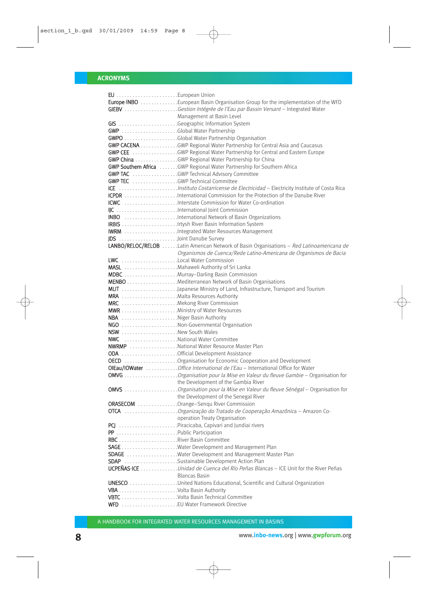|                                        | Europe-INBO European Basin Organisation Group for the implementation of the WFD          |
|----------------------------------------|------------------------------------------------------------------------------------------|
|                                        | GIEBV Gestion Intégrée de l'Eau par Bassin Versant - Integrated Water                    |
|                                        | Management at Basin Level                                                                |
|                                        | GIS Geographic Information System                                                        |
|                                        |                                                                                          |
|                                        |                                                                                          |
|                                        | <b>GWP CACENA</b> GWP Regional Water Partnership for Central Asia and Caucasus           |
|                                        | <b>GWP CEE</b> GWP Regional Water Partnership for Central and Eastern Europe             |
|                                        | GWP China GWP Regional Water Partnership for China                                       |
|                                        | GWP Southern Africa GWP Regional Water Partnership for Southern Africa                   |
|                                        | <b>GWP TAC</b> GWP Technical Advisory Committee                                          |
| <b>GWP TEC</b> GWP Technical Committee |                                                                                          |
|                                        |                                                                                          |
|                                        |                                                                                          |
|                                        | ICWC Interstate Commission for Water Co-ordination                                       |
|                                        | IJC International Joint Commission                                                       |
|                                        | <b>INBO</b> International Network of Basin Organizations                                 |
|                                        |                                                                                          |
|                                        | <b>IWRM</b> Integrated Water Resources Management                                        |
| JDS Joint Danube Survey                |                                                                                          |
|                                        | LANBO/RELOC/RELOB Latin American Network of Basin Organisations - Red Latinoamericana de |
|                                        | Organismos de Cuenca/Rede Latino-Americana de Organismos de Bacia                        |
| LWC Local Water Commission             |                                                                                          |
|                                        |                                                                                          |
|                                        | MDBC Murray-Darling Basin Commission                                                     |
|                                        |                                                                                          |
|                                        |                                                                                          |
| MRA  Malta Resources Authority         |                                                                                          |
| MRC Mekong River Commission            |                                                                                          |
|                                        |                                                                                          |
| NBA Niger Basin Authority              |                                                                                          |
|                                        | NGO Non-Governmental Organisation                                                        |
| NSW New South Wales                    |                                                                                          |
| NWC National Water Committee           |                                                                                          |
|                                        | <b>NWRMP</b> National Water Resource Master Plan                                         |
|                                        | ODA Official Development Assistance                                                      |
|                                        | <b>OECD</b> Organisation for Economic Cooperation and Development                        |
|                                        | OlEau/IOWater Office International de l'Eau - International Office for Water             |
|                                        | OMVG Organisation pour la Mise en Valeur du fleuve Gambie - Organisation for             |
|                                        |                                                                                          |
|                                        |                                                                                          |
|                                        | the Development of the Senegal River                                                     |
|                                        | ORASECOM Orange-Senqu River Commission                                                   |
|                                        | OTCA Organização do Tratado de Cooperação Amazônica - Amazon Co-                         |
|                                        | operation Treaty Organisation                                                            |
|                                        | PCJ Piracicaba, Capivari and Jundiai rivers                                              |
| PP Public Participation                |                                                                                          |
|                                        |                                                                                          |
|                                        |                                                                                          |
|                                        | SDAGE Water Development and Management Master Plan                                       |
|                                        | SDAP Sustainable Development Action Plan                                                 |
|                                        | UCPEÑAS-ICE Unidad de Cuenca del Río Peñas Blancas - ICE Unit for the River Peñas        |
|                                        | <b>Blancas Basin</b>                                                                     |
|                                        | <b>UNESCO</b> United Nations Educational, Scientific and Cultural Organization           |
|                                        |                                                                                          |
|                                        |                                                                                          |
|                                        |                                                                                          |
|                                        |                                                                                          |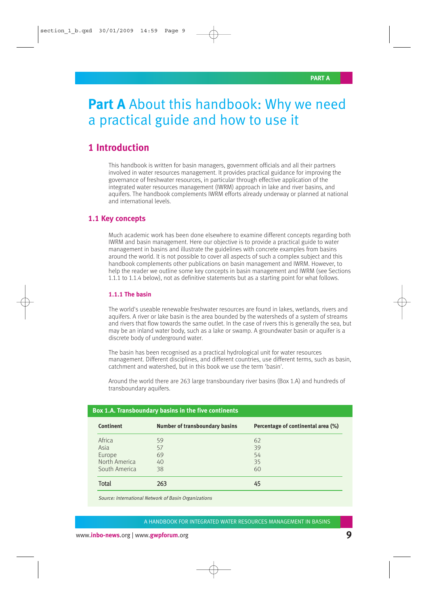## **Part A** About this handbook: Why we need a practical guide and how to use it

## **1 Introduction**

This handbook is written for basin managers, government officials and all their partners involved in water resources management. It provides practical guidance for improving the governance of freshwater resources, in particular through effective application of the integrated water resources management (IWRM) approach in lake and river basins, and aquifers. The handbook complements IWRM efforts already underway or planned at national and international levels.

#### **1.1 Key concepts**

Much academic work has been done elsewhere to examine different concepts regarding both IWRM and basin management. Here our objective is to provide a practical guide to water management in basins and illustrate the guidelines with concrete examples from basins around the world. It is not possible to cover all aspects of such a complex subject and this handbook complements other publications on basin management and IWRM. However, to help the reader we outline some key concepts in basin management and IWRM (see Sections 1.1.1 to 1.1.4 below), not as definitive statements but as a starting point for what follows.

#### **1.1.1 The basin**

The world's useable renewable freshwater resources are found in lakes, wetlands, rivers and aquifers. A river or lake basin is the area bounded by the watersheds of a system of streams and rivers that flow towards the same outlet. In the case of rivers this is generally the sea, but may be an inland water body, such as a lake or swamp. A groundwater basin or aquifer is a discrete body of underground water.

The basin has been recognised as a practical hydrological unit for water resources management. Different disciplines, and different countries, use different terms, such as basin, catchment and watershed, but in this book we use the term 'basin'.

Around the world there are 263 large transboundary river basins (Box 1.A) and hundreds of transboundary aquifers.

| <b>Continent</b> | <b>Number of transboundary basins</b> | Percentage of continental area (%) |
|------------------|---------------------------------------|------------------------------------|
| Africa           | 59                                    | 62                                 |
| Asia             | 57                                    | 39                                 |
| Europe           | 69                                    | 54                                 |
| North America    | 40                                    | 35                                 |
| South America    | 38                                    | 60                                 |
| Total            | 263                                   | 45                                 |

#### **Box 1.A. Transboundary basins in the five continents**

Source: International Network of Basin Organizations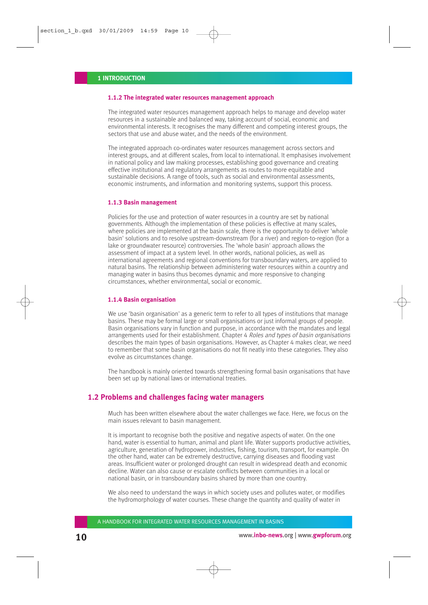#### **1.1.2 The integrated water resources management approach**

The integrated water resources management approach helps to manage and develop water resources in a sustainable and balanced way, taking account of social, economic and environmental interests. It recognises the many different and competing interest groups, the sectors that use and abuse water, and the needs of the environment.

The integrated approach co-ordinates water resources management across sectors and interest groups, and at different scales, from local to international. It emphasises involvement in national policy and law making processes, establishing good governance and creating effective institutional and regulatory arrangements as routes to more equitable and sustainable decisions. A range of tools, such as social and environmental assessments, economic instruments, and information and monitoring systems, support this process.

#### **1.1.3 Basin management**

Policies for the use and protection of water resources in a country are set by national governments. Although the implementation of these policies is effective at many scales, where policies are implemented at the basin scale, there is the opportunity to deliver 'whole basin' solutions and to resolve upstream-downstream (for a river) and region-to-region (for a lake or groundwater resource) controversies. The 'whole basin' approach allows the assessment of impact at a system level. In other words, national policies, as well as international agreements and regional conventions for transboundary waters, are applied to natural basins. The relationship between administering water resources within a country and managing water in basins thus becomes dynamic and more responsive to changing circumstances, whether environmental, social or economic.

#### **1.1.4 Basin organisation**

We use 'basin organisation' as a generic term to refer to all types of institutions that manage basins. These may be formal large or small organisations or just informal groups of people. Basin organisations vary in function and purpose, in accordance with the mandates and legal arrangements used for their establishment. Chapter 4 Roles and types of basin organisations describes the main types of basin organisations. However, as Chapter 4 makes clear, we need to remember that some basin organisations do not fit neatly into these categories. They also evolve as circumstances change.

The handbook is mainly oriented towards strengthening formal basin organisations that have been set up by national laws or international treaties.

#### **1.2 Problems and challenges facing water managers**

Much has been written elsewhere about the water challenges we face. Here, we focus on the main issues relevant to basin management.

It is important to recognise both the positive and negative aspects of water. On the one hand, water is essential to human, animal and plant life. Water supports productive activities, agriculture, generation of hydropower, industries, fishing, tourism, transport, for example. On the other hand, water can be extremely destructive, carrying diseases and flooding vast areas. Insufficient water or prolonged drought can result in widespread death and economic decline. Water can also cause or escalate conflicts between communities in a local or national basin, or in transboundary basins shared by more than one country.

We also need to understand the ways in which society uses and pollutes water, or modifies the hydromorphology of water courses. These change the quantity and quality of water in

A HANDBOOK FOR INTEGRATED WATER RESOURCES MANAGEMENT IN BASINS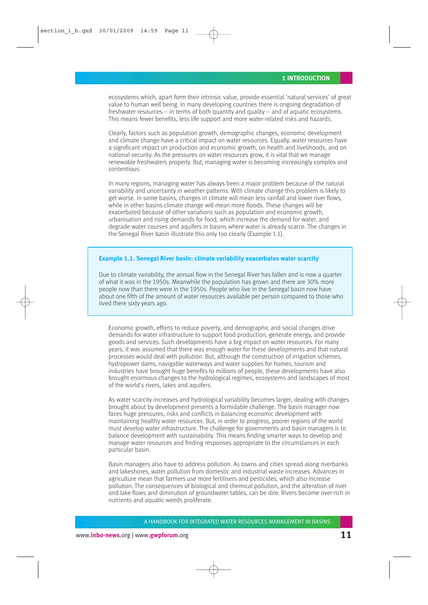ecosystems which, apart form their intrinsic value, provide essential 'natural services' of great value to human well being. In many developing countries there is ongoing degradation of freshwater resources – in terms of both quantity and quality – and of aquatic ecosystems. This means fewer benefits, less life support and more water-related risks and hazards.

Clearly, factors such as population growth, demographic changes, economic development and climate change have a critical impact on water resources. Equally, water resources have a significant impact on production and economic growth, on health and livelihoods, and on national security. As the pressures on water resources grow, it is vital that we manage renewable freshwaters properly. But, managing water is becoming increasingly complex and contentious.

In many regions, managing water has always been a major problem because of the natural variability and uncertainty in weather patterns. With climate change this problem is likely to get worse. In some basins, changes in climate will mean less rainfall and lower river flows, while in other basins climate change will mean more floods. These changes will be exacerbated because of other variations such as population and economic growth, urbanisation and rising demands for food, which increase the demand for water, and degrade water courses and aquifers in basins where water is already scarce. The changes in the Senegal River basin illustrate this only too clearly (Example 1.1).

#### **Example 1.1. Senegal River basin: climate variability exacerbates water scarcity**

Due to climate variability, the annual flow in the Senegal River has fallen and is now a quarter of what it was in the 1950s. Meanwhile the population has grown and there are 30% more people now than there were in the 1950s. People who live in the Senegal basin now have about one fifth of the amount of water resources available per person compared to those who lived there sixty years ago.

Economic growth, efforts to reduce poverty, and demographic and social changes drive demands for water infrastructure to support food production, generate energy, and provide goods and services. Such developments have a big impact on water resources. For many years, it was assumed that there was enough water for these developments and that natural processes would deal with pollution. But, although the construction of irrigation schemes, hydropower dams, navigable waterways and water supplies for homes, tourism and industries have brought huge benefits to millions of people, these developments have also brought enormous changes to the hydrological regimes, ecosystems and landscapes of most of the world's rivers, lakes and aquifers.

As water scarcity increases and hydrological variability becomes larger, dealing with changes brought about by development presents a formidable challenge. The basin manager now faces huge pressures, risks and conflicts in balancing economic development with maintaining healthy water resources. But, in order to progress, poorer regions of the world must develop water infrastructure. The challenge for governments and basin managers is to balance development with sustainability. This means finding smarter ways to develop and manage water resources and finding responses appropriate to the circumstances in each particular basin.

Basin managers also have to address pollution. As towns and cities spread along riverbanks and lakeshores, water pollution from domestic and industrial waste increases. Advances in agriculture mean that farmers use more fertilisers and pesticides, which also increase pollution. The consequences of biological and chemical pollution, and the alteration of river and lake flows and diminution of groundwater tables, can be dire. Rivers become over-rich in nutrients and aquatic weeds proliferate.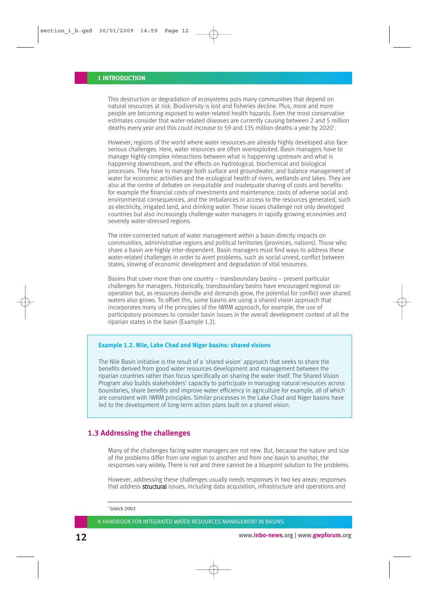This destruction or degradation of ecosystems puts many communities that depend on natural resources at risk. Biodiversity is lost and fisheries decline. Plus, more and more people are becoming exposed to water-related health hazards. Even the most conservative estimates consider that water-related diseases are currently causing between 2 and 5 million deaths every year and this could increase to 59 and 135 million deaths a year by 2020 $^{\rm 1}$ .

However, regions of the world where water resources are already highly developed also face serious challenges. Here, water resources are often overexploited. Basin managers have to manage highly complex interactions between what is happening upstream and what is happening downstream, and the effects on hydrological, biochemical and biological processes. They have to manage both surface and groundwater, and balance management of water for economic activities and the ecological health of rivers, wetlands and lakes. They are also at the centre of debates on inequitable and inadequate sharing of costs and benefits: for example the financial costs of investments and maintenance, costs of adverse social and environmental consequences, and the imbalances in access to the resources generated, such as electricity, irrigated land, and drinking water. These issues challenge not only developed countries but also increasingly challenge water managers in rapidly growing economies and severely water-stressed regions.

The inter-connected nature of water management within a basin directly impacts on communities, administrative regions and political territories (provinces, nations). Those who share a basin are highly inter-dependent. Basin managers must find ways to address these water-related challenges in order to avert problems, such as social unrest, conflict between states, slowing of economic development and degradation of vital resources.

Basins that cover more than one country – transboundary basins – present particular challenges for managers. Historically, transboundary basins have encouraged regional cooperation but, as resources dwindle and demands grow, the potential for conflict over shared waters also grows. To offset this, some basins are using a shared vision approach that incorporates many of the principles of the IWRM approach, for example, the use of participatory processes to consider basin issues in the overall development context of all the riparian states in the basin (Example 1.2).

#### **Example 1.2. Nile, Lake Chad and Niger basins: shared visions**

The Nile Basin Initiative is the result of a 'shared vision' approach that seeks to share the benefits derived from good water resources development and management between the riparian countries rather than focus specifically on sharing the water itself. The Shared Vision Program also builds stakeholders' capacity to participate in managing natural resources across boundaries, share benefits and improve water efficiency in agriculture for example, all of which are consistent with IWRM principles. Similar processes in the Lake Chad and Niger basins have led to the development of long-term action plans built on a shared vision.

#### **1.3 Addressing the challenges**

Many of the challenges facing water managers are not new. But, because the nature and size of the problems differ from one region to another and from one basin to another, the responses vary widely. There is not and there cannot be a blueprint solution to the problems.

However, addressing these challenges usually needs responses in two key areas: responses that address **structural** issues, including data acquisition, infrastructure and operations and

 $1$ Gleick 2002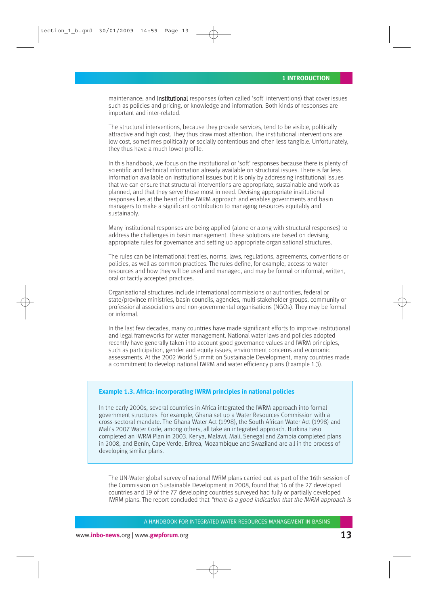maintenance; and **institutional** responses (often called 'soft' interventions) that cover issues such as policies and pricing, or knowledge and information. Both kinds of responses are important and inter-related.

The structural interventions, because they provide services, tend to be visible, politically attractive and high cost. They thus draw most attention. The institutional interventions are low cost, sometimes politically or socially contentious and often less tangible. Unfortunately, they thus have a much lower profile.

In this handbook, we focus on the institutional or 'soft' responses because there is plenty of scientific and technical information already available on structural issues. There is far less information available on institutional issues but it is only by addressing institutional issues that we can ensure that structural interventions are appropriate, sustainable and work as planned, and that they serve those most in need. Devising appropriate institutional responses lies at the heart of the IWRM approach and enables governments and basin managers to make a significant contribution to managing resources equitably and sustainably.

Many institutional responses are being applied (alone or along with structural responses) to address the challenges in basin management. These solutions are based on devising appropriate rules for governance and setting up appropriate organisational structures.

The rules can be international treaties, norms, laws, regulations, agreements, conventions or policies, as well as common practices. The rules define, for example, access to water resources and how they will be used and managed, and may be formal or informal, written, oral or tacitly accepted practices.

Organisational structures include international commissions or authorities, federal or state/province ministries, basin councils, agencies, multi-stakeholder groups, community or professional associations and non-governmental organisations (NGOs). They may be formal or informal.

In the last few decades, many countries have made significant efforts to improve institutional and legal frameworks for water management. National water laws and policies adopted recently have generally taken into account good governance values and IWRM principles, such as participation, gender and equity issues, environment concerns and economic assessments. At the 2002 World Summit on Sustainable Development, many countries made a commitment to develop national IWRM and water efficiency plans (Example 1.3).

#### **Example 1.3. Africa: incorporating IWRM principles in national policies**

In the early 2000s, several countries in Africa integrated the IWRM approach into formal government structures. For example, Ghana set up a Water Resources Commission with a cross-sectoral mandate. The Ghana Water Act (1998), the South African Water Act (1998) and Mali's 2007 Water Code, among others, all take an integrated approach. Burkina Faso completed an IWRM Plan in 2003. Kenya, Malawi, Mali, Senegal and Zambia completed plans in 2008, and Benin, Cape Verde, Eritrea, Mozambique and Swaziland are all in the process of developing similar plans.

The UN-Water global survey of national IWRM plans carried out as part of the 16th session of the Commission on Sustainable Development in 2008, found that 16 of the 27 developed countries and 19 of the 77 developing countries surveyed had fully or partially developed IWRM plans. The report concluded that "there is a good indication that the IWRM approach is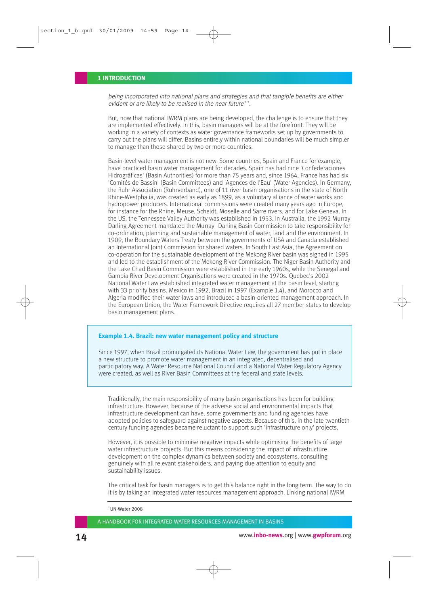being incorporated into national plans and strategies and that tangible benefits are either evident or are likely to be realised in the near future"<sup>2</sup>.

But, now that national IWRM plans are being developed, the challenge is to ensure that they are implemented effectively. In this, basin managers will be at the forefront. They will be working in a variety of contexts as water governance frameworks set up by governments to carry out the plans will differ. Basins entirely within national boundaries will be much simpler to manage than those shared by two or more countries.

Basin-level water management is not new. Some countries, Spain and France for example, have practiced basin water management for decades. Spain has had nine 'Confederaciones Hidrográficas' (Basin Authorities) for more than 75 years and, since 1964, France has had six 'Comités de Bassin' (Basin Committees) and 'Agences de l'Eau' (Water Agencies). In Germany, the Ruhr Association (Ruhrverband), one of 11 river basin organisations in the state of North Rhine-Westphalia, was created as early as 1899, as a voluntary alliance of water works and hydropower producers. International commissions were created many years ago in Europe, for instance for the Rhine, Meuse, Scheldt, Moselle and Sarre rivers, and for Lake Geneva. In the US, the Tennessee Valley Authority was established in 1933. In Australia, the 1992 Murray Darling Agreement mandated the Murray–Darling Basin Commission to take responsibility for co-ordination, planning and sustainable management of water, land and the environment. In 1909, the Boundary Waters Treaty between the governments of USA and Canada established an International Joint Commission for shared waters. In South East Asia, the Agreement on co-operation for the sustainable development of the Mekong River basin was signed in 1995 and led to the establishment of the Mekong River Commission. The Niger Basin Authority and the Lake Chad Basin Commission were established in the early 1960s, while the Senegal and Gambia River Development Organisations were created in the 1970s. Quebec's 2002 National Water Law established integrated water management at the basin level, starting with 33 priority basins. Mexico in 1992, Brazil in 1997 (Example 1.4), and Morocco and Algeria modified their water laws and introduced a basin-oriented management approach. In the European Union, the Water Framework Directive requires all 27 member states to develop basin management plans.

#### **Example 1.4. Brazil: new water management policy and structure**

Since 1997, when Brazil promulgated its National Water Law, the government has put in place a new structure to promote water management in an integrated, decentralised and participatory way. A Water Resource National Council and a National Water Regulatory Agency were created, as well as River Basin Committees at the federal and state levels.

Traditionally, the main responsibility of many basin organisations has been for building infrastructure. However, because of the adverse social and environmental impacts that infrastructure development can have, some governments and funding agencies have adopted policies to safeguard against negative aspects. Because of this, in the late twentieth century funding agencies became reluctant to support such 'infrastructure only' projects.

However, it is possible to minimise negative impacts while optimising the benefits of large water infrastructure projects. But this means considering the impact of infrastructure development on the complex dynamics between society and ecosystems, consulting genuinely with all relevant stakeholders, and paying due attention to equity and sustainability issues.

The critical task for basin managers is to get this balance right in the long term. The way to do it is by taking an integrated water resources management approach. Linking national IWRM

 $2$  UN-Water 2008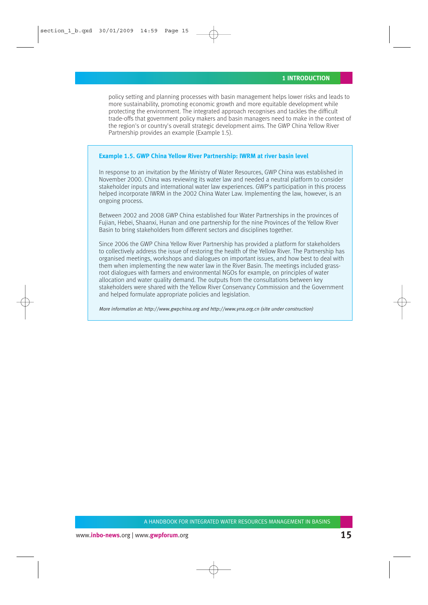policy setting and planning processes with basin management helps lower risks and leads to more sustainability, promoting economic growth and more equitable development while protecting the environment. The integrated approach recognises and tackles the difficult trade-offs that government policy makers and basin managers need to make in the context of the region's or country's overall strategic development aims. The GWP China Yellow River Partnership provides an example (Example 1.5).

#### **Example 1.5. GWP China Yellow River Partnership: IWRM at river basin level**

In response to an invitation by the Ministry of Water Resources, GWP China was established in November 2000. China was reviewing its water law and needed a neutral platform to consider stakeholder inputs and international water law experiences. GWP's participation in this process helped incorporate IWRM in the 2002 China Water Law. Implementing the law, however, is an ongoing process.

Between 2002 and 2008 GWP China established four Water Partnerships in the provinces of Fujian, Hebei, Shaanxi, Hunan and one partnership for the nine Provinces of the Yellow River Basin to bring stakeholders from different sectors and disciplines together.

Since 2006 the GWP China Yellow River Partnership has provided a platform for stakeholders to collectively address the issue of restoring the health of the Yellow River. The Partnership has organised meetings, workshops and dialogues on important issues, and how best to deal with them when implementing the new water law in the River Basin. The meetings included grassroot dialogues with farmers and environmental NGOs for example, on principles of water allocation and water quality demand. The outputs from the consultations between key stakeholders were shared with the Yellow River Conservancy Commission and the Government and helped formulate appropriate policies and legislation.

More information at: http://www.gwpchina.org and http://www.yrra.org.cn (site under construction)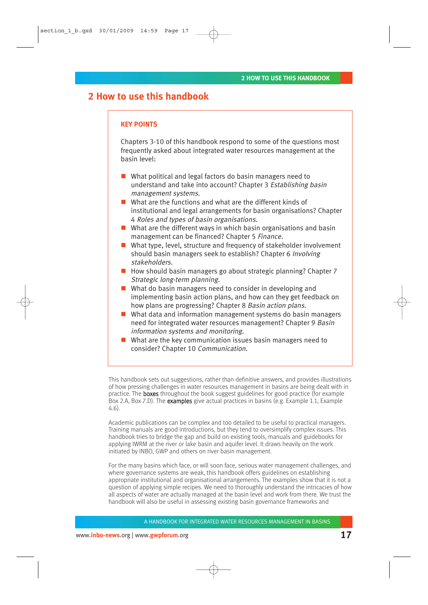## **2 How to use this handbook**

#### **KEY POINTS**

Chapters 3-10 of this handbook respond to some of the questions most frequently asked about integrated water resources management at the basin level:

- What political and legal factors do basin managers need to understand and take into account? Chapter 3 Establishing basin management systems.
- What are the functions and what are the different kinds of institutional and legal arrangements for basin organisations? Chapter 4 Roles and types of basin organisations.
- $\blacksquare$  What are the different ways in which basin organisations and basin management can be financed? Chapter 5 Finance.
- What type, level, structure and frequency of stakeholder involvement should basin managers seek to establish? Chapter 6 Involving stakeholders.
- How should basin managers go about strategic planning? Chapter 7 Strategic long-term planning.
- What do basin managers need to consider in developing and implementing basin action plans, and how can they get feedback on how plans are progressing? Chapter 8 Basin action plans.
- What data and information management systems do basin managers need for integrated water resources management? Chapter 9 Basin information systems and monitoring.
- What are the key communication issues basin managers need to consider? Chapter 10 Communication.

This handbook sets out suggestions, rather than definitive answers, and provides illustrations of how pressing challenges in water resources management in basins are being dealt with in practice. The boxes throughout the book suggest guidelines for good practice (for example Box 2.A, Box 7.D). The examples give actual practices in basins (e.g. Example 1.1, Example 4.6).

Academic publications can be complex and too detailed to be useful to practical managers. Training manuals are good introductions, but they tend to oversimplify complex issues. This handbook tries to bridge the gap and build on existing tools, manuals and guidebooks for applying IWRM at the river or lake basin and aquifer level. It draws heavily on the work initiated by INBO, GWP and others on river basin management.

For the many basins which face, or will soon face, serious water management challenges, and where governance systems are weak, this handbook offers guidelines on establishing appropriate institutional and organisational arrangements. The examples show that it is not a question of applying simple recipes. We need to thoroughly understand the intricacies of how all aspects of water are actually managed at the basin level and work from there. We trust the handbook will also be useful in assessing existing basin governance frameworks and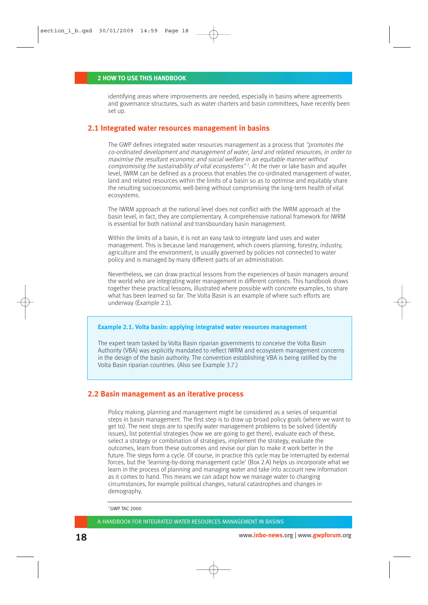#### **2 HOW TO USE THIS HANDBOOK**

identifying areas where improvements are needed, especially in basins where agreements and governance structures, such as water charters and basin committees, have recently been set up.

#### **2.1 Integrated water resources management in basins**

The GWP defines integrated water resources management as a process that "promotes the co-ordinated development and management of water, land and related resources, in order to maximise the resultant economic and social welfare in an equitable manner without compromising the sustainability of vital ecosystems"<sup>3</sup>. At the river or lake basin and aquifer level, IWRM can be defined as a process that enables the co-ordinated management of water, land and related resources within the limits of a basin so as to optimise and equitably share the resulting socioeconomic well-being without compromising the long-term health of vital ecosystems.

The IWRM approach at the national level does not conflict with the IWRM approach at the basin level, in fact, they are complementary. A comprehensive national framework for IWRM is essential for both national and transboundary basin management.

Within the limits of a basin, it is not an easy task to integrate land uses and water management. This is because land management, which covers planning, forestry, industry, agriculture and the environment, is usually governed by policies not connected to water policy and is managed by many different parts of an administration.

Nevertheless, we can draw practical lessons from the experiences of basin managers around the world who are integrating water management in different contexts. This handbook draws together these practical lessons, illustrated where possible with concrete examples, to share what has been learned so far. The Volta Basin is an example of where such efforts are underway (Example 2.1).

#### **Example 2.1. Volta basin: applying integrated water resources management**

The expert team tasked by Volta Basin riparian governments to conceive the Volta Basin Authority (VBA) was explicitly mandated to reflect IWRM and ecosystem management concerns in the design of the basin authority. The convention establishing VBA is being ratified by the Volta Basin riparian countries. (Also see Example 3.7.)

#### **2.2 Basin management as an iterative process**

Policy making, planning and management might be considered as a series of sequential steps in basin management. The first step is to draw up broad policy goals (where we want to get to). The next steps are to specify water management problems to be solved (identify issues), list potential strategies (how we are going to get there), evaluate each of these, select a strategy or combination of strategies, implement the strategy, evaluate the outcomes, learn from these outcomes and revise our plan to make it work better in the future. The steps form a cycle. Of course, in practice this cycle may be interrupted by external forces, but the 'learning-by-doing management cycle' (Box 2.A) helps us incorporate what we learn in the process of planning and managing water and take into account new information as it comes to hand. This means we can adapt how we manage water to changing circumstances, for example political changes, natural catastrophes and changes in demography.

3 GWP TAC 2000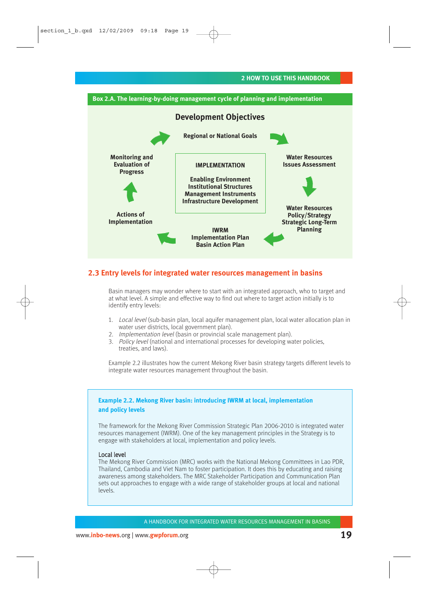



#### **2.3 Entry levels for integrated water resources management in basins**

Basin managers may wonder where to start with an integrated approach, who to target and at what level. A simple and effective way to find out where to target action initially is to identify entry levels:

- 1. Local level (sub-basin plan, local aquifer management plan, local water allocation plan in water user districts, local government plan).
- 2. *Implementation level* (basin or provincial scale management plan).
- 3. Policy level (national and international processes for developing water policies, treaties, and laws).

Example 2.2 illustrates how the current Mekong River basin strategy targets different levels to integrate water resources management throughout the basin.

#### **Example 2.2. Mekong River basin: introducing IWRM at local, implementation and policy levels**

The framework for the Mekong River Commission Strategic Plan 2006-2010 is integrated water resources management (IWRM). One of the key management principles in the Strategy is to engage with stakeholders at local, implementation and policy levels.

#### Local level

The Mekong River Commission (MRC) works with the National Mekong Committees in Lao PDR, Thailand, Cambodia and Viet Nam to foster participation. It does this by educating and raising awareness among stakeholders. The MRC Stakeholder Participation and Communication Plan sets out approaches to engage with a wide range of stakeholder groups at local and national levels.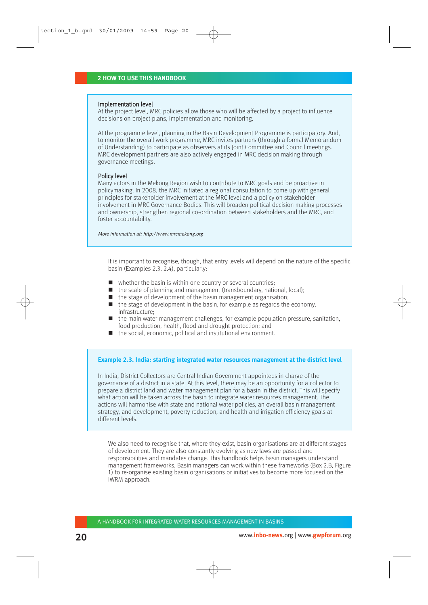#### Implementation level

At the project level, MRC policies allow those who will be affected by a project to influence decisions on project plans, implementation and monitoring.

At the programme level, planning in the Basin Development Programme is participatory. And, to monitor the overall work programme, MRC invites partners (through a formal Memorandum of Understanding) to participate as observers at its Joint Committee and Council meetings. MRC development partners are also actively engaged in MRC decision making through governance meetings.

#### Policy level

Many actors in the Mekong Region wish to contribute to MRC goals and be proactive in policymaking. In 2008, the MRC initiated a regional consultation to come up with general principles for stakeholder involvement at the MRC level and a policy on stakeholder involvement in MRC Governance Bodies. This will broaden political decision making processes and ownership, strengthen regional co-ordination between stakeholders and the MRC, and foster accountability.

More information at: http://www.mrcmekong.org

It is important to recognise, though, that entry levels will depend on the nature of the specific basin (Examples 2.3, 2.4), particularly:

- $\blacksquare$  whether the basin is within one country or several countries;
- $\blacksquare$  the scale of planning and management (transboundary, national, local);
- $\blacksquare$  the stage of development of the basin management organisation;
- $\blacksquare$  the stage of development in the basin, for example as regards the economy, infrastructure;
- $\blacksquare$  the main water management challenges, for example population pressure, sanitation, food production, health, flood and drought protection; and
- $\blacksquare$  the social, economic, political and institutional environment.

#### **Example 2.3. India: starting integrated water resources management at the district level**

In India, District Collectors are Central Indian Government appointees in charge of the governance of a district in a state. At this level, there may be an opportunity for a collector to prepare a district land and water management plan for a basin in the district. This will specify what action will be taken across the basin to integrate water resources management. The actions will harmonise with state and national water policies, an overall basin management strategy, and development, poverty reduction, and health and irrigation efficiency goals at different levels.

We also need to recognise that, where they exist, basin organisations are at different stages of development. They are also constantly evolving as new laws are passed and responsibilities and mandates change. This handbook helps basin managers understand management frameworks. Basin managers can work within these frameworks (Box 2.B, Figure 1) to re-organise existing basin organisations or initiatives to become more focused on the IWRM approach.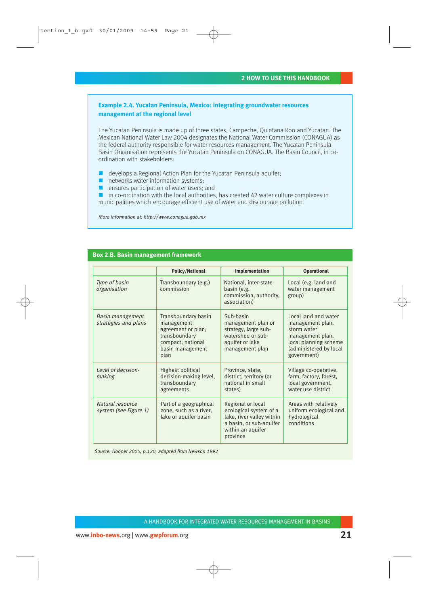#### **Example 2.4. Yucatan Peninsula, Mexico: integrating groundwater resources management at the regional level**

The Yucatan Peninsula is made up of three states, Campeche, Quintana Roo and Yucatan. The Mexican National Water Law 2004 designates the National Water Commission (CONAGUA) as the federal authority responsible for water resources management. The Yucatan Peninsula Basin Organisation represents the Yucatan Peninsula on CONAGUA. The Basin Council, in coordination with stakeholders:

- $\blacksquare$  develops a Regional Action Plan for the Yucatan Peninsula aquifer;
- networks water information systems;
- $\blacksquare$  ensures participation of water users: and

 $\blacksquare$  in co-ordination with the local authorities, has created 42 water culture complexes in municipalities which encourage efficient use of water and discourage pollution.

More information at: http://www.conagua.gob.mx

#### **Box 2.B. Basin management framework**

|                                           | <b>Policy/National</b>                                                                                                    | Implementation                                                                                                                       | Operational                                                                                                                                   |
|-------------------------------------------|---------------------------------------------------------------------------------------------------------------------------|--------------------------------------------------------------------------------------------------------------------------------------|-----------------------------------------------------------------------------------------------------------------------------------------------|
| Type of basin<br>organisation             | Transboundary (e.g.)<br>commission                                                                                        | National, inter-state<br>basin (e.g.<br>commission, authority,<br>association)                                                       | Local (e.g. land and<br>water management<br>group)                                                                                            |
| Basin management<br>strategies and plans  | Transboundary basin<br>management<br>agreement or plan;<br>transboundary<br>compact; national<br>basin management<br>plan | Sub-basin<br>management plan or<br>strategy, large sub-<br>watershed or sub-<br>aquifer or lake<br>management plan                   | Local land and water<br>management plan,<br>storm water<br>management plan,<br>local planning scheme<br>(administered by local<br>government) |
| Level of decision-<br>making              | Highest political<br>decision-making level,<br>transboundary<br>agreements                                                | Province, state,<br>district, territory (or<br>national in small<br>states)                                                          | Village co-operative,<br>farm, factory, forest,<br>local government,<br>water use district                                                    |
| Natural resource<br>system (see Figure 1) | Part of a geographical<br>zone, such as a river,<br>lake or aquifer basin                                                 | Regional or local<br>ecological system of a<br>lake, river valley within<br>a basin, or sub-aquifer<br>within an aquifer<br>province | Areas with relatively<br>uniform ecological and<br>hydrological<br>conditions                                                                 |

Source: Hooper 2005, p.120, adapted from Newson 1992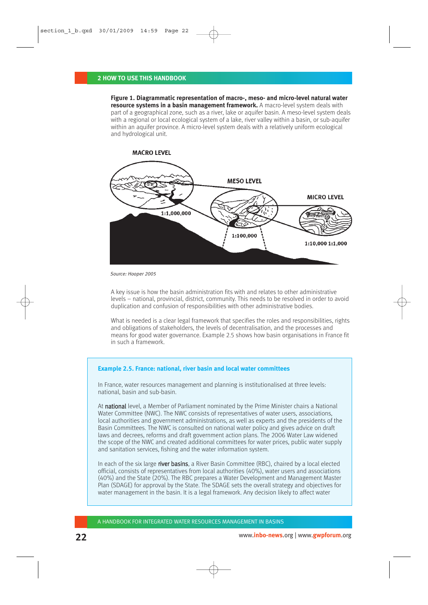**Figure 1. Diagrammatic representation of macro-, meso- and micro-level natural water resource systems in a basin management framework.** A macro-level system deals with part of a geographical zone, such as a river, lake or aquifer basin. A meso-level system deals with a regional or local ecological system of a lake, river valley within a basin, or sub-aquifer within an aquifer province. A micro-level system deals with a relatively uniform ecological and hydrological unit.



Source: Hooper 2005

A key issue is how the basin administration fits with and relates to other administrative levels – national, provincial, district, community. This needs to be resolved in order to avoid duplication and confusion of responsibilities with other administrative bodies.

What is needed is a clear legal framework that specifies the roles and responsibilities, rights and obligations of stakeholders, the levels of decentralisation, and the processes and means for good water governance. Example 2.5 shows how basin organisations in France fit in such a framework.

#### **Example 2.5. France: national, river basin and local water committees**

In France, water resources management and planning is institutionalised at three levels: national, basin and sub-basin.

At national level, a Member of Parliament nominated by the Prime Minister chairs a National Water Committee (NWC). The NWC consists of representatives of water users, associations, local authorities and government administrations, as well as experts and the presidents of the Basin Committees. The NWC is consulted on national water policy and gives advice on draft laws and decrees, reforms and draft government action plans. The 2006 Water Law widened the scope of the NWC and created additional committees for water prices, public water supply and sanitation services, fishing and the water information system.

In each of the six large river basins, a River Basin Committee (RBC), chaired by a local elected official, consists of representatives from local authorities (40%), water users and associations (40%) and the State (20%). The RBC prepares a Water Development and Management Master Plan (SDAGE) for approval by the State. The SDAGE sets the overall strategy and objectives for water management in the basin. It is a legal framework. Any decision likely to affect water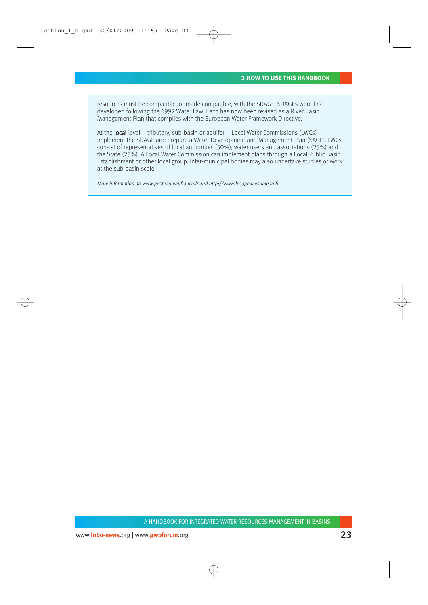resources must be compatible, or made compatible, with the SDAGE. SDAGEs were first developed following the 1992 Water Law. Each has now been revised as a River Basin Management Plan that complies with the European Water Framework Directive.

At the **local** level – tributary, sub-basin or aquifer – Local Water Commissions (LWCs) implement the SDAGE and prepare a Water Development and Management Plan (SAGE). LWCs consist of representatives of local authorities (50%), water users and associations (25%) and the State (25%). A Local Water Commission can implement plans through a Local Public Basin Establishment or other local group. Inter-municipal bodies may also undertake studies or work at the sub-basin scale.

More information at: www.gesteau.eaufrance.fr and http://www.lesagencesdeleau.fr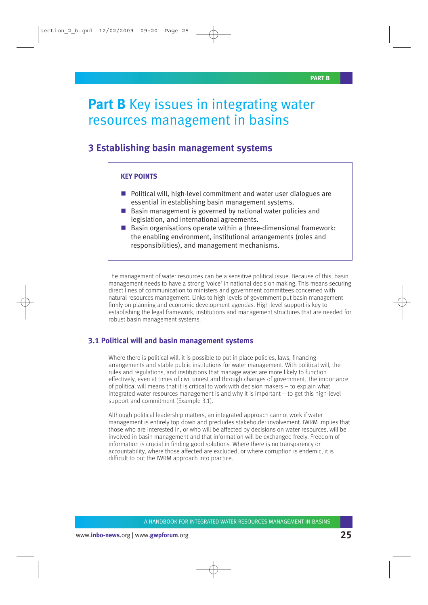## **Part B** Key issues in integrating water resources management in basins

## **3 Establishing basin management systems**

#### **KEY POINTS**

- **Political will, high-level commitment and water user dialogues are** essential in establishing basin management systems.
- Basin management is governed by national water policies and legislation, and international agreements.
- $\blacksquare$  Basin organisations operate within a three-dimensional framework: the enabling environment, institutional arrangements (roles and responsibilities), and management mechanisms.

The management of water resources can be a sensitive political issue. Because of this, basin management needs to have a strong 'voice' in national decision making. This means securing direct lines of communication to ministers and government committees concerned with natural resources management. Links to high levels of government put basin management firmly on planning and economic development agendas. High-level support is key to establishing the legal framework, institutions and management structures that are needed for robust basin management systems.

#### **3.1 Political will and basin management systems**

Where there is political will, it is possible to put in place policies, laws, financing arrangements and stable public institutions for water management. With political will, the rules and regulations, and institutions that manage water are more likely to function effectively, even at times of civil unrest and through changes of government. The importance of political will means that it is critical to work with decision makers – to explain what integrated water resources management is and why it is important – to get this high-level support and commitment (Example 3.1).

Although political leadership matters, an integrated approach cannot work if water management is entirely top down and precludes stakeholder involvement. IWRM implies that those who are interested in, or who will be affected by decisions on water resources, will be involved in basin management and that information will be exchanged freely. Freedom of information is crucial in finding good solutions. Where there is no transparency or accountability, where those affected are excluded, or where corruption is endemic, it is difficult to put the IWRM approach into practice.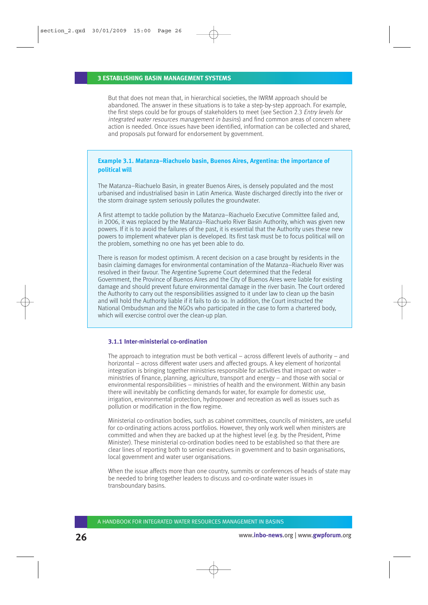#### **3 ESTABLISHING BASIN MANAGEMENT SYSTEMS**

But that does not mean that, in hierarchical societies, the IWRM approach should be abandoned. The answer in these situations is to take a step-by-step approach. For example, the first steps could be for groups of stakeholders to meet (see Section 2.3 Entry levels for integrated water resources management in basins) and find common areas of concern where action is needed. Once issues have been identified, information can be collected and shared, and proposals put forward for endorsement by government.

#### **Example 3.1. Matanza–Riachuelo basin, Buenos Aires, Argentina: the importance of political will**

The Matanza–Riachuelo Basin, in greater Buenos Aires, is densely populated and the most urbanised and industrialised basin in Latin America. Waste discharged directly into the river or the storm drainage system seriously pollutes the groundwater.

A first attempt to tackle pollution by the Matanza–Riachuelo Executive Committee failed and, in 2006, it was replaced by the Matanza–Riachuelo River Basin Authority, which was given new powers. If it is to avoid the failures of the past, it is essential that the Authority uses these new powers to implement whatever plan is developed. Its first task must be to focus political will on the problem, something no one has yet been able to do.

There is reason for modest optimism. A recent decision on a case brought by residents in the basin claiming damages for environmental contamination of the Matanza–Riachuelo River was resolved in their favour. The Argentine Supreme Court determined that the Federal Government, the Province of Buenos Aires and the City of Buenos Aires were liable for existing damage and should prevent future environmental damage in the river basin. The Court ordered the Authority to carry out the responsibilities assigned to it under law to clean up the basin and will hold the Authority liable if it fails to do so. In addition, the Court instructed the National Ombudsman and the NGOs who participated in the case to form a chartered body, which will exercise control over the clean-up plan.

#### **3.1.1 Inter-ministerial co-ordination**

The approach to integration must be both vertical – across different levels of authority – and horizontal – across different water users and affected groups. A key element of horizontal integration is bringing together ministries responsible for activities that impact on water – ministries of finance, planning, agriculture, transport and energy – and those with social or environmental responsibilities – ministries of health and the environment. Within any basin there will inevitably be conflicting demands for water, for example for domestic use, irrigation, environmental protection, hydropower and recreation as well as issues such as pollution or modification in the flow regime.

Ministerial co-ordination bodies, such as cabinet committees, councils of ministers, are useful for co-ordinating actions across portfolios. However, they only work well when ministers are committed and when they are backed up at the highest level (e.g. by the President, Prime Minister). These ministerial co-ordination bodies need to be established so that there are clear lines of reporting both to senior executives in government and to basin organisations, local government and water user organisations.

When the issue affects more than one country, summits or conferences of heads of state may be needed to bring together leaders to discuss and co-ordinate water issues in transboundary basins.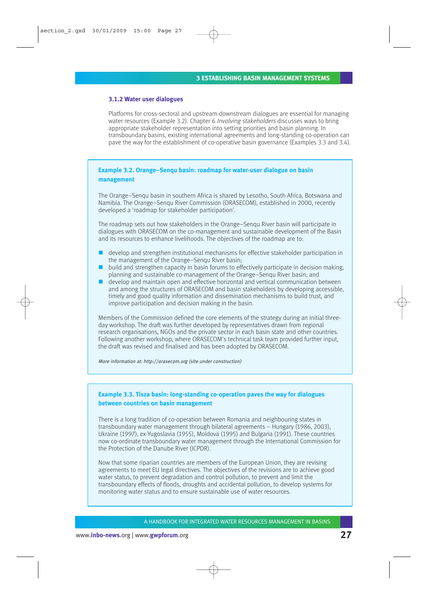#### **3.1.2 Water user dialogues**

Platforms for cross-sectoral and upstream-downstream dialogues are essential for managing water resources (Example 3.2). Chapter 6 *Involving stakeholders* discusses ways to bring appropriate stakeholder representation into setting priorities and basin planning. In transboundary basins, existing international agreements and long-standing co-operation can pave the way for the establishment of co-operative basin governance (Examples 3.3 and 3.4).

#### **Example 3.2. Orange–Senqu basin: roadmap for water-user dialogue on basin management**

The Orange–Senqu basin in southern Africa is shared by Lesotho, South Africa, Botswana and Namibia. The Orange–Senqu River Commission (ORASECOM), established in 2000, recently developed a 'roadmap for stakeholder participation'.

The roadmap sets out how stakeholders in the Orange–Senqu River basin will participate in dialogues with ORASECOM on the co-management and sustainable development of the Basin and its resources to enhance livelihoods. The objectives of the roadmap are to:

- develop and strengthen institutional mechanisms for effective stakeholder participation in the management of the Orange–Senqu River basin;
- build and strengthen capacity in basin forums to effectively participate in decision making, planning and sustainable co-management of the Orange–Senqu River basin; and
- develop and maintain open and effective horizontal and vertical communication between and among the structures of ORASECOM and basin stakeholders by developing accessible, timely and good quality information and dissemination mechanisms to build trust, and improve participation and decision making in the basin.

Members of the Commission defined the core elements of the strategy during an initial threeday workshop. The draft was further developed by representatives drawn from regional research organisations, NGOs and the private sector in each basin state and other countries. Following another workshop, where ORASECOM's technical task team provided further input, the draft was revised and finalised and has been adopted by ORASECOM.

More information at: http://orasecom.org (site under construction)

#### **Example 3.3. Tisza basin: long-standing co-operation paves the way for dialogues between countries on basin management**

There is a long tradition of co-operation between Romania and neighbouring states in transboundary water management through bilateral agreements – Hungary (1986, 2003), Ukraine (1997), ex-Yugoslavia (1955), Moldova (1995) and Bulgaria (1991). These countries now co-ordinate transboundary water management through the International Commission for the Protection of the Danube River (ICPDR).

Now that some riparian countries are members of the European Union, they are revising agreements to meet EU legal directives. The objectives of the revisions are to achieve good water status, to prevent degradation and control pollution, to prevent and limit the transboundary effects of floods, droughts and accidental pollution, to develop systems for monitoring water status and to ensure sustainable use of water resources.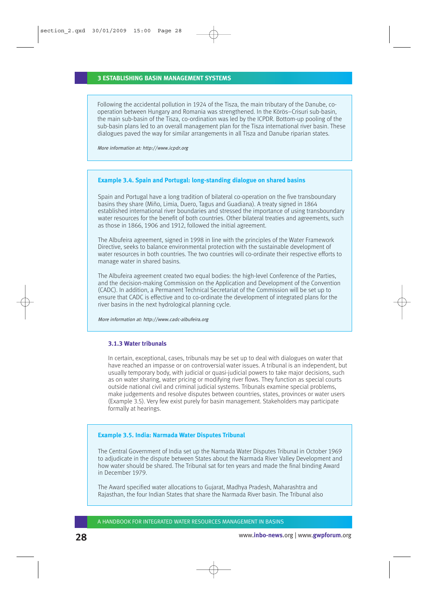#### **3 ESTABLISHING BASIN MANAGEMENT SYSTEMS**

Following the accidental pollution in 1924 of the Tisza, the main tributary of the Danube, cooperation between Hungary and Romania was strengthened. In the Körös–Crisuri sub-basin, the main sub-basin of the Tisza, co-ordination was led by the ICPDR. Bottom-up pooling of the sub-basin plans led to an overall management plan for the Tisza international river basin. These dialogues paved the way for similar arrangements in all Tisza and Danube riparian states.

More information at: http://www.icpdr.org

#### **Example 3.4. Spain and Portugal: long-standing dialogue on shared basins**

Spain and Portugal have a long tradition of bilateral co-operation on the five transboundary basins they share (Miño, Limia, Duero, Tagus and Guadiana). A treaty signed in 1864 established international river boundaries and stressed the importance of using transboundary water resources for the benefit of both countries. Other bilateral treaties and agreements, such as those in 1866, 1906 and 1912, followed the initial agreement.

The Albufeira agreement, signed in 1998 in line with the principles of the Water Framework Directive, seeks to balance environmental protection with the sustainable development of water resources in both countries. The two countries will co-ordinate their respective efforts to manage water in shared basins.

The Albufeira agreement created two equal bodies: the high-level Conference of the Parties, and the decision-making Commission on the Application and Development of the Convention (CADC). In addition, a Permanent Technical Secretariat of the Commission will be set up to ensure that CADC is effective and to co-ordinate the development of integrated plans for the river basins in the next hydrological planning cycle.

More information at: http://www.cadc-albufeira.org

#### **3.1.3 Water tribunals**

In certain, exceptional, cases, tribunals may be set up to deal with dialogues on water that have reached an impasse or on controversial water issues. A tribunal is an independent, but usually temporary body, with judicial or quasi-judicial powers to take major decisions, such as on water sharing, water pricing or modifying river flows. They function as special courts outside national civil and criminal judicial systems. Tribunals examine special problems, make judgements and resolve disputes between countries, states, provinces or water users (Example 3.5). Very few exist purely for basin management. Stakeholders may participate formally at hearings.

#### **Example 3.5. India: Narmada Water Disputes Tribunal**

The Central Government of India set up the Narmada Water Disputes Tribunal in October 1969 to adjudicate in the dispute between States about the Narmada River Valley Development and how water should be shared. The Tribunal sat for ten years and made the final binding Award in December 1979.

The Award specified water allocations to Gujarat, Madhya Pradesh, Maharashtra and Rajasthan, the four Indian States that share the Narmada River basin. The Tribunal also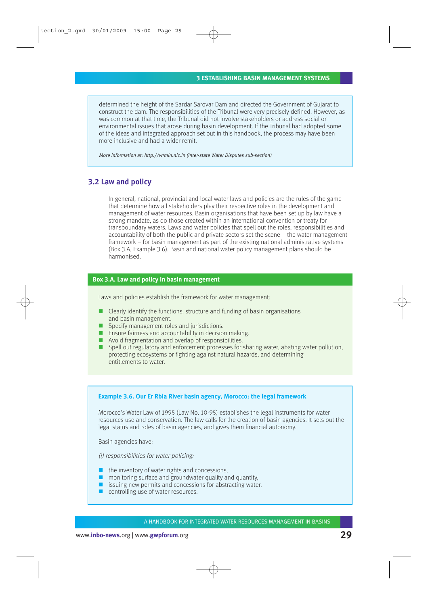determined the height of the Sardar Sarovar Dam and directed the Government of Gujarat to construct the dam. The responsibilities of the Tribunal were very precisely defined. However, as was common at that time, the Tribunal did not involve stakeholders or address social or environmental issues that arose during basin development. If the Tribunal had adopted some of the ideas and integrated approach set out in this handbook, the process may have been more inclusive and had a wider remit.

More information at: http://wrmin.nic.in (Inter-state Water Disputes sub-section)

#### **3.2 Law and policy**

In general, national, provincial and local water laws and policies are the rules of the game that determine how all stakeholders play their respective roles in the development and management of water resources. Basin organisations that have been set up by law have a strong mandate, as do those created within an international convention or treaty for transboundary waters. Laws and water policies that spell out the roles, responsibilities and accountability of both the public and private sectors set the scene – the water management framework – for basin management as part of the existing national administrative systems (Box 3.A, Example 3.6). Basin and national water policy management plans should be harmonised.

#### **Box 3.A. Law and policy in basin management**

Laws and policies establish the framework for water management:

- Clearly identify the functions, structure and funding of basin organisations and basin management.
- Specify management roles and jurisdictions.
- **Ensure fairness and accountability in decision making.**
- **Avoid fragmentation and overlap of responsibilities.**
- **Spell out regulatory and enforcement processes for sharing water, abating water pollution,** protecting ecosystems or fighting against natural hazards, and determining entitlements to water.

#### **Example 3.6. Our Er Rbia River basin agency, Morocco: the legal framework**

Morocco's Water Law of 1995 (Law No. 10-95) establishes the legal instruments for water resources use and conservation. The law calls for the creation of basin agencies. It sets out the legal status and roles of basin agencies, and gives them financial autonomy.

Basin agencies have:

(i) responsibilities for water policing:

- $\blacksquare$  the inventory of water rights and concessions.
- $\Box$  monitoring surface and groundwater quality and quantity,
- $\blacksquare$  issuing new permits and concessions for abstracting water,
- controlling use of water resources.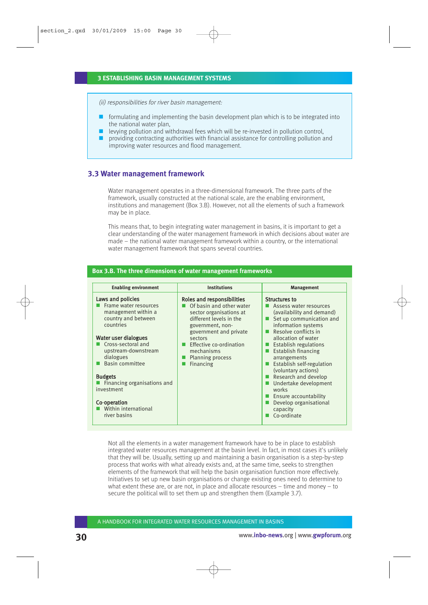(ii) responsibilities for river basin management:

- formulating and implementing the basin development plan which is to be integrated into the national water plan,
- levying pollution and withdrawal fees which will be re-invested in pollution control,
- providing contracting authorities with financial assistance for controlling pollution and improving water resources and flood management.

#### **3.3 Water management framework**

Water management operates in a three-dimensional framework. The three parts of the framework, usually constructed at the national scale, are the enabling environment, institutions and management (Box 3.B). However, not all the elements of such a framework may be in place.

This means that, to begin integrating water management in basins, it is important to get a clear understanding of the water management framework in which decisions about water are made – the national water management framework within a country, or the international water management framework that spans several countries.

| <b>Enabling environment</b>                                                                                                                                                                                                                                                                                                       | <b>Institutions</b>                                                                                                                                                                                                                                    | Management                                                                                                                                                                                                                                                                                                                                                                                                                                            |
|-----------------------------------------------------------------------------------------------------------------------------------------------------------------------------------------------------------------------------------------------------------------------------------------------------------------------------------|--------------------------------------------------------------------------------------------------------------------------------------------------------------------------------------------------------------------------------------------------------|-------------------------------------------------------------------------------------------------------------------------------------------------------------------------------------------------------------------------------------------------------------------------------------------------------------------------------------------------------------------------------------------------------------------------------------------------------|
| Laws and policies<br>Frame water resources<br>management within a<br>country and between<br>countries<br>Water user dialogues<br>Cross-sectoral and<br>upstream-downstream<br>dialogues<br>Basin committee<br><b>Budgets</b><br>Financing organisations and<br>investment<br>Co-operation<br>Within international<br>river basins | Roles and responsibilities<br>Of basin and other water<br>sector organisations at<br>different levels in the<br>government, non-<br>government and private<br>sectors<br>Effective co-ordination<br>mechanisms<br><b>Planning process</b><br>Financing | Structures to<br>Assess water resources<br>(availability and demand)<br>Set up communication and<br>information systems<br>Resolve conflicts in<br>allocation of water<br><b>Establish regulations</b><br>■<br><b>Establish financing</b><br>arrangements<br>Establish self-regulation<br>(voluntary actions)<br>Research and develop<br>Undertake development<br>works<br>Ensure accountability<br>Develop organisational<br>capacity<br>Co-ordinate |

#### **Box 3.B. The three dimensions of water management frameworks**

Not all the elements in a water management framework have to be in place to establish integrated water resources management at the basin level. In fact, in most cases it's unlikely that they will be. Usually, setting up and maintaining a basin organisation is a step-by-step process that works with what already exists and, at the same time, seeks to strengthen elements of the framework that will help the basin organisation function more effectively. Initiatives to set up new basin organisations or change existing ones need to determine to what extent these are, or are not, in place and allocate resources – time and money – to secure the political will to set them up and strengthen them (Example 3.7).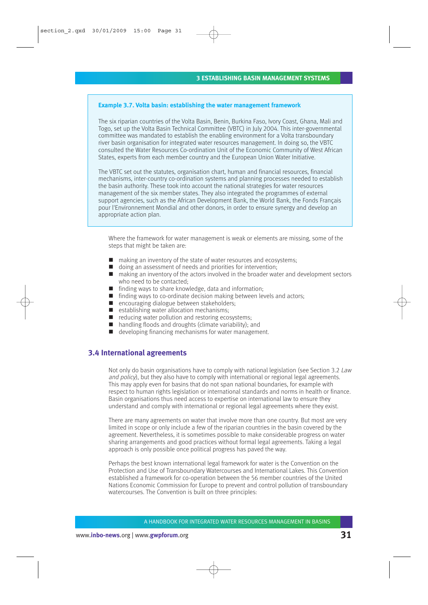#### **Example 3.7. Volta basin: establishing the water management framework**

The six riparian countries of the Volta Basin, Benin, Burkina Faso, Ivory Coast, Ghana, Mali and Togo, set up the Volta Basin Technical Committee (VBTC) in July 2004. This inter-governmental committee was mandated to establish the enabling environment for a Volta transboundary river basin organisation for integrated water resources management. In doing so, the VBTC consulted the Water Resources Co-ordination Unit of the Economic Community of West African States, experts from each member country and the European Union Water Initiative.

The VBTC set out the statutes, organisation chart, human and financial resources, financial mechanisms, inter-country co-ordination systems and planning processes needed to establish the basin authority. These took into account the national strategies for water resources management of the six member states. They also integrated the programmes of external support agencies, such as the African Development Bank, the World Bank, the Fonds Français pour l'Environnement Mondial and other donors, in order to ensure synergy and develop an appropriate action plan.

Where the framework for water management is weak or elements are missing, some of the steps that might be taken are:

- making an inventory of the state of water resources and ecosystems;
- doing an assessment of needs and priorities for intervention;
- making an inventory of the actors involved in the broader water and development sectors who need to be contacted;
- finding ways to share knowledge, data and information;
- finding ways to co-ordinate decision making between levels and actors;
- encouraging dialogue between stakeholders;
- $\blacksquare$  establishing water allocation mechanisms;
- $\blacksquare$  reducing water pollution and restoring ecosystems;
- handling floods and droughts (climate variability); and
- developing financing mechanisms for water management.

#### **3.4 International agreements**

Not only do basin organisations have to comply with national legislation (see Section 3.2 Law and policy), but they also have to comply with international or regional legal agreements. This may apply even for basins that do not span national boundaries, for example with respect to human rights legislation or international standards and norms in health or finance. Basin organisations thus need access to expertise on international law to ensure they understand and comply with international or regional legal agreements where they exist.

There are many agreements on water that involve more than one country. But most are very limited in scope or only include a few of the riparian countries in the basin covered by the agreement. Nevertheless, it is sometimes possible to make considerable progress on water sharing arrangements and good practices without formal legal agreements. Taking a legal approach is only possible once political progress has paved the way.

Perhaps the best known international legal framework for water is the Convention on the Protection and Use of Transboundary Watercourses and International Lakes. This Convention established a framework for co-operation between the 56 member countries of the United Nations Economic Commission for Europe to prevent and control pollution of transboundary watercourses. The Convention is built on three principles: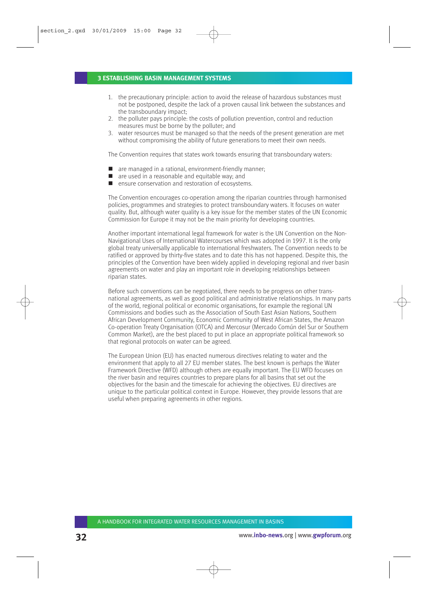#### **3 ESTABLISHING BASIN MANAGEMENT SYSTEMS**

- 1. the precautionary principle: action to avoid the release of hazardous substances must not be postponed, despite the lack of a proven causal link between the substances and the transboundary impact;
- 2. the polluter pays principle: the costs of pollution prevention, control and reduction measures must be borne by the polluter; and
- 3. water resources must be managed so that the needs of the present generation are met without compromising the ability of future generations to meet their own needs.

The Convention requires that states work towards ensuring that transboundary waters:

- are managed in a rational, environment-friendly manner;
- $\blacksquare$  are used in a reasonable and equitable way; and
- ensure conservation and restoration of ecosystems.

The Convention encourages co-operation among the riparian countries through harmonised policies, programmes and strategies to protect transboundary waters. It focuses on water quality. But, although water quality is a key issue for the member states of the UN Economic Commission for Europe it may not be the main priority for developing countries.

Another important international legal framework for water is the UN Convention on the Non-Navigational Uses of International Watercourses which was adopted in 1997. It is the only global treaty universally applicable to international freshwaters. The Convention needs to be ratified or approved by thirty-five states and to date this has not happened. Despite this, the principles of the Convention have been widely applied in developing regional and river basin agreements on water and play an important role in developing relationships between riparian states.

Before such conventions can be negotiated, there needs to be progress on other transnational agreements, as well as good political and administrative relationships. In many parts of the world, regional political or economic organisations, for example the regional UN Commissions and bodies such as the Association of South East Asian Nations, Southern African Development Community, Economic Community of West African States, the Amazon Co-operation Treaty Organisation (OTCA) and Mercosur (Mercado Común del Sur or Southern Common Market), are the best placed to put in place an appropriate political framework so that regional protocols on water can be agreed.

The European Union (EU) has enacted numerous directives relating to water and the environment that apply to all 27 EU member states. The best known is perhaps the Water Framework Directive (WFD) although others are equally important. The EU WFD focuses on the river basin and requires countries to prepare plans for all basins that set out the objectives for the basin and the timescale for achieving the objectives. EU directives are unique to the particular political context in Europe. However, they provide lessons that are useful when preparing agreements in other regions.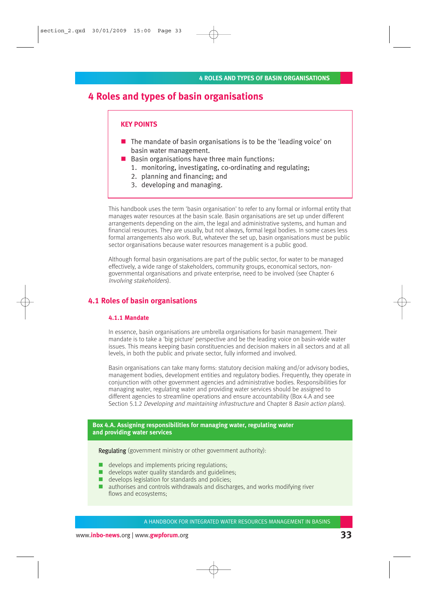## **4 Roles and types of basin organisations**

#### **KEY POINTS**

- $\blacksquare$  The mandate of basin organisations is to be the 'leading voice' on basin water management.
- Basin organisations have three main functions:
	- 1. monitoring, investigating, co-ordinating and regulating;
	- 2. planning and financing; and
	- 3. developing and managing.

This handbook uses the term 'basin organisation' to refer to any formal or informal entity that manages water resources at the basin scale. Basin organisations are set up under different arrangements depending on the aim, the legal and administrative systems, and human and financial resources. They are usually, but not always, formal legal bodies. In some cases less formal arrangements also work. But, whatever the set up, basin organisations must be public sector organisations because water resources management is a public good.

Although formal basin organisations are part of the public sector, for water to be managed effectively, a wide range of stakeholders, community groups, economical sectors, nongovernmental organisations and private enterprise, need to be involved (see Chapter 6 Involving stakeholders).

#### **4.1 Roles of basin organisations**

#### **4.1.1 Mandate**

In essence, basin organisations are umbrella organisations for basin management. Their mandate is to take a 'big picture' perspective and be the leading voice on basin-wide water issues. This means keeping basin constituencies and decision makers in all sectors and at all levels, in both the public and private sector, fully informed and involved.

Basin organisations can take many forms: statutory decision making and/or advisory bodies, management bodies, development entities and regulatory bodies. Frequently, they operate in conjunction with other government agencies and administrative bodies. Responsibilities for managing water, regulating water and providing water services should be assigned to different agencies to streamline operations and ensure accountability (Box 4.A and see Section 5.1.2 Developing and maintaining infrastructure and Chapter 8 Basin action plans).

#### **Box 4.A. Assigning responsibilities for managing water, regulating water and providing water services**

Regulating (government ministry or other government authority):

- develops and implements pricing regulations;
- $\blacksquare$  develops water quality standards and guidelines:
- develops legislation for standards and policies;
- authorises and controls withdrawals and discharges, and works modifying river flows and ecosystems;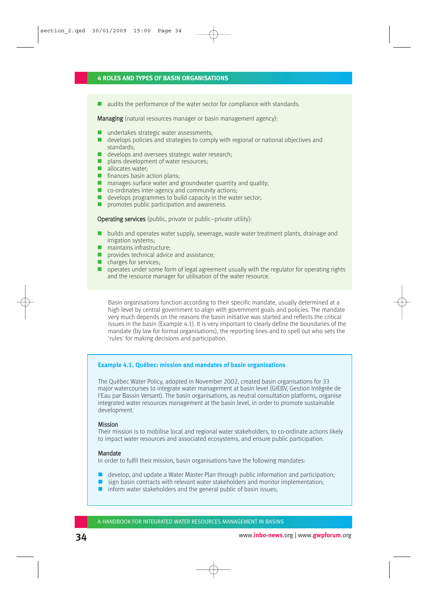#### **4 ROLES AND TYPES OF BASIN ORGANISATIONS**

■ audits the performance of the water sector for compliance with standards.

Managing (natural resources manager or basin management agency):

- undertakes strategic water assessments;
- **develops policies and strategies to comply with regional or national objectives and** standards;
- develops and oversees strategic water research;
- **plans development of water resources;**
- $\blacksquare$  allocates water:
- **finances basin action plans;**
- $\blacksquare$  manages surface water and groundwater quantity and quality;
- co-ordinates inter-agency and community actions;
- $\blacksquare$  develops programmes to build capacity in the water sector;
- **P** promotes public participation and awareness.

Operating services (public, private or public–private utility):

- $\blacksquare$  builds and operates water supply, sewerage, waste water treatment plants, drainage and irrigation systems;
- maintains infrastructure:
- **provides technical advice and assistance:**
- $\blacksquare$  charges for services:
- $\Box$  operates under some form of legal agreement usually with the regulator for operating rights and the resource manager for utilisation of the water resource.

Basin organisations function according to their specific mandate, usually determined at a high level by central government to align with government goals and policies. The mandate very much depends on the reasons the basin initiative was started and reflects the critical issues in the basin (Example 4.1). It is very important to clearly define the boundaries of the mandate (by law for formal organisations), the reporting lines and to spell out who sets the 'rules' for making decisions and participation.

#### **Example 4.1. Québec: mission and mandates of basin organisations**

The Québec Water Policy, adopted in November 2002, created basin organisations for 33 major watercourses to integrate water management at basin level (GIEBV, Gestion Intégrée de l'Eau par Bassin Versant). The basin organisations, as neutral consultation platforms, organise integrated water resources management at the basin level, in order to promote sustainable development.

#### Mission

Their mission is to mobilise local and regional water stakeholders, to co-ordinate actions likely to impact water resources and associated ecosystems, and ensure public participation.

#### **Mandate**

In order to fulfil their mission, basin organisations have the following mandates:

- $\blacksquare$  develop, and update a Water Master Plan through public information and participation;
- $\Box$  sign basin contracts with relevant water stakeholders and monitor implementation;
- $\blacksquare$  inform water stakeholders and the general public of basin issues;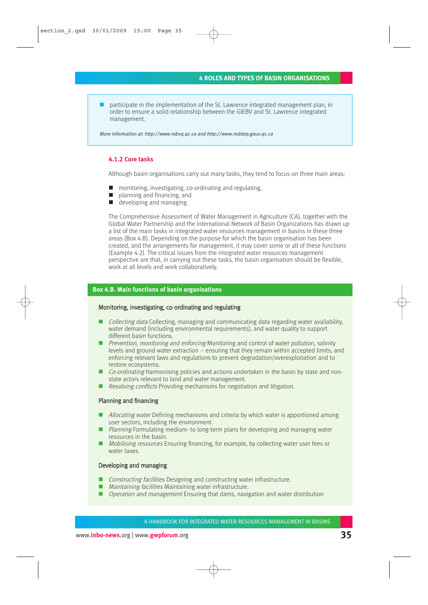participate in the implementation of the St. Lawrence integrated management plan, in order to ensure a solid relationship between the GIEBV and St. Lawrence integrated management.

More information at: http://www.robvq.qc.ca and http://www.mddep.gouv.qc.ca

#### **4.1.2 Core tasks**

Although basin organisations carry out many tasks, they tend to focus on three main areas:

- monitoring, investigating, co-ordinating and regulating,
- planning and financing, and
- developing and managing.

The Comprehensive Assessment of Water Management in Agriculture (CA), together with the Global Water Partnership and the International Network of Basin Organizations has drawn up a list of the main tasks in integrated water resources management in basins in these three areas (Box 4.B). Depending on the purpose for which the basin organisation has been created, and the arrangements for management, it may cover some or all of these functions (Example 4.2). The critical issues from the integrated water resources management perspective are that, in carrying out these tasks, the basin organisation should be flexible, work at all levels and work collaboratively.

#### **Box 4.B. Main functions of basin organisations**

#### Monitoring, investigating, co-ordinating and regulating

- Collecting data Collecting, managing and communicating data regarding water availability, water demand (including environmental requirements), and water quality to support different basin functions.
- **P** Prevention, monitoring and enforcing Monitoring and control of water pollution, salinity levels and ground water extraction – ensuring that they remain within accepted limits; and enforcing relevant laws and regulations to prevent degradation/overexploitation and to restore ecosystems.
- Co-ordinating Harmonising policies and actions undertaken in the basin by state and nonstate actors relevant to land and water management.
- Resolving conflicts Providing mechanisms for negotiation and litigation.

#### Planning and financing

- Allocating water Defining mechanisms and criteria by which water is apportioned among user sectors, including the environment.
- Planning Formulating medium- to long-term plans for developing and managing water resources in the basin.
- Mobilising resources Ensuring financing, for example, by collecting water user fees or water taxes.

#### Developing and managing

- Constructing facilities Designing and constructing water infrastructure.
- *Maintaining facilities* Maintaining water infrastructure.
- **Operation and management Ensuring that dams, navigation and water distribution**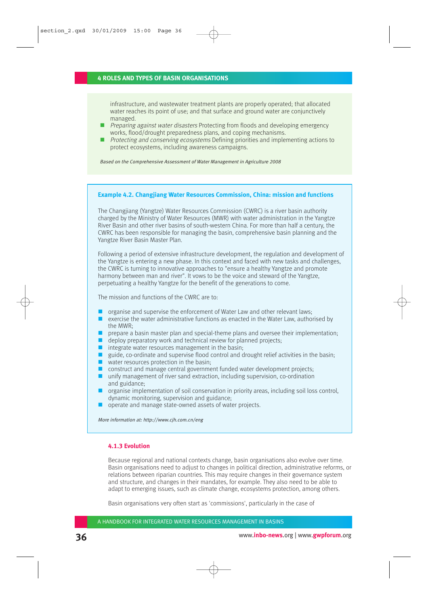#### **4 ROLES AND TYPES OF BASIN ORGANISATIONS**

infrastructure, and wastewater treatment plants are properly operated; that allocated water reaches its point of use; and that surface and ground water are conjunctively managed.

- **Preparing against water disasters Protecting from floods and developing emergency** works, flood/drought preparedness plans, and coping mechanisms.
- **Protecting and conserving ecosystems Defining priorities and implementing actions to** protect ecosystems, including awareness campaigns.

Based on the Comprehensive Assessment of Water Management in Agriculture 2008

#### **Example 4.2. Changjiang Water Resources Commission, China: mission and functions**

The Changjiang (Yangtze) Water Resources Commission (CWRC) is a river basin authority charged by the Ministry of Water Resources (MWR) with water administration in the Yangtze River Basin and other river basins of south-western China. For more than half a century, the CWRC has been responsible for managing the basin, comprehensive basin planning and the Yangtze River Basin Master Plan.

Following a period of extensive infrastructure development, the regulation and development of the Yangtze is entering a new phase. In this context and faced with new tasks and challenges, the CWRC is turning to innovative approaches to "ensure a healthy Yangtze and promote harmony between man and river". It vows to be the voice and steward of the Yangtze, perpetuating a healthy Yangtze for the benefit of the generations to come.

The mission and functions of the CWRC are to:

- organise and supervise the enforcement of Water Law and other relevant laws;
- $\blacksquare$  exercise the water administrative functions as enacted in the Water Law, authorised by the MWR;
- **P** prepare a basin master plan and special-theme plans and oversee their implementation;
- $\blacksquare$  deploy preparatory work and technical review for planned projects;
- $\blacksquare$  integrate water resources management in the basin;
- quide, co-ordinate and supervise flood control and drought relief activities in the basin;
- $\blacksquare$  water resources protection in the basin;
- construct and manage central government funded water development projects;
- unify management of river sand extraction, including supervision, co-ordination and guidance;
- **O** organise implementation of soil conservation in priority areas, including soil loss control, dynamic monitoring, supervision and guidance;
- operate and manage state-owned assets of water projects.

More information at: http://www.cjh.com.cn/eng

#### **4.1.3 Evolution**

Because regional and national contexts change, basin organisations also evolve over time. Basin organisations need to adjust to changes in political direction, administrative reforms, or relations between riparian countries. This may require changes in their governance system and structure, and changes in their mandates, for example. They also need to be able to adapt to emerging issues, such as climate change, ecosystems protection, among others.

Basin organisations very often start as 'commissions', particularly in the case of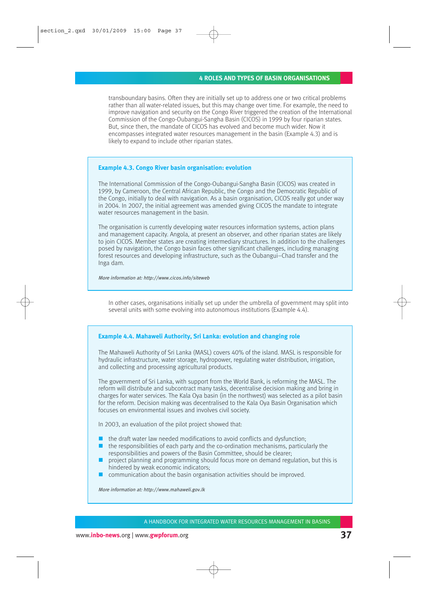transboundary basins. Often they are initially set up to address one or two critical problems rather than all water-related issues, but this may change over time. For example, the need to improve navigation and security on the Congo River triggered the creation of the International Commission of the Congo-Oubangui-Sangha Basin (CICOS) in 1999 by four riparian states. But, since then, the mandate of CICOS has evolved and become much wider. Now it encompasses integrated water resources management in the basin (Example 4.3) and is likely to expand to include other riparian states.

#### **Example 4.3. Congo River basin organisation: evolution**

The International Commission of the Congo-Oubangui-Sangha Basin (CICOS) was created in 1999, by Cameroon, the Central African Republic, the Congo and the Democratic Republic of the Congo, initially to deal with navigation. As a basin organisation, CICOS really got under way in 2004. In 2007, the initial agreement was amended giving CICOS the mandate to integrate water resources management in the basin.

The organisation is currently developing water resources information systems, action plans and management capacity. Angola, at present an observer, and other riparian states are likely to join CICOS. Member states are creating intermediary structures. In addition to the challenges posed by navigation, the Congo basin faces other significant challenges, including managing forest resources and developing infrastructure, such as the Oubangui–Chad transfer and the Inga dam.

More information at: http://www.cicos.info/siteweb

In other cases, organisations initially set up under the umbrella of government may split into several units with some evolving into autonomous institutions (Example 4.4).

### **Example 4.4. Mahaweli Authority, Sri Lanka: evolution and changing role**

The Mahaweli Authority of Sri Lanka (MASL) covers 40% of the island. MASL is responsible for hydraulic infrastructure, water storage, hydropower, regulating water distribution, irrigation, and collecting and processing agricultural products.

The government of Sri Lanka, with support from the World Bank, is reforming the MASL. The reform will distribute and subcontract many tasks, decentralise decision making and bring in charges for water services. The Kala Oya basin (in the northwest) was selected as a pilot basin for the reform. Decision making was decentralised to the Kala Oya Basin Organisation which focuses on environmental issues and involves civil society.

In 2003, an evaluation of the pilot project showed that:

- $\blacksquare$  the draft water law needed modifications to avoid conflicts and dysfunction;
- $\blacksquare$  the responsibilities of each party and the co-ordination mechanisms, particularly the responsibilities and powers of the Basin Committee, should be clearer;
- project planning and programming should focus more on demand regulation, but this is hindered by weak economic indicators;
- communication about the basin organisation activities should be improved.

More information at: http://www.mahaweli.gov.lk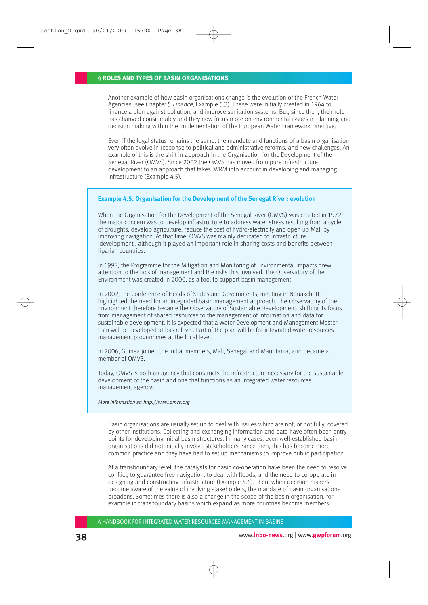Another example of how basin organisations change is the evolution of the French Water Agencies (see Chapter 5 Finance, Example 5.3). These were initially created in 1964 to finance a plan against pollution, and improve sanitation systems. But, since then, their role has changed considerably and they now focus more on environmental issues in planning and decision making within the implementation of the European Water Framework Directive.

Even if the legal status remains the same, the mandate and functions of a basin organisation very often evolve in response to political and administrative reforms, and new challenges. An example of this is the shift in approach in the Organisation for the Development of the Senegal River (OMVS). Since 2002 the OMVS has moved from pure infrastructure development to an approach that takes IWRM into account in developing and managing infrastructure (Example 4.5).

### **Example 4.5. Organisation for the Development of the Senegal River: evolution**

When the Organisation for the Development of the Senegal River (OMVS) was created in 1972, the major concern was to develop infrastructure to address water stress resulting from a cycle of droughts, develop agriculture, reduce the cost of hydro-electricity and open up Mali by improving navigation. At that time, OMVS was mainly dedicated to infrastructure 'development', although it played an important role in sharing costs and benefits between riparian countries.

In 1998, the Programme for the Mitigation and Monitoring of Environmental Impacts drew attention to the lack of management and the risks this involved. The Observatory of the Environment was created in 2000, as a tool to support basin management.

In 2002, the Conference of Heads of States and Governments, meeting in Nouakchott, highlighted the need for an integrated basin management approach. The Observatory of the Environment therefore became the Observatory of Sustainable Development, shifting its focus from management of shared resources to the management of information and data for sustainable development. It is expected that a Water Development and Management Master Plan will be developed at basin level. Part of the plan will be for integrated water resources management programmes at the local level.

In 2006, Guinea joined the initial members, Mali, Senegal and Mauritania, and became a member of OMVS.

Today, OMVS is both an agency that constructs the infrastructure necessary for the sustainable development of the basin and one that functions as an integrated water resources management agency.

More information at: http://www.omvs.org

Basin organisations are usually set up to deal with issues which are not, or not fully, covered by other institutions. Collecting and exchanging information and data have often been entry points for developing initial basin structures. In many cases, even well-established basin organisations did not initially involve stakeholders. Since then, this has become more common practice and they have had to set up mechanisms to improve public participation.

At a transboundary level, the catalysts for basin co-operation have been the need to resolve conflict, to guarantee free navigation, to deal with floods, and the need to co-operate in designing and constructing infrastructure (Example 4.6). Then, when decision makers become aware of the value of involving stakeholders, the mandate of basin organisations broadens. Sometimes there is also a change in the scope of the basin organisation, for example in transboundary basins which expand as more countries become members.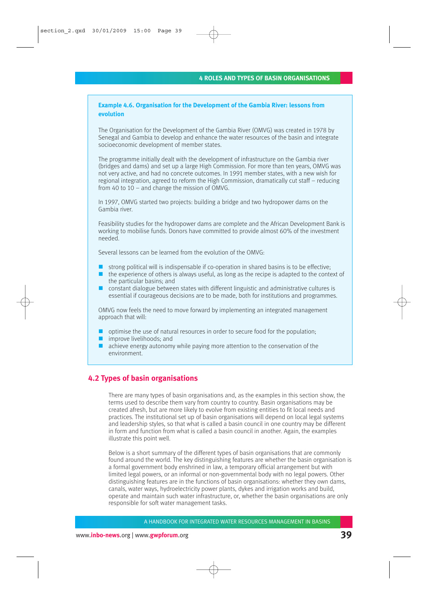# **Example 4.6. Organisation for the Development of the Gambia River: lessons from evolution**

The Organisation for the Development of the Gambia River (OMVG) was created in 1978 by Senegal and Gambia to develop and enhance the water resources of the basin and integrate socioeconomic development of member states.

The programme initially dealt with the development of infrastructure on the Gambia river (bridges and dams) and set up a large High Commission. For more than ten years, OMVG was not very active, and had no concrete outcomes. In 1991 member states, with a new wish for regional integration, agreed to reform the High Commission, dramatically cut staff – reducing from 40 to 10 – and change the mission of OMVG.

In 1997, OMVG started two projects: building a bridge and two hydropower dams on the Gambia river.

Feasibility studies for the hydropower dams are complete and the African Development Bank is working to mobilise funds. Donors have committed to provide almost 60% of the investment needed.

Several lessons can be learned from the evolution of the OMVG:

- $\blacksquare$  strong political will is indispensable if co-operation in shared basins is to be effective;
- $\blacksquare$  the experience of others is always useful, as long as the recipe is adapted to the context of the particular basins; and
- constant dialogue between states with different linguistic and administrative cultures is essential if courageous decisions are to be made, both for institutions and programmes.

OMVG now feels the need to move forward by implementing an integrated management approach that will:

- optimise the use of natural resources in order to secure food for the population;
- improve livelihoods: and
- **E** achieve energy autonomy while paying more attention to the conservation of the environment.

# **4.2 Types of basin organisations**

There are many types of basin organisations and, as the examples in this section show, the terms used to describe them vary from country to country. Basin organisations may be created afresh, but are more likely to evolve from existing entities to fit local needs and practices. The institutional set up of basin organisations will depend on local legal systems and leadership styles, so that what is called a basin council in one country may be different in form and function from what is called a basin council in another. Again, the examples illustrate this point well.

Below is a short summary of the different types of basin organisations that are commonly found around the world. The key distinguishing features are whether the basin organisation is a formal government body enshrined in law, a temporary official arrangement but with limited legal powers, or an informal or non-governmental body with no legal powers. Other distinguishing features are in the functions of basin organisations: whether they own dams, canals, water ways, hydroelectricity power plants, dykes and irrigation works and build, operate and maintain such water infrastructure, or, whether the basin organisations are only responsible for soft water management tasks.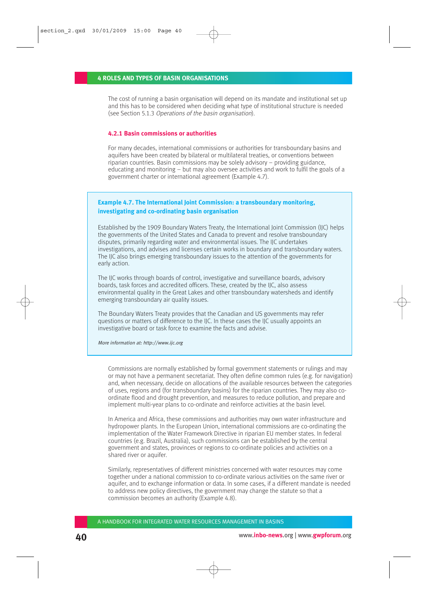The cost of running a basin organisation will depend on its mandate and institutional set up and this has to be considered when deciding what type of institutional structure is needed (see Section 5.1.3 Operations of the basin organisation).

### **4.2.1 Basin commissions or authorities**

For many decades, international commissions or authorities for transboundary basins and aquifers have been created by bilateral or multilateral treaties, or conventions between riparian countries. Basin commissions may be solely advisory – providing guidance, educating and monitoring – but may also oversee activities and work to fulfil the goals of a government charter or international agreement (Example 4.7).

# **Example 4.7. The International Joint Commission: a transboundary monitoring, investigating and co-ordinating basin organisation**

Established by the 1909 Boundary Waters Treaty, the International Joint Commission (IJC) helps the governments of the United States and Canada to prevent and resolve transboundary disputes, primarily regarding water and environmental issues. The IJC undertakes investigations, and advises and licenses certain works in boundary and transboundary waters. The IJC also brings emerging transboundary issues to the attention of the governments for early action.

The IJC works through boards of control, investigative and surveillance boards, advisory boards, task forces and accredited officers. These, created by the IJC, also assess environmental quality in the Great Lakes and other transboundary watersheds and identify emerging transboundary air quality issues.

The Boundary Waters Treaty provides that the Canadian and US governments may refer questions or matters of difference to the IJC. In these cases the IJC usually appoints an investigative board or task force to examine the facts and advise.

More information at: http://www.ijc.org

Commissions are normally established by formal government statements or rulings and may or may not have a permanent secretariat. They often define common rules (e.g. for navigation) and, when necessary, decide on allocations of the available resources between the categories of uses, regions and (for transboundary basins) for the riparian countries. They may also coordinate flood and drought prevention, and measures to reduce pollution, and prepare and implement multi-year plans to co-ordinate and reinforce activities at the basin level.

In America and Africa, these commissions and authorities may own water infrastructure and hydropower plants. In the European Union, international commissions are co-ordinating the implementation of the Water Framework Directive in riparian EU member states. In federal countries (e.g. Brazil, Australia), such commissions can be established by the central government and states, provinces or regions to co-ordinate policies and activities on a shared river or aquifer.

Similarly, representatives of different ministries concerned with water resources may come together under a national commission to co-ordinate various activities on the same river or aquifer, and to exchange information or data. In some cases, if a different mandate is needed to address new policy directives, the government may change the statute so that a commission becomes an authority (Example 4.8).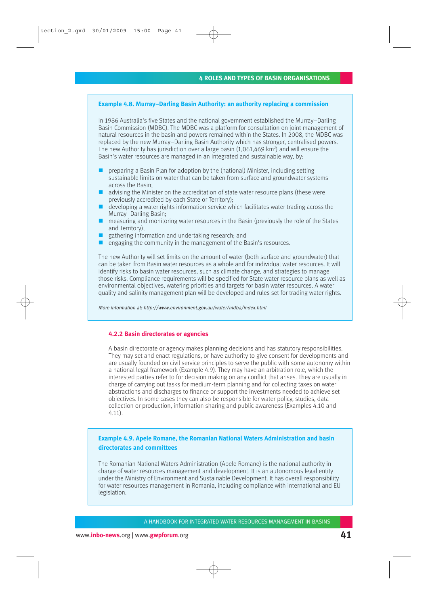### **Example 4.8. Murray–Darling Basin Authority: an authority replacing a commission**

In 1986 Australia's five States and the national government established the Murray–Darling Basin Commission (MDBC). The MDBC was a platform for consultation on joint management of natural resources in the basin and powers remained within the States. In 2008, the MDBC was replaced by the new Murray–Darling Basin Authority which has stronger, centralised powers. The new Authority has jurisdiction over a large basin  $(1,061,469 \text{ km}^2)$  and will ensure the Basin's water resources are managed in an integrated and sustainable way, by:

- **P** preparing a Basin Plan for adoption by the (national) Minister, including setting sustainable limits on water that can be taken from surface and groundwater systems across the Basin;
- $\blacksquare$  advising the Minister on the accreditation of state water resource plans (these were previously accredited by each State or Territory);
- developing a water rights information service which facilitates water trading across the Murray–Darling Basin;
- $\blacksquare$  measuring and monitoring water resources in the Basin (previously the role of the States and Territory);
- gathering information and undertaking research; and
- $\blacksquare$  engaging the community in the management of the Basin's resources.

The new Authority will set limits on the amount of water (both surface and groundwater) that can be taken from Basin water resources as a whole and for individual water resources. It will identify risks to basin water resources, such as climate change, and strategies to manage those risks. Compliance requirements will be specified for State water resource plans as well as environmental objectives, watering priorities and targets for basin water resources. A water quality and salinity management plan will be developed and rules set for trading water rights.

More information at: http://www.environment.gov.au/water/mdba/index.html

### **4.2.2 Basin directorates or agencies**

A basin directorate or agency makes planning decisions and has statutory responsibilities. They may set and enact regulations, or have authority to give consent for developments and are usually founded on civil service principles to serve the public with some autonomy within a national legal framework (Example 4.9). They may have an arbitration role, which the interested parties refer to for decision making on any conflict that arises. They are usually in charge of carrying out tasks for medium-term planning and for collecting taxes on water abstractions and discharges to finance or support the investments needed to achieve set objectives. In some cases they can also be responsible for water policy, studies, data collection or production, information sharing and public awareness (Examples 4.10 and 4.11).

# **Example 4.9. Apele Romane, the Romanian National Waters Administration and basin directorates and committees**

The Romanian National Waters Administration (Apele Romane) is the national authority in charge of water resources management and development. It is an autonomous legal entity under the Ministry of Environment and Sustainable Development. It has overall responsibility for water resources management in Romania, including compliance with international and EU legislation.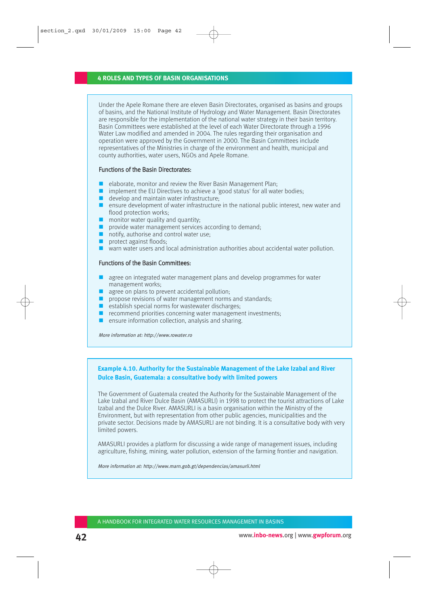Under the Apele Romane there are eleven Basin Directorates, organised as basins and groups of basins, and the National Institute of Hydrology and Water Management. Basin Directorates are responsible for the implementation of the national water strategy in their basin territory. Basin Committees were established at the level of each Water Directorate through a 1996 Water Law modified and amended in 2004. The rules regarding their organisation and operation were approved by the Government in 2000. The Basin Committees include representatives of the Ministries in charge of the environment and health, municipal and county authorities, water users, NGOs and Apele Romane.

### Functions of the Basin Directorates:

- elaborate, monitor and review the River Basin Management Plan;
- $\blacksquare$  implement the EU Directives to achieve a 'good status' for all water bodies;
- $\blacksquare$  develop and maintain water infrastructure:
- **E** ensure development of water infrastructure in the national public interest, new water and flood protection works;
- $\blacksquare$  monitor water quality and quantity;
- $\blacksquare$  provide water management services according to demand;
- notify, authorise and control water use:
- protect against floods;
- warn water users and local administration authorities about accidental water pollution.

#### Functions of the Basin Committees:

- agree on integrated water management plans and develop programmes for water management works;
- $\Box$  agree on plans to prevent accidental pollution;
- **P** propose revisions of water management norms and standards:
- $\blacksquare$  establish special norms for wastewater discharges;
- $\blacksquare$  recommend priorities concerning water management investments;
- $\blacksquare$  ensure information collection, analysis and sharing.

More information at: http://www.rowater.ro

# **Example 4.10. Authority for the Sustainable Management of the Lake Izabal and River Dulce Basin, Guatemala: a consultative body with limited powers**

The Government of Guatemala created the Authority for the Sustainable Management of the Lake Izabal and River Dulce Basin (AMASURLI) in 1998 to protect the tourist attractions of Lake Izabal and the Dulce River. AMASURLI is a basin organisation within the Ministry of the Environment, but with representation from other public agencies, municipalities and the private sector. Decisions made by AMASURLI are not binding. It is a consultative body with very limited powers.

AMASURLI provides a platform for discussing a wide range of management issues, including agriculture, fishing, mining, water pollution, extension of the farming frontier and navigation.

More information at: http://www.marn.gob.gt/dependencias/amasurli.html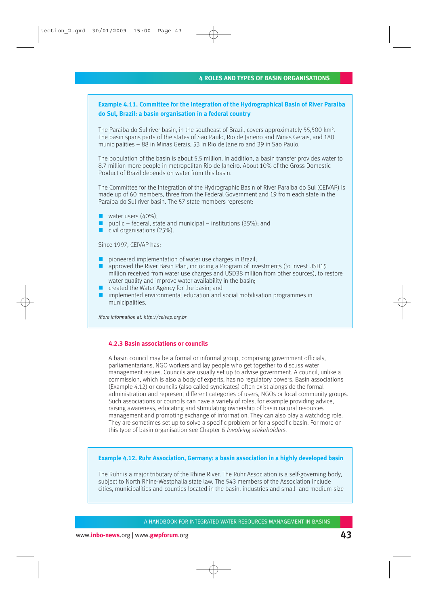# **Example 4.11. Committee for the Integration of the Hydrographical Basin of River Paraiba do Sul, Brazil: a basin organisation in a federal country**

The Paraiba do Sul river basin, in the southeast of Brazil, covers approximately 55,500 km². The basin spans parts of the states of Sao Paulo, Rio de Janeiro and Minas Gerais, and 180 municipalities – 88 in Minas Gerais, 53 in Rio de Janeiro and 39 in Sao Paulo.

The population of the basin is about 5.5 million. In addition, a basin transfer provides water to 8.7 million more people in metropolitan Rio de Janeiro. About 10% of the Gross Domestic Product of Brazil depends on water from this basin.

The Committee for the Integration of the Hydrographic Basin of River Paraiba do Sul (CEIVAP) is made up of 60 members, three from the Federal Government and 19 from each state in the Paraíba do Sul river basin. The 57 state members represent:

- **Water users**  $(40\%)$ **:**
- public federal, state and municipal institutions  $(35\%)$ ; and
- civil organisations (25%).

Since 1997, CEIVAP has:

- pioneered implementation of water use charges in Brazil;
- **a** approved the River Basin Plan, including a Program of Investments (to invest USD15) million received from water use charges and USD38 million from other sources), to restore water quality and improve water availability in the basin;
- **Created the Water Agency for the basin; and**
- $\blacksquare$  implemented environmental education and social mobilisation programmes in municipalities.

More information at: http://ceivap.org.br

### **4.2.3 Basin associations or councils**

A basin council may be a formal or informal group, comprising government officials, parliamentarians, NGO workers and lay people who get together to discuss water management issues. Councils are usually set up to advise government. A council, unlike a commission, which is also a body of experts, has no regulatory powers. Basin associations (Example 4.12) or councils (also called syndicates) often exist alongside the formal administration and represent different categories of users, NGOs or local community groups. Such associations or councils can have a variety of roles, for example providing advice, raising awareness, educating and stimulating ownership of basin natural resources management and promoting exchange of information. They can also play a watchdog role. They are sometimes set up to solve a specific problem or for a specific basin. For more on this type of basin organisation see Chapter 6 *Involving stakeholders*.

### **Example 4.12. Ruhr Association, Germany: a basin association in a highly developed basin**

The Ruhr is a major tributary of the Rhine River. The Ruhr Association is a self-governing body, subject to North Rhine-Westphalia state law. The 543 members of the Association include cities, municipalities and counties located in the basin, industries and small- and medium-size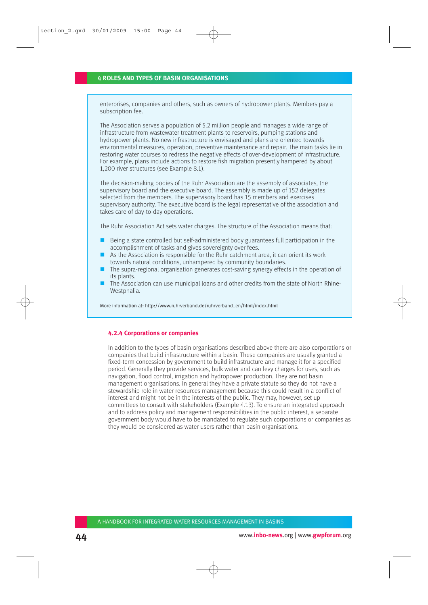enterprises, companies and others, such as owners of hydropower plants. Members pay a subscription fee.

The Association serves a population of 5.2 million people and manages a wide range of infrastructure from wastewater treatment plants to reservoirs, pumping stations and hydropower plants. No new infrastructure is envisaged and plans are oriented towards environmental measures, operation, preventive maintenance and repair. The main tasks lie in restoring water courses to redress the negative effects of over-development of infrastructure. For example, plans include actions to restore fish migration presently hampered by about 1,200 river structures (see Example 8.1).

The decision-making bodies of the Ruhr Association are the assembly of associates, the supervisory board and the executive board. The assembly is made up of 152 delegates selected from the members. The supervisory board has 15 members and exercises supervisory authority. The executive board is the legal representative of the association and takes care of day-to-day operations.

The Ruhr Association Act sets water charges. The structure of the Association means that:

- $\blacksquare$  Being a state controlled but self-administered body guarantees full participation in the accomplishment of tasks and gives sovereignty over fees.
- As the Association is responsible for the Ruhr catchment area, it can orient its work towards natural conditions, unhampered by community boundaries.
- **The supra-regional organisation generates cost-saving synergy effects in the operation of** its plants.
- The Association can use municipal loans and other credits from the state of North Rhine-Westphalia.

More information at: http://www.ruhrverband.de/ruhrverband\_en/html/index.html

### **4.2.4 Corporations or companies**

In addition to the types of basin organisations described above there are also corporations or companies that build infrastructure within a basin. These companies are usually granted a fixed-term concession by government to build infrastructure and manage it for a specified period. Generally they provide services, bulk water and can levy charges for uses, such as navigation, flood control, irrigation and hydropower production. They are not basin management organisations. In general they have a private statute so they do not have a stewardship role in water resources management because this could result in a conflict of interest and might not be in the interests of the public. They may, however, set up committees to consult with stakeholders (Example 4.13). To ensure an integrated approach and to address policy and management responsibilities in the public interest, a separate government body would have to be mandated to regulate such corporations or companies as they would be considered as water users rather than basin organisations.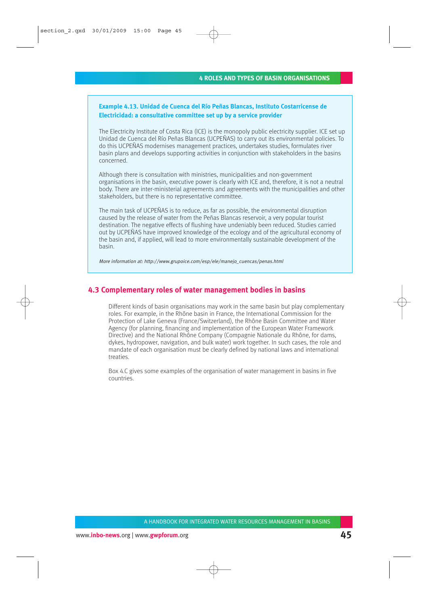# **Example 4.13. Unidad de Cuenca del Río Peñas Blancas, Instituto Costarricense de Electricidad: a consultative committee set up by a service provider**

The Electricity Institute of Costa Rica (ICE) is the monopoly public electricity supplier. ICE set up Unidad de Cuenca del Río Peñas Blancas (UCPEÑAS) to carry out its environmental policies. To do this UCPEÑAS modernises management practices, undertakes studies, formulates river basin plans and develops supporting activities in conjunction with stakeholders in the basins concerned.

Although there is consultation with ministries, municipalities and non-government organisations in the basin, executive power is clearly with ICE and, therefore, it is not a neutral body. There are inter-ministerial agreements and agreements with the municipalities and other stakeholders, but there is no representative committee.

The main task of UCPEÑAS is to reduce, as far as possible, the environmental disruption caused by the release of water from the Peñas Blancas reservoir, a very popular tourist destination. The negative effects of flushing have undeniably been reduced. Studies carried out by UCPEÑAS have improved knowledge of the ecology and of the agricultural economy of the basin and, if applied, will lead to more environmentally sustainable development of the basin.

More information at: http://www.grupoice.com/esp/ele/manejo\_cuencas/penas.html

# **4.3 Complementary roles of water management bodies in basins**

Different kinds of basin organisations may work in the same basin but play complementary roles. For example, in the Rhône basin in France, the International Commission for the Protection of Lake Geneva (France/Switzerland), the Rhône Basin Committee and Water Agency (for planning, financing and implementation of the European Water Framework Directive) and the National Rhône Company (Compagnie Nationale du Rhône, for dams, dykes, hydropower, navigation, and bulk water) work together. In such cases, the role and mandate of each organisation must be clearly defined by national laws and international treaties.

Box 4.C gives some examples of the organisation of water management in basins in five countries.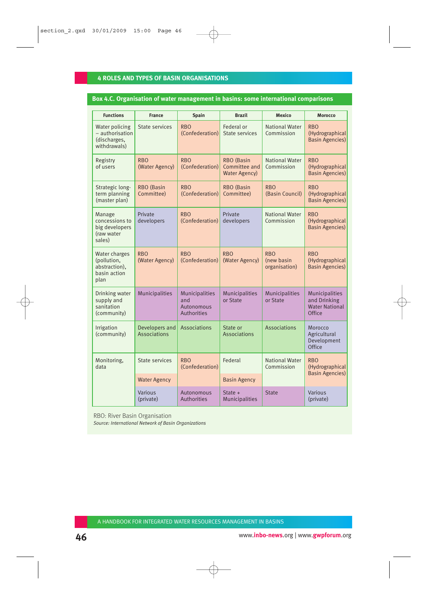### **Box 4.C. Organisation of water management in basins: some international comparisons**

| <b>Functions</b>                                                      | <b>France</b>                         | Spain                                              | <b>Brazil</b>                                       | Mexico                                    | <b>Morocco</b>                                                           |
|-----------------------------------------------------------------------|---------------------------------------|----------------------------------------------------|-----------------------------------------------------|-------------------------------------------|--------------------------------------------------------------------------|
| Water policing<br>- authorisation<br>(discharges,<br>withdrawals)     | State services                        | <b>RBO</b><br>(Confederation)                      | Federal or<br>State services                        | <b>National Water</b><br>Commission       | <b>RBO</b><br>(Hydrographical<br><b>Basin Agencies)</b>                  |
| Registry<br>of users                                                  | <b>RBO</b><br>(Water Agency)          | <b>RBO</b><br>(Confederation)                      | RBO (Basin<br>Committee and<br><b>Water Agency)</b> | <b>National Water</b><br>Commission       | <b>RBO</b><br>(Hydrographical<br><b>Basin Agencies)</b>                  |
| Strategic long-<br>term planning<br>(master plan)                     | RBO (Basin<br>Committee)              | <b>RBO</b><br>(Confederation)                      | RBO (Basin<br>Committee)                            | <b>RBO</b><br>(Basin Council)             | <b>RBO</b><br>(Hydrographical<br><b>Basin Agencies)</b>                  |
| Manage<br>concessions to<br>big developers<br>(raw water<br>sales)    | Private<br>developers                 | <b>RBO</b><br>(Confederation)                      | Private<br>developers                               | <b>National Water</b><br>Commission       | <b>RBO</b><br>(Hydrographical<br><b>Basin Agencies)</b>                  |
| Water charges<br>(pollution,<br>abstraction),<br>basin action<br>plan | <b>RBO</b><br>(Water Agency)          | <b>RBO</b><br>(Confederation)                      | <b>RBO</b><br>(Water Agency)                        | <b>RBO</b><br>(new basin<br>organisation) | <b>RBO</b><br>(Hydrographical<br><b>Basin Agencies)</b>                  |
| Drinking water<br>supply and<br>sanitation<br>(community)             | <b>Municipalities</b>                 | Municipalities<br>and<br>Autonomous<br>Authorities | <b>Municipalities</b><br>or State                   | <b>Municipalities</b><br>or State         | <b>Municipalities</b><br>and Drinking<br><b>Water National</b><br>Office |
| Irrigation<br>(community)                                             | Developers and<br><b>Associations</b> | <b>Associations</b>                                | State or<br><b>Associations</b>                     | <b>Associations</b>                       | Morocco<br>Agricultural<br>Development<br>Office                         |
| Monitoring,<br>data                                                   | State services                        | <b>RBO</b><br>(Confederation)                      | Federal                                             | <b>National Water</b><br>Commission       | <b>RBO</b><br>(Hydrographical<br><b>Basin Agencies)</b>                  |
|                                                                       | <b>Water Agency</b>                   |                                                    | <b>Basin Agency</b>                                 |                                           |                                                                          |
|                                                                       | Various<br>(private)                  | Autonomous<br>Authorities                          | State $+$<br><b>Municipalities</b>                  | <b>State</b>                              | <b>Various</b><br>(private)                                              |

RBO: River Basin Organisation

*Source: International Network of Basin Organizations*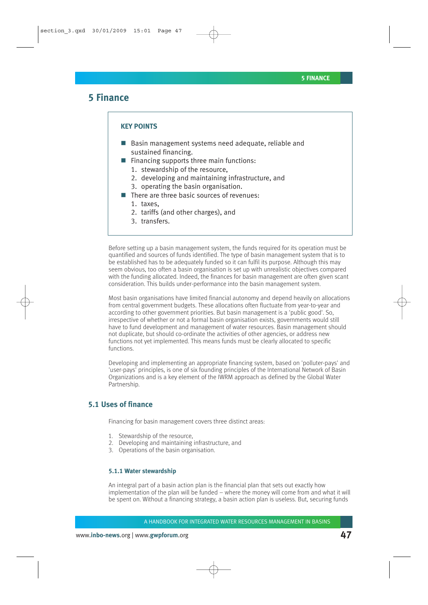# **5 Finance**

#### **KEY POINTS**

- Basin management systems need adequate, reliable and sustained financing.
- $\blacksquare$  Financing supports three main functions:
	- 1. stewardship of the resource,
	- 2. developing and maintaining infrastructure, and
	- 3. operating the basin organisation.
- $\blacksquare$  There are three basic sources of revenues:
	- 1. taxes,
	- 2. tariffs (and other charges), and
	- 3. transfers.

Before setting up a basin management system, the funds required for its operation must be quantified and sources of funds identified. The type of basin management system that is to be established has to be adequately funded so it can fulfil its purpose. Although this may seem obvious, too often a basin organisation is set up with unrealistic objectives compared with the funding allocated. Indeed, the finances for basin management are often given scant consideration. This builds under-performance into the basin management system.

Most basin organisations have limited financial autonomy and depend heavily on allocations from central government budgets. These allocations often fluctuate from year-to-year and according to other government priorities. But basin management is a 'public good'. So, irrespective of whether or not a formal basin organisation exists, governments would still have to fund development and management of water resources. Basin management should not duplicate, but should co-ordinate the activities of other agencies, or address new functions not yet implemented. This means funds must be clearly allocated to specific functions.

Developing and implementing an appropriate financing system, based on 'polluter-pays' and 'user-pays' principles, is one of six founding principles of the International Network of Basin Organizations and is a key element of the IWRM approach as defined by the Global Water Partnership.

# **5.1 Uses of finance**

Financing for basin management covers three distinct areas:

- 1. Stewardship of the resource,
- 2. Developing and maintaining infrastructure, and
- 3. Operations of the basin organisation.

#### **5.1.1 Water stewardship**

An integral part of a basin action plan is the financial plan that sets out exactly how implementation of the plan will be funded – where the money will come from and what it will be spent on. Without a financing strategy, a basin action plan is useless. But, securing funds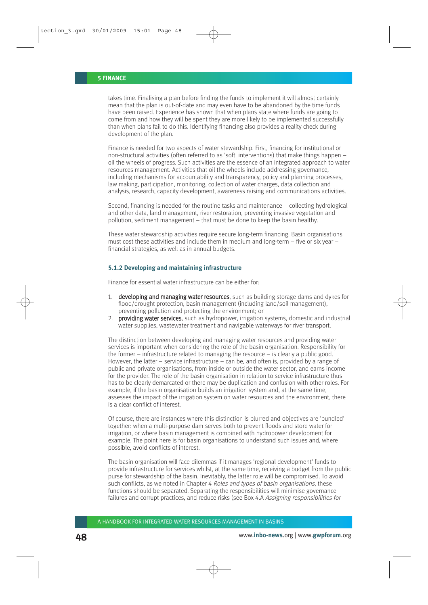takes time. Finalising a plan before finding the funds to implement it will almost certainly mean that the plan is out-of-date and may even have to be abandoned by the time funds have been raised. Experience has shown that when plans state where funds are going to come from and how they will be spent they are more likely to be implemented successfully than when plans fail to do this. Identifying financing also provides a reality check during development of the plan.

Finance is needed for two aspects of water stewardship. First, financing for institutional or non-structural activities (often referred to as 'soft' interventions) that make things happen – oil the wheels of progress. Such activities are the essence of an integrated approach to water resources management. Activities that oil the wheels include addressing governance, including mechanisms for accountability and transparency, policy and planning processes, law making, participation, monitoring, collection of water charges, data collection and analysis, research, capacity development, awareness raising and communications activities.

Second, financing is needed for the routine tasks and maintenance – collecting hydrological and other data, land management, river restoration, preventing invasive vegetation and pollution, sediment management – that must be done to keep the basin healthy.

These water stewardship activities require secure long-term financing. Basin organisations must cost these activities and include them in medium and long-term – five or six year – financial strategies, as well as in annual budgets.

### **5.1.2 Developing and maintaining infrastructure**

Finance for essential water infrastructure can be either for:

- 1. developing and managing water resources, such as building storage dams and dykes for flood/drought protection, basin management (including land/soil management), preventing pollution and protecting the environment; or
- 2. **providing water services**, such as hydropower, irrigation systems, domestic and industrial water supplies, wastewater treatment and navigable waterways for river transport.

The distinction between developing and managing water resources and providing water services is important when considering the role of the basin organisation. Responsibility for the former – infrastructure related to managing the resource – is clearly a public good. However, the latter – service infrastructure – can be, and often is, provided by a range of public and private organisations, from inside or outside the water sector, and earns income for the provider. The role of the basin organisation in relation to service infrastructure thus has to be clearly demarcated or there may be duplication and confusion with other roles. For example, if the basin organisation builds an irrigation system and, at the same time, assesses the impact of the irrigation system on water resources and the environment, there is a clear conflict of interest.

Of course, there are instances where this distinction is blurred and objectives are 'bundled' together: when a multi-purpose dam serves both to prevent floods and store water for irrigation, or where basin management is combined with hydropower development for example. The point here is for basin organisations to understand such issues and, where possible, avoid conflicts of interest.

The basin organisation will face dilemmas if it manages 'regional development' funds to provide infrastructure for services whilst, at the same time, receiving a budget from the public purse for stewardship of the basin. Inevitably, the latter role will be compromised. To avoid such conflicts, as we noted in Chapter 4 Roles and types of basin organisations, these functions should be separated. Separating the responsibilities will minimise governance failures and corrupt practices, and reduce risks (see Box 4.A Assigning responsibilities for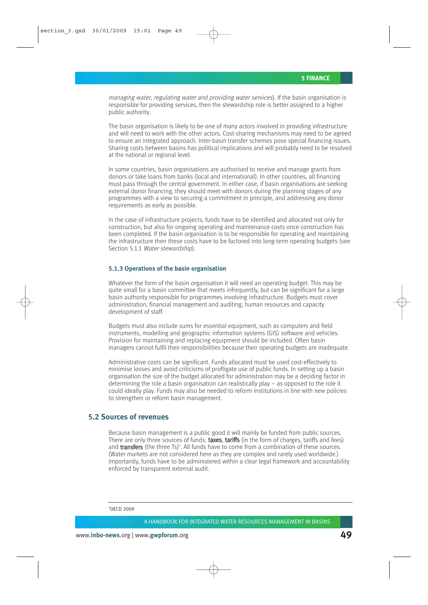managing water, regulating water and providing water services). If the basin organisation is responsible for providing services, then the stewardship role is better assigned to a higher public authority.

The basin organisation is likely to be one of many actors involved in providing infrastructure and will need to work with the other actors. Cost-sharing mechanisms may need to be agreed to ensure an integrated approach. Inter-basin transfer schemes pose special financing issues. Sharing costs between basins has political implications and will probably need to be resolved at the national or regional level.

In some countries, basin organisations are authorised to receive and manage grants from donors or take loans from banks (local and international). In other countries, all financing must pass through the central government. In either case, if basin organisations are seeking external donor financing, they should meet with donors during the planning stages of any programmes with a view to securing a commitment in principle, and addressing any donor requirements as early as possible.

In the case of infrastructure projects, funds have to be identified and allocated not only for construction, but also for ongoing operating and maintenance costs once construction has been completed. If the basin organisation is to be responsible for operating and maintaining the infrastructure then these costs have to be factored into long-term operating budgets (see Section 5.1.1 Water stewardship).

### **5.1.3 Operations of the basin organisation**

Whatever the form of the basin organisation it will need an operating budget. This may be quite small for a basin committee that meets infrequently, but can be significant for a large basin authority responsible for programmes involving infrastructure. Budgets must cover administration, financial management and auditing, human resources and capacity development of staff.

Budgets must also include sums for essential equipment, such as computers and field instruments, modelling and geographic information systems (GIS) software and vehicles. Provision for maintaining and replacing equipment should be included. Often basin managers cannot fulfil their responsibilities because their operating budgets are inadequate.

Administrative costs can be significant. Funds allocated must be used cost-effectively to minimise losses and avoid criticisms of profligate use of public funds. In setting up a basin organisation the size of the budget allocated for administration may be a deciding factor in determining the role a basin organisation can realistically play – as opposed to the role it could ideally play. Funds may also be needed to reform institutions in line with new policies to strengthen or reform basin management.

# **5.2 Sources of revenues**

Because basin management is a public good it will mainly be funded from public sources. There are only three sources of funds: taxes, tariffs (in the form of charges, tariffs and fees) and transfers (the three Ts)<sup>4</sup>. All funds have to come from a combination of these sources. (Water markets are not considered here as they are complex and rarely used worldwide.) Importantly, funds have to be administered within a clear legal framework and accountability enforced by transparent external audit.

4 OECD 2009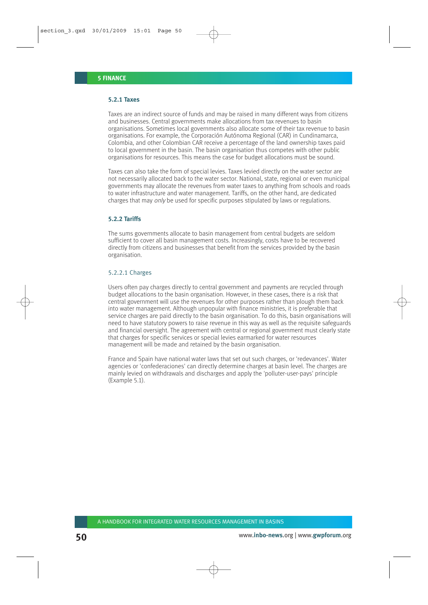### **5.2.1 Taxes**

Taxes are an indirect source of funds and may be raised in many different ways from citizens and businesses. Central governments make allocations from tax revenues to basin organisations. Sometimes local governments also allocate some of their tax revenue to basin organisations. For example, the Corporación Autónoma Regional (CAR) in Cundinamarca, Colombia, and other Colombian CAR receive a percentage of the land ownership taxes paid to local government in the basin. The basin organisation thus competes with other public organisations for resources. This means the case for budget allocations must be sound.

Taxes can also take the form of special levies. Taxes levied directly on the water sector are not necessarily allocated back to the water sector. National, state, regional or even municipal governments may allocate the revenues from water taxes to anything from schools and roads to water infrastructure and water management. Tariffs, on the other hand, are dedicated charges that may only be used for specific purposes stipulated by laws or regulations.

### **5.2.2 Tariffs**

The sums governments allocate to basin management from central budgets are seldom sufficient to cover all basin management costs. Increasingly, costs have to be recovered directly from citizens and businesses that benefit from the services provided by the basin organisation.

#### 5.2.2.1 Charges

Users often pay charges directly to central government and payments are recycled through budget allocations to the basin organisation. However, in these cases, there is a risk that central government will use the revenues for other purposes rather than plough them back into water management. Although unpopular with finance ministries, it is preferable that service charges are paid directly to the basin organisation. To do this, basin organisations will need to have statutory powers to raise revenue in this way as well as the requisite safeguards and financial oversight. The agreement with central or regional government must clearly state that charges for specific services or special levies earmarked for water resources management will be made and retained by the basin organisation.

France and Spain have national water laws that set out such charges, or 'redevances'. Water agencies or 'confederaciones' can directly determine charges at basin level. The charges are mainly levied on withdrawals and discharges and apply the 'polluter-user-pays' principle (Example 5.1).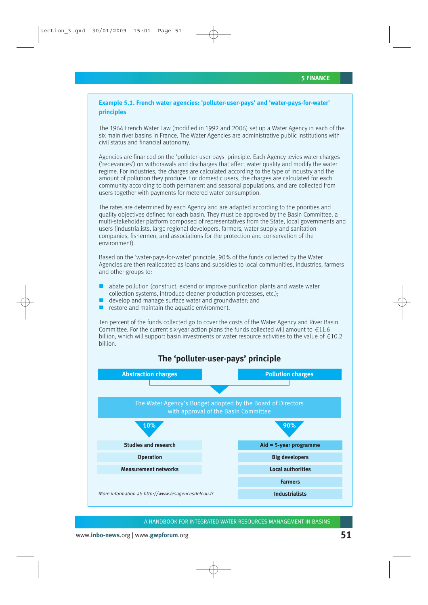**Example 5.1. French water agencies: 'polluter-user-pays' and 'water-pays-for-water' principles**

The 1964 French Water Law (modified in 1992 and 2006) set up a Water Agency in each of the six main river basins in France. The Water Agencies are administrative public institutions with civil status and financial autonomy.

Agencies are financed on the 'polluter-user-pays' principle. Each Agency levies water charges ('redevances') on withdrawals and discharges that affect water quality and modify the water regime. For industries, the charges are calculated according to the type of industry and the amount of pollution they produce. For domestic users, the charges are calculated for each community according to both permanent and seasonal populations, and are collected from users together with payments for metered water consumption.

The rates are determined by each Agency and are adapted according to the priorities and quality objectives defined for each basin. They must be approved by the Basin Committee, a multi-stakeholder platform composed of representatives from the State, local governments and users (industrialists, large regional developers, farmers, water supply and sanitation companies, fishermen, and associations for the protection and conservation of the environment).

Based on the 'water-pays-for-water' principle, 90% of the funds collected by the Water Agencies are then reallocated as loans and subsidies to local communities, industries, farmers and other groups to:

- abate pollution (construct, extend or improve purification plants and waste water collection systems, introduce cleaner production processes, etc.);
- develop and manage surface water and groundwater; and
- $\blacksquare$  restore and maintain the aquatic environment.

Ten percent of the funds collected go to cover the costs of the Water Agency and River Basin Committee. For the current six-year action plans the funds collected will amount to  $\text{\textsterling}11.6$ billion, which will support basin investments or water resource activities to the value of  $\epsilon$ 10.2 billion.



**The 'polluter-user-pays' principle**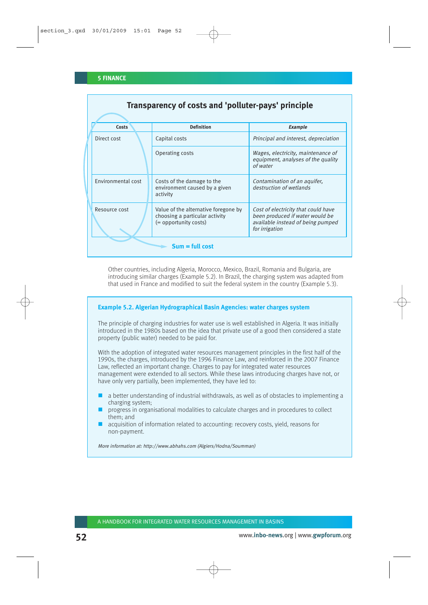| Transparency of costs and 'polluter-pays' principle |                                                                                                 |                                                                                                                                      |  |  |
|-----------------------------------------------------|-------------------------------------------------------------------------------------------------|--------------------------------------------------------------------------------------------------------------------------------------|--|--|
| Costs                                               | <b>Definition</b>                                                                               | Example                                                                                                                              |  |  |
| Direct cost                                         | Capital costs                                                                                   | Principal and interest, depreciation                                                                                                 |  |  |
|                                                     | Operating costs                                                                                 | Wages, electricity, maintenance of<br>equipment, analyses of the quality<br>of water                                                 |  |  |
| Environmental cost                                  | Costs of the damage to the<br>environment caused by a given<br>activity                         | Contamination of an aquifer,<br>destruction of wetlands                                                                              |  |  |
| Resource cost                                       | Value of the alternative foregone by<br>choosing a particular activity<br>(= opportunity costs) | Cost of electricity that could have<br>been produced if water would be<br>available instead of being pumped<br>for <i>irrigation</i> |  |  |
| $Sum = full cost$                                   |                                                                                                 |                                                                                                                                      |  |  |

Other countries, including Algeria, Morocco, Mexico, Brazil, Romania and Bulgaria, are introducing similar charges (Example 5.2). In Brazil, the charging system was adapted from that used in France and modified to suit the federal system in the country (Example 5.3).

### **Example 5.2. Algerian Hydrographical Basin Agencies: water charges system**

The principle of charging industries for water use is well established in Algeria. It was initially introduced in the 1980s based on the idea that private use of a good then considered a state property (public water) needed to be paid for.

With the adoption of integrated water resources management principles in the first half of the 1990s, the charges, introduced by the 1996 Finance Law, and reinforced in the 2007 Finance Law, reflected an important change. Charges to pay for integrated water resources management were extended to all sectors. While these laws introducing charges have not, or have only very partially, been implemented, they have led to:

- $\Box$  a better understanding of industrial withdrawals, as well as of obstacles to implementing a charging system;
- **P** progress in organisational modalities to calculate charges and in procedures to collect them; and
- acquisition of information related to accounting: recovery costs, yield, reasons for non-payment.

More information at: http://www.abhahs.com (Algiers/Hodna/Soumman)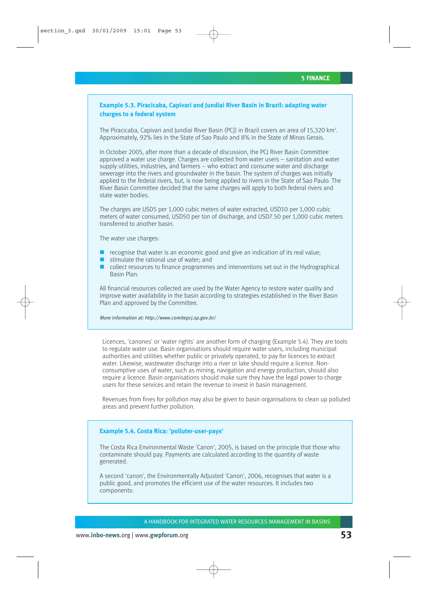# **Example 5.3. Piracicaba, Capivari and Jundiai River Basin in Brazil: adapting water charges to a federal system**

The Piracicaba, Capivari and Jundiai River Basin (PCJ) in Brazil covers an area of 15,320 km<sup>2</sup>. Approximately, 92% lies in the State of Sao Paulo and 8% in the State of Minas Gerais.

In October 2005, after more than a decade of discussion, the PCJ River Basin Committee approved a water use charge. Charges are collected from water users – sanitation and water supply utilities, industries, and farmers – who extract and consume water and discharge sewerage into the rivers and groundwater in the basin. The system of charges was initially applied to the federal rivers, but, is now being applied to rivers in the State of Sao Paulo. The River Basin Committee decided that the same charges will apply to both federal rivers and state water bodies.

The charges are USD5 per 1,000 cubic meters of water extracted, USD10 per 1,000 cubic meters of water consumed, USD50 per ton of discharge, and USD7.50 per 1,000 cubic meters transferred to another basin.

The water use charges:

- $\blacksquare$  recognise that water is an economic good and give an indication of its real value;
- $\blacksquare$  stimulate the rational use of water; and
- $\Box$  collect resources to finance programmes and interventions set out in the Hydrographical Basin Plan.

All financial resources collected are used by the Water Agency to restore water quality and improve water availability in the basin according to strategies established in the River Basin Plan and approved by the Committee.

More information at: http://www.comitepcj.sp.gov.br/

Licences, 'canones' or 'water rights' are another form of charging (Example 5.4). They are tools to regulate water use. Basin organisations should require water users, including municipal authorities and utilities whether public or privately operated, to pay for licences to extract water. Likewise, wastewater discharge into a river or lake should require a licence. Nonconsumptive uses of water, such as mining, navigation and energy production, should also require a licence. Basin organisations should make sure they have the legal power to charge users for these services and retain the revenue to invest in basin management.

Revenues from fines for pollution may also be given to basin organisations to clean up polluted areas and prevent further pollution.

### **Example 5.4. Costa Rica: 'polluter-user-pays'**

The Costa Rica Environmental Waste 'Canon', 2005, is based on the principle that those who contaminate should pay. Payments are calculated according to the quantity of waste generated.

A second 'canon', the Environmentally Adjusted 'Canon', 2006, recognises that water is a public good, and promotes the efficient use of the water resources. It includes two components: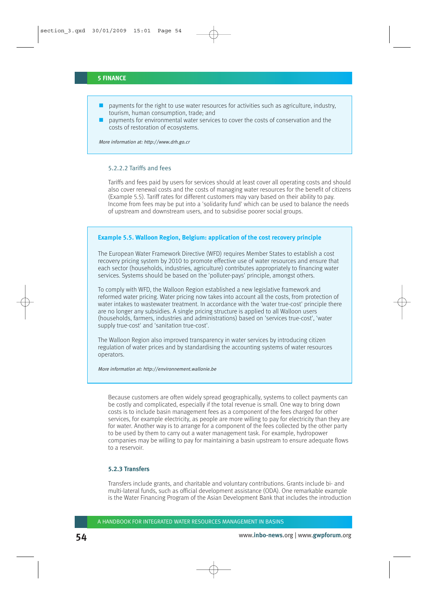- $\Box$  payments for the right to use water resources for activities such as agriculture, industry, tourism, human consumption, trade; and
- $\Box$  payments for environmental water services to cover the costs of conservation and the costs of restoration of ecosystems.

More information at: http://www.drh.go.cr

### 5.2.2.2 Tariffs and fees

Tariffs and fees paid by users for services should at least cover all operating costs and should also cover renewal costs and the costs of managing water resources for the benefit of citizens (Example 5.5). Tariff rates for different customers may vary based on their ability to pay. Income from fees may be put into a 'solidarity fund' which can be used to balance the needs of upstream and downstream users, and to subsidise poorer social groups.

#### **Example 5.5. Walloon Region, Belgium: application of the cost recovery principle**

The European Water Framework Directive (WFD) requires Member States to establish a cost recovery pricing system by 2010 to promote effective use of water resources and ensure that each sector (households, industries, agriculture) contributes appropriately to financing water services. Systems should be based on the 'polluter-pays' principle, amongst others.

To comply with WFD, the Walloon Region established a new legislative framework and reformed water pricing. Water pricing now takes into account all the costs, from protection of water intakes to wastewater treatment. In accordance with the 'water true-cost' principle there are no longer any subsidies. A single pricing structure is applied to all Walloon users (households, farmers, industries and administrations) based on 'services true-cost', 'water supply true-cost' and 'sanitation true-cost'.

The Walloon Region also improved transparency in water services by introducing citizen regulation of water prices and by standardising the accounting systems of water resources operators.

More information at: http://environnement.wallonie.be

Because customers are often widely spread geographically, systems to collect payments can be costly and complicated, especially if the total revenue is small. One way to bring down costs is to include basin management fees as a component of the fees charged for other services, for example electricity, as people are more willing to pay for electricity than they are for water. Another way is to arrange for a component of the fees collected by the other party to be used by them to carry out a water management task. For example, hydropower companies may be willing to pay for maintaining a basin upstream to ensure adequate flows to a reservoir.

### **5.2.3 Transfers**

Transfers include grants, and charitable and voluntary contributions. Grants include bi- and multi-lateral funds, such as official development assistance (ODA). One remarkable example is the Water Financing Program of the Asian Development Bank that includes the introduction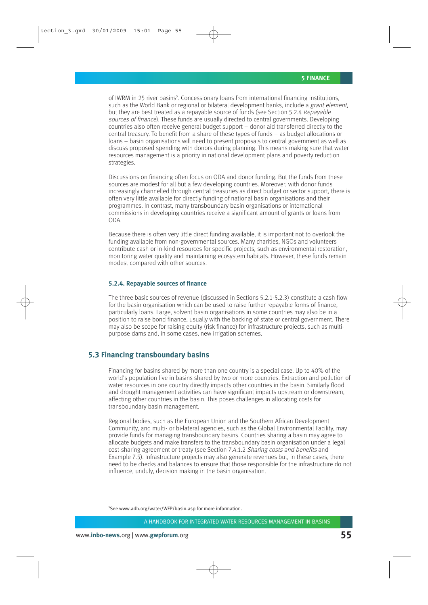of IWRM in 25 river basins<sup>5</sup>. Concessionary loans from international financing institutions, such as the World Bank or regional or bilateral development banks, include a grant element, but they are best treated as a repayable source of funds (see Section 5.2.4 Repayable sources of finance). These funds are usually directed to central governments. Developing countries also often receive general budget support – donor aid transferred directly to the central treasury. To benefit from a share of these types of funds – as budget allocations or loans – basin organisations will need to present proposals to central government as well as discuss proposed spending with donors during planning. This means making sure that water resources management is a priority in national development plans and poverty reduction strategies.

Discussions on financing often focus on ODA and donor funding. But the funds from these sources are modest for all but a few developing countries. Moreover, with donor funds increasingly channelled through central treasuries as direct budget or sector support, there is often very little available for directly funding of national basin organisations and their programmes. In contrast, many transboundary basin organisations or international commissions in developing countries receive a significant amount of grants or loans from ODA.

Because there is often very little direct funding available, it is important not to overlook the funding available from non-governmental sources. Many charities, NGOs and volunteers contribute cash or in-kind resources for specific projects, such as environmental restoration, monitoring water quality and maintaining ecosystem habitats. However, these funds remain modest compared with other sources.

#### **5.2.4. Repayable sources of finance**

The three basic sources of revenue (discussed in Sections 5.2.1-5.2.3) constitute a cash flow for the basin organisation which can be used to raise further repayable forms of finance, particularly loans. Large, solvent basin organisations in some countries may also be in a position to raise bond finance, usually with the backing of state or central government. There may also be scope for raising equity (risk finance) for infrastructure projects, such as multipurpose dams and, in some cases, new irrigation schemes.

# **5.3 Financing transboundary basins**

Financing for basins shared by more than one country is a special case. Up to 40% of the world's population live in basins shared by two or more countries. Extraction and pollution of water resources in one country directly impacts other countries in the basin. Similarly flood and drought management activities can have significant impacts upstream or downstream, affecting other countries in the basin. This poses challenges in allocating costs for transboundary basin management.

Regional bodies, such as the European Union and the Southern African Development Community, and multi- or bi-lateral agencies, such as the Global Environmental Facility, may provide funds for managing transboundary basins. Countries sharing a basin may agree to allocate budgets and make transfers to the transboundary basin organisation under a legal cost-sharing agreement or treaty (see Section 7.4.1.2 Sharing costs and benefits and Example 7.5). Infrastructure projects may also generate revenues but, in these cases, there need to be checks and balances to ensure that those responsible for the infrastructure do not influence, unduly, decision making in the basin organisation.

<sup>5</sup> See www.adb.org/water/WFP/basin.asp for more information.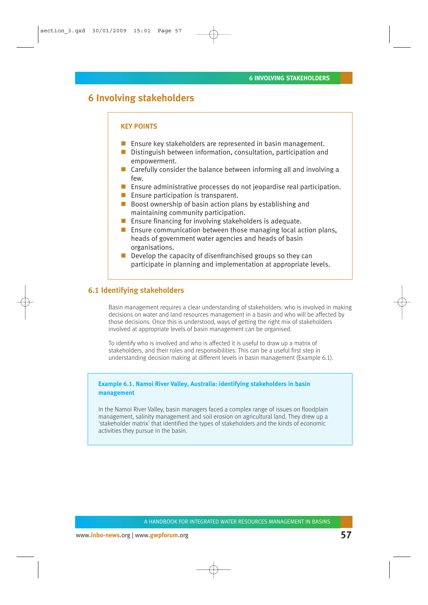# **6 Involving stakeholders**

#### **KEY POINTS**

- **E** Ensure key stakeholders are represented in basin management.
- Distinguish between information, consultation, participation and empowerment.
- Carefully consider the balance between informing all and involving a few.
- **Ensure administrative processes do not jeopardise real participation.**
- **Ensure participation is transparent.**
- $\blacksquare$  Boost ownership of basin action plans by establishing and maintaining community participation.
- **E** Ensure financing for involving stakeholders is adequate.
- **E** Ensure communication between those managing local action plans, heads of government water agencies and heads of basin organisations.
- $\blacksquare$  Develop the capacity of disenfranchised groups so they can participate in planning and implementation at appropriate levels.

# **6.1 Identifying stakeholders**

Basin management requires a clear understanding of stakeholders: who is involved in making decisions on water and land resources management in a basin and who will be affected by those decisions. Once this is understood, ways of getting the right mix of stakeholders involved at appropriate levels of basin management can be organised.

To identify who is involved and who is affected it is useful to draw up a matrix of stakeholders, and their roles and responsibilities. This can be a useful first step in understanding decision making at different levels in basin management (Example 6.1).

## **Example 6.1. Namoi River Valley, Australia: identifying stakeholders in basin management**

In the Namoi River Valley, basin managers faced a complex range of issues on floodplain management, salinity management and soil erosion on agricultural land. They drew up a 'stakeholder matrix' that identified the types of stakeholders and the kinds of economic activities they pursue in the basin.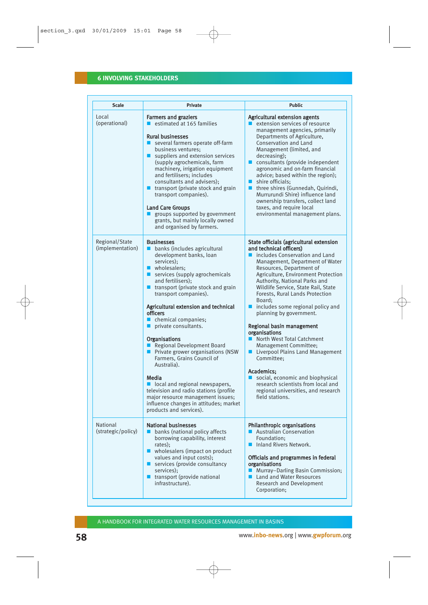| <b>Scale</b>                       | <b>Private</b>                                                                                                                                                                                                                                                                                                                                                                                                                                                                                                                                                                                                                                                                               | <b>Public</b>                                                                                                                                                                                                                                                                                                                                                                                                                                                                                                                                                                                                                                                                                                                |
|------------------------------------|----------------------------------------------------------------------------------------------------------------------------------------------------------------------------------------------------------------------------------------------------------------------------------------------------------------------------------------------------------------------------------------------------------------------------------------------------------------------------------------------------------------------------------------------------------------------------------------------------------------------------------------------------------------------------------------------|------------------------------------------------------------------------------------------------------------------------------------------------------------------------------------------------------------------------------------------------------------------------------------------------------------------------------------------------------------------------------------------------------------------------------------------------------------------------------------------------------------------------------------------------------------------------------------------------------------------------------------------------------------------------------------------------------------------------------|
| Local<br>(operational)             | <b>Farmers and graziers</b><br>estimated at 165 families<br><b>Rural businesses</b><br>■ several farmers operate off-farm<br>business ventures;<br>suppliers and extension services<br>(supply agrochemicals, farm<br>machinery, irrigation equipment<br>and fertilisers; includes<br>consultants and advisers);<br><b>u</b> transport (private stock and grain<br>transport companies).<br><b>Land Care Groups</b><br>groups supported by government<br>grants, but mainly locally owned<br>and organised by farmers.                                                                                                                                                                       | Agricultural extension agents<br>extension services of resource<br>management agencies, primarily<br>Departments of Agriculture,<br>Conservation and Land<br>Management (limited, and<br>decreasing);<br>consultants (provide independent<br>agronomic and on-farm financial<br>advice; based within the region);<br>shire officials;<br>■ three shires (Gunnedah, Quirindi,<br>Murrurundi Shire) influence land<br>ownership transfers, collect land<br>taxes, and require local<br>environmental management plans.                                                                                                                                                                                                         |
| Regional/State<br>(implementation) | <b>Businesses</b><br>banks (includes agricultural<br>development banks, loan<br>services):<br>■ wholesalers:<br>services (supply agrochemicals<br>and fertilisers);<br><b>u</b> transport (private stock and grain<br>transport companies).<br>Agricultural extension and technical<br><b>officers</b><br>chemical companies;<br>private consultants.<br>Organisations<br>Regional Development Board<br><b>Private grower organisations (NSW</b><br>Farmers, Grains Council of<br>Australia).<br>Media<br>local and regional newspapers,<br>television and radio stations (profile<br>major resource management issues;<br>influence changes in attitudes; market<br>products and services). | State officials (agricultural extension<br>and technical officers)<br>nincludes Conservation and Land<br>Management, Department of Water<br>Resources, Department of<br>Agriculture, Environment Protection<br>Authority, National Parks and<br>Wildlife Service, State Rail, State<br>Forests, Rural Lands Protection<br>Board:<br>$\blacksquare$ includes some regional policy and<br>planning by government.<br>Regional basin management<br>organisations<br>■ North West Total Catchment<br>Management Committee;<br>■ Liverpool Plains Land Management<br>Committee;<br>Academics:<br>social, economic and biophysical<br>research scientists from local and<br>regional universities, and research<br>field stations. |
| National<br>(strategic/policy)     | <b>National businesses</b><br>banks (national policy affects<br>borrowing capability, interest<br>rates);<br>■ wholesalers (impact on product<br>values and input costs);<br>services (provide consultancy<br>services);<br>transport (provide national<br>infrastructure).                                                                                                                                                                                                                                                                                                                                                                                                                  | <b>Philanthropic organisations</b><br>■ Australian Conservation<br>Foundation:<br>Inland Rivers Network.<br>п<br>Officials and programmes in federal<br>organisations<br>■ Murray-Darling Basin Commission;<br>■ Land and Water Resources<br><b>Research and Development</b><br>Corporation;                                                                                                                                                                                                                                                                                                                                                                                                                                 |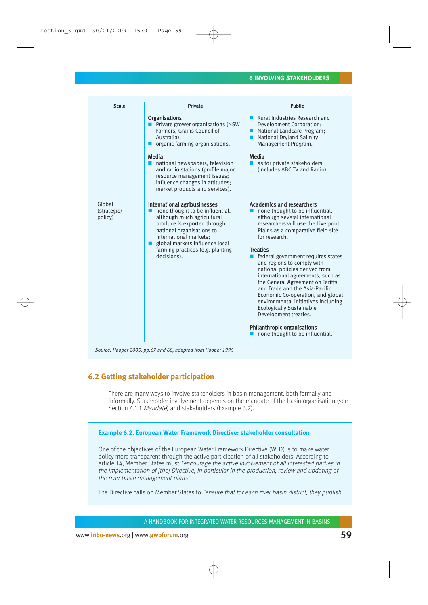| <b>Scale</b>                     | <b>Private</b>                                                                                                                                                                                                                                                                                                                | <b>Public</b>                                                                                                                                                                                                                                                                                                                                                                                                                                                                                                                                                                                                                                                                              |
|----------------------------------|-------------------------------------------------------------------------------------------------------------------------------------------------------------------------------------------------------------------------------------------------------------------------------------------------------------------------------|--------------------------------------------------------------------------------------------------------------------------------------------------------------------------------------------------------------------------------------------------------------------------------------------------------------------------------------------------------------------------------------------------------------------------------------------------------------------------------------------------------------------------------------------------------------------------------------------------------------------------------------------------------------------------------------------|
|                                  | <b>Organisations</b><br>Private grower organisations (NSW<br>Farmers, Grains Council of<br>Australia);<br>organic farming organisations.<br>Media<br>national newspapers, television<br>and radio stations (profile major<br>resource management issues;<br>influence changes in attitudes;<br>market products and services). | ■ Rural Industries Research and<br>Development Corporation;<br>National Landcare Program;<br><b>National Dryland Salinity</b><br><b>Service</b><br>Management Program.<br>Media<br>as for private stakeholders<br>(includes ABC TV and Radio).                                                                                                                                                                                                                                                                                                                                                                                                                                             |
| Global<br>(strategic/<br>policy) | International agribusinesses<br>none thought to be influential,<br>although much agricultural<br>produce is exported through<br>national organisations to<br>international markets:<br>global markets influence local<br>farming practices (e.g. planting<br>decisions).                                                      | <b>Academics and researchers</b><br>$\blacksquare$ none thought to be influential,<br>although several international<br>researchers will use the Liverpool<br>Plains as a comparative field site<br>for research.<br><b>Treaties</b><br>federal government requires states<br>П<br>and regions to comply with<br>national policies derived from<br>international agreements, such as<br>the General Agreement on Tariffs<br>and Trade and the Asia-Pacific<br>Economic Co-operation, and global<br>environmental initiatives including<br><b>Ecologically Sustainable</b><br>Development treaties.<br><b>Philanthropic organisations</b><br>$\blacksquare$ none thought to be influential. |

# **6.2 Getting stakeholder participation**

There are many ways to involve stakeholders in basin management, both formally and informally. Stakeholder involvement depends on the mandate of the basin organisation (see Section 4.1.1 Mandate) and stakeholders (Example 6.2).

### **Example 6.2. European Water Framework Directive: stakeholder consultation**

One of the objectives of the European Water Framework Directive (WFD) is to make water policy more transparent through the active participation of all stakeholders. According to article 14, Member States must "encourage the active involvement of all interested parties in the implementation of [the] Directive, in particular in the production, review and updating of the river basin management plans".

The Directive calls on Member States to "ensure that for each river basin district, they publish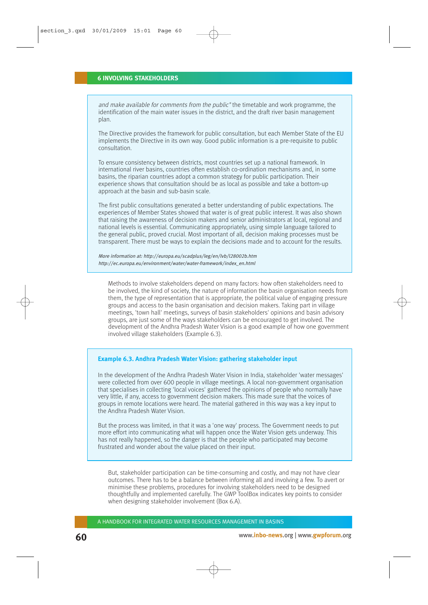and make available for comments from the public" the timetable and work programme, the identification of the main water issues in the district, and the draft river basin management plan.

The Directive provides the framework for public consultation, but each Member State of the EU implements the Directive in its own way. Good public information is a pre-requisite to public consultation.

To ensure consistency between districts, most countries set up a national framework. In international river basins, countries often establish co-ordination mechanisms and, in some basins, the riparian countries adopt a common strategy for public participation. Their experience shows that consultation should be as local as possible and take a bottom-up approach at the basin and sub-basin scale.

The first public consultations generated a better understanding of public expectations. The experiences of Member States showed that water is of great public interest. It was also shown that raising the awareness of decision makers and senior administrators at local, regional and national levels is essential. Communicating appropriately, using simple language tailored to the general public, proved crucial. Most important of all, decision making processes must be transparent. There must be ways to explain the decisions made and to account for the results.

More information at: http://europa.eu/scadplus/leg/en/lvb/l28002b.htm http://ec.europa.eu/environment/water/water-framework/index\_en.html

Methods to involve stakeholders depend on many factors: how often stakeholders need to be involved, the kind of society, the nature of information the basin organisation needs from them, the type of representation that is appropriate, the political value of engaging pressure groups and access to the basin organisation and decision makers. Taking part in village meetings, 'town hall' meetings, surveys of basin stakeholders' opinions and basin advisory groups, are just some of the ways stakeholders can be encouraged to get involved. The development of the Andhra Pradesh Water Vision is a good example of how one government involved village stakeholders (Example 6.3).

### **Example 6.3. Andhra Pradesh Water Vision: gathering stakeholder input**

In the development of the Andhra Pradesh Water Vision in India, stakeholder 'water messages' were collected from over 600 people in village meetings. A local non-government organisation that specialises in collecting 'local voices' gathered the opinions of people who normally have very little, if any, access to government decision makers. This made sure that the voices of groups in remote locations were heard. The material gathered in this way was a key input to the Andhra Pradesh Water Vision.

But the process was limited, in that it was a 'one way' process. The Government needs to put more effort into communicating what will happen once the Water Vision gets underway. This has not really happened, so the danger is that the people who participated may become frustrated and wonder about the value placed on their input.

But, stakeholder participation can be time-consuming and costly, and may not have clear outcomes. There has to be a balance between informing all and involving a few. To avert or minimise these problems, procedures for involving stakeholders need to be designed thoughtfully and implemented carefully. The GWP ToolBox indicates key points to consider when designing stakeholder involvement (Box 6.A).

A HANDBOOK FOR INTEGRATED WATER RESOURCES MANAGEMENT IN BASINS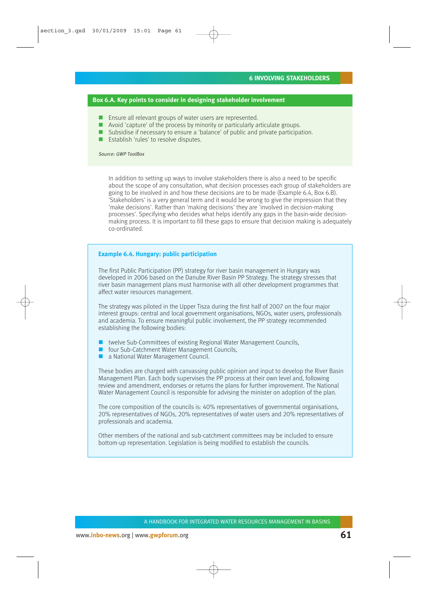### **Box 6.A. Key points to consider in designing stakeholder involvement**

- **Ensure all relevant groups of water users are represented.**
- $\blacksquare$  Avoid 'capture' of the process by minority or particularly articulate groups.
- Subsidise if necessary to ensure a 'balance' of public and private participation.
- **E** Establish 'rules' to resolve disputes.

#### Source: GWP ToolBox

In addition to setting up ways to involve stakeholders there is also a need to be specific about the scope of any consultation, what decision processes each group of stakeholders are going to be involved in and how these decisions are to be made (Example 6.4, Box 6.B). 'Stakeholders' is a very general term and it would be wrong to give the impression that they 'make decisions'. Rather than 'making decisions' they are 'involved in decision-making processes'. Specifying who decides what helps identify any gaps in the basin-wide decisionmaking process. It is important to fill these gaps to ensure that decision making is adequately co-ordinated.

### **Example 6.4. Hungary: public participation**

The first Public Participation (PP) strategy for river basin management in Hungary was developed in 2006 based on the Danube River Basin PP Strategy. The strategy stresses that river basin management plans must harmonise with all other development programmes that affect water resources management.

The strategy was piloted in the Upper Tisza during the first half of 2007 on the four major interest groups: central and local government organisations, NGOs, water users, professionals and academia. To ensure meaningful public involvement, the PP strategy recommended establishing the following bodies:

- twelve Sub-Committees of existing Regional Water Management Councils,
- **Factor Sub-Catchment Water Management Councils,**
- a National Water Management Council.

These bodies are charged with canvassing public opinion and input to develop the River Basin Management Plan. Each body supervises the PP process at their own level and, following review and amendment, endorses or returns the plans for further improvement. The National Water Management Council is responsible for advising the minister on adoption of the plan.

The core composition of the councils is: 40% representatives of governmental organisations, 20% representatives of NGOs, 20% representatives of water users and 20% representatives of professionals and academia.

Other members of the national and sub-catchment committees may be included to ensure bottom-up representation. Legislation is being modified to establish the councils.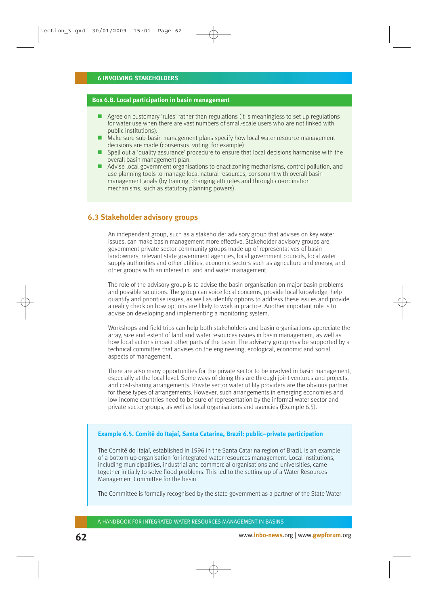### **Box 6.B. Local participation in basin management**

- Agree on customary 'rules' rather than regulations (it is meaningless to set up regulations for water use when there are vast numbers of small-scale users who are not linked with public institutions).
- $\blacksquare$  Make sure sub-basin management plans specify how local water resource management decisions are made (consensus, voting, for example).
- **Spell out a 'quality assurance' procedure to ensure that local decisions harmonise with the** overall basin management plan.
- Advise local government organisations to enact zoning mechanisms, control pollution, and use planning tools to manage local natural resources, consonant with overall basin management goals (by training, changing attitudes and through co-ordination mechanisms, such as statutory planning powers).

# **6.3 Stakeholder advisory groups**

An independent group, such as a stakeholder advisory group that advises on key water issues, can make basin management more effective. Stakeholder advisory groups are government-private sector-community groups made up of representatives of basin landowners, relevant state government agencies, local government councils, local water supply authorities and other utilities, economic sectors such as agriculture and energy, and other groups with an interest in land and water management.

The role of the advisory group is to advise the basin organisation on major basin problems and possible solutions. The group can voice local concerns, provide local knowledge, help quantify and prioritise issues, as well as identify options to address these issues and provide a reality check on how options are likely to work in practice. Another important role is to advise on developing and implementing a monitoring system.

Workshops and field trips can help both stakeholders and basin organisations appreciate the array, size and extent of land and water resources issues in basin management, as well as how local actions impact other parts of the basin. The advisory group may be supported by a technical committee that advises on the engineering, ecological, economic and social aspects of management.

There are also many opportunities for the private sector to be involved in basin management, especially at the local level. Some ways of doing this are through joint ventures and projects, and cost-sharing arrangements. Private sector water utility providers are the obvious partner for these types of arrangements. However, such arrangements in emerging economies and low-income countries need to be sure of representation by the informal water sector and private sector groups, as well as local organisations and agencies (Example 6.5).

### **Example 6.5. Comitê do Itajaí, Santa Catarina, Brazil: public–private participation**

The Comitê do Itajaí, established in 1996 in the Santa Catarina region of Brazil, is an example of a bottom up organisation for integrated water resources management. Local institutions, including municipalities, industrial and commercial organisations and universities, came together initially to solve flood problems. This led to the setting up of a Water Resources Management Committee for the basin.

The Committee is formally recognised by the state government as a partner of the State Water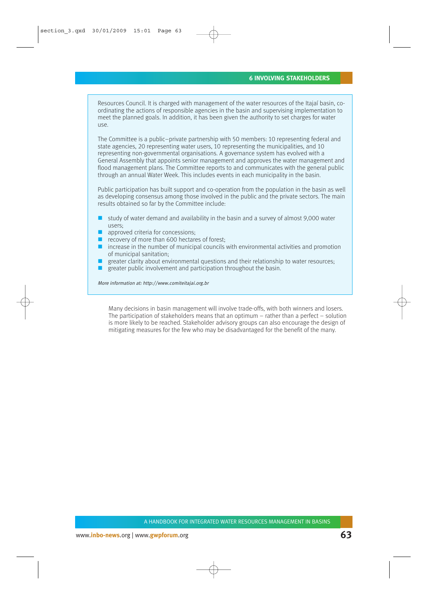Resources Council. It is charged with management of the water resources of the Itajaí basin, coordinating the actions of responsible agencies in the basin and supervising implementation to meet the planned goals. In addition, it has been given the authority to set charges for water use.

The Committee is a public–private partnership with 50 members: 10 representing federal and state agencies, 20 representing water users, 10 representing the municipalities, and 10 representing non-governmental organisations. A governance system has evolved with a General Assembly that appoints senior management and approves the water management and flood management plans. The Committee reports to and communicates with the general public through an annual Water Week. This includes events in each municipality in the basin.

Public participation has built support and co-operation from the population in the basin as well as developing consensus among those involved in the public and the private sectors. The main results obtained so far by the Committee include:

- $\Box$  study of water demand and availability in the basin and a survey of almost 9,000 water users;
- $\blacksquare$  approved criteria for concessions;
- $\blacksquare$  recovery of more than 600 hectares of forest;
- $\blacksquare$  increase in the number of municipal councils with environmental activities and promotion of municipal sanitation;
- greater clarity about environmental questions and their relationship to water resources;
- greater public involvement and participation throughout the basin.

More information at: http://www.comiteitajai.org.br

Many decisions in basin management will involve trade-offs, with both winners and losers. The participation of stakeholders means that an optimum – rather than a perfect – solution is more likely to be reached. Stakeholder advisory groups can also encourage the design of mitigating measures for the few who may be disadvantaged for the benefit of the many.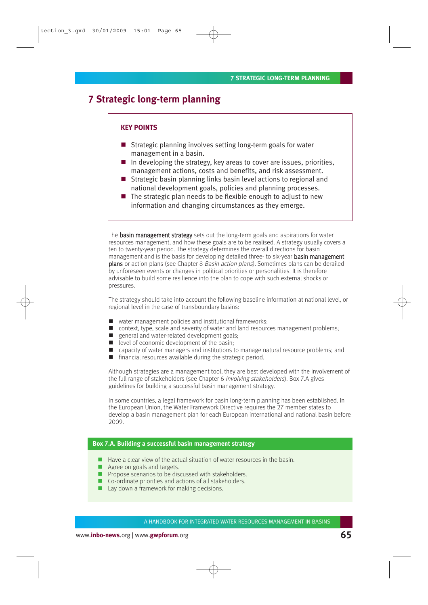# **7 Strategic long-term planning**

### **KEY POINTS**

- Strategic planning involves setting long-term goals for water management in a basin.
- $\blacksquare$  In developing the strategy, key areas to cover are issues, priorities, management actions, costs and benefits, and risk assessment.
- Strategic basin planning links basin level actions to regional and national development goals, policies and planning processes.
- $\blacksquare$  The strategic plan needs to be flexible enough to adjust to new information and changing circumstances as they emerge.

The **basin management strategy** sets out the long-term goals and aspirations for water resources management, and how these goals are to be realised. A strategy usually covers a ten to twenty-year period. The strategy determines the overall directions for basin management and is the basis for developing detailed three- to six-year basin management plans or action plans (see Chapter 8 Basin action plans). Sometimes plans can be derailed by unforeseen events or changes in political priorities or personalities. It is therefore advisable to build some resilience into the plan to cope with such external shocks or pressures.

The strategy should take into account the following baseline information at national level, or regional level in the case of transboundary basins:

- water management policies and institutional frameworks;
- context, type, scale and severity of water and land resources management problems;
- general and water-related development goals;
- evel of economic development of the basin;
- capacity of water managers and institutions to manage natural resource problems; and
- $\blacksquare$  financial resources available during the strategic period.

Although strategies are a management tool, they are best developed with the involvement of the full range of stakeholders (see Chapter 6 Involving stakeholders). Box 7.A gives guidelines for building a successful basin management strategy.

In some countries, a legal framework for basin long-term planning has been established. In the European Union, the Water Framework Directive requires the 27 member states to develop a basin management plan for each European international and national basin before 2009.

### **Box 7.A. Building a successful basin management strategy**

- $\blacksquare$  Have a clear view of the actual situation of water resources in the basin.
- Agree on goals and targets.
- **Propose scenarios to be discussed with stakeholders.**
- Co-ordinate priorities and actions of all stakeholders.
- Lay down a framework for making decisions.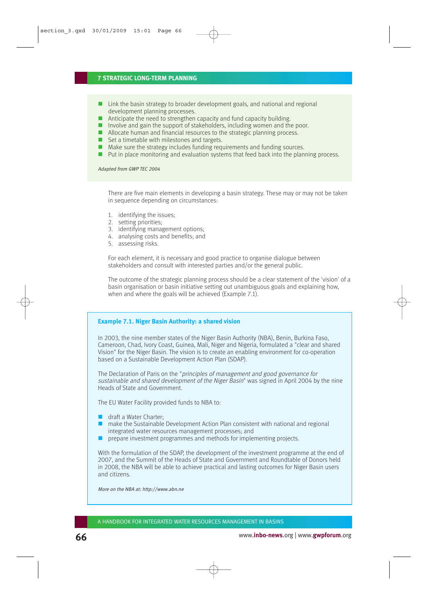### **7 STRATEGIC LONG-TERM PLANNING**

- Link the basin strategy to broader development goals, and national and regional development planning processes.
- Anticipate the need to strengthen capacity and fund capacity building.
- Involve and gain the support of stakeholders, including women and the poor.
- Allocate human and financial resources to the strategic planning process.
- $\blacksquare$  Set a timetable with milestones and targets.
- $\blacksquare$  Make sure the strategy includes funding requirements and funding sources.
- **Put in place monitoring and evaluation systems that feed back into the planning process.**

Adapted from GWP TEC 2004

There are five main elements in developing a basin strategy. These may or may not be taken in sequence depending on circumstances:

- 1. identifying the issues;
- 2. setting priorities;
- 3. identifying management options;
- 4. analysing costs and benefits; and
- 5. assessing risks.

For each element, it is necessary and good practice to organise dialogue between stakeholders and consult with interested parties and/or the general public.

The outcome of the strategic planning process should be a clear statement of the 'vision' of a basin organisation or basin initiative setting out unambiguous goals and explaining how, when and where the goals will be achieved (Example 7.1).

#### **Example 7.1. Niger Basin Authority: a shared vision**

In 2003, the nine member states of the Niger Basin Authority (NBA), Benin, Burkina Faso, Cameroon, Chad, Ivory Coast, Guinea, Mali, Niger and Nigeria, formulated a "clear and shared Vision" for the Niger Basin. The vision is to create an enabling environment for co-operation based on a Sustainable Development Action Plan (SDAP).

The Declaration of Paris on the "principles of management and good governance for sustainable and shared development of the Niger Basin" was signed in April 2004 by the nine Heads of State and Government.

The EU Water Facility provided funds to NBA to:

- draft a Water Charter:
- make the Sustainable Development Action Plan consistent with national and regional integrated water resources management processes; and
- **P** prepare investment programmes and methods for implementing projects.

With the formulation of the SDAP, the development of the investment programme at the end of 2007, and the Summit of the Heads of State and Government and Roundtable of Donors held in 2008, the NBA will be able to achieve practical and lasting outcomes for Niger Basin users and citizens.

More on the NBA at: http://www.abn.ne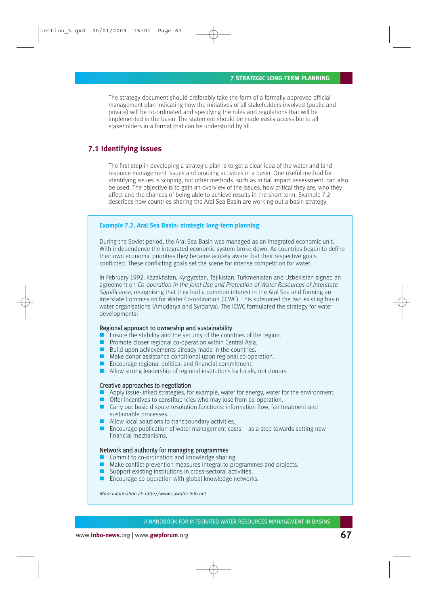The strategy document should preferably take the form of a formally approved official management plan indicating how the initiatives of all stakeholders involved (public and private) will be co-ordinated and specifying the rules and regulations that will be implemented in the basin. The statement should be made easily accessible to all stakeholders in a format that can be understood by all.

# **7.1 Identifying issues**

The first step in developing a strategic plan is to get a clear idea of the water and land resource management issues and ongoing activities in a basin. One useful method for identifying issues is scoping, but other methods, such as initial impact assessment, can also be used. The objective is to gain an overview of the issues, how critical they are, who they affect and the chances of being able to achieve results in the short term. Example 7.2 describes how countries sharing the Aral Sea Basin are working out a basin strategy.

### **Example 7.2. Aral Sea Basin: strategic long-term planning**

During the Soviet period, the Aral Sea Basin was managed as an integrated economic unit. With independence the integrated economic system broke down. As countries began to define their own economic priorities they became acutely aware that their respective goals conflicted. These conflicting goals set the scene for intense competition for water.

In February 1992, Kazakhstan, Kyrgyzstan, Tajikistan, Turkmenistan and Uzbekistan signed an agreement on Co-operation in the Joint Use and Protection of Water Resources of Interstate Significance, recognising that they had a common interest in the Aral Sea and forming an Interstate Commission for Water Co-ordination (ICWC). This subsumed the two existing basin water organisations (Amudarya and Syrdarya). The ICWC formulated the strategy for water developments:

#### Regional approach to ownership and sustainability

- Ensure the stability and the security of the countries of the region.
- **Promote closer regional co-operation within Central Asia.**
- $\blacksquare$  Build upon achievements already made in the countries.
- Make donor assistance conditional upon regional co-operation.
- **Encourage regional political and financial commitment.**
- Allow strong leadership of regional institutions by locals, not donors.

#### Creative approaches to negotiation

- Apply issue-linked strategies, for example, water for energy, water for the environment.
- Offer incentives to constituencies who may lose from co-operation.
- Carry out basic dispute resolution functions: information flow, fair treatment and sustainable processes.
- **Allow local solutions to transboundary activities.**
- **Encourage publication of water management costs as a step towards setting new** financial mechanisms.

#### Network and authority for managing programmes

- Commit to co-ordination and knowledge sharing.
- Make conflict prevention measures integral to programmes and projects.
- Support existing institutions in cross-sectoral activities.
- $\blacksquare$  Encourage co-operation with global knowledge networks.

More information at: http://www.cawater-info.net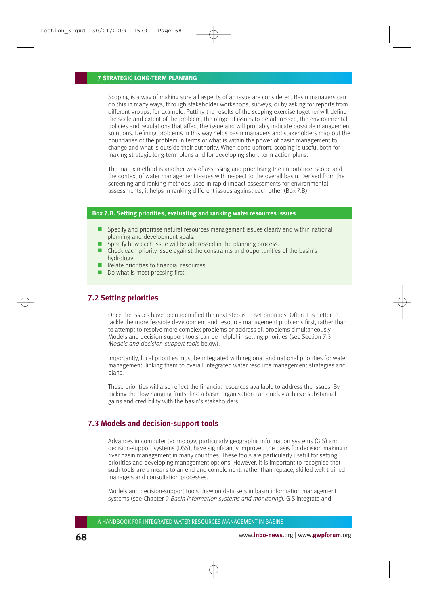#### **7 STRATEGIC LONG-TERM PLANNING**

Scoping is a way of making sure all aspects of an issue are considered. Basin managers can do this in many ways, through stakeholder workshops, surveys, or by asking for reports from different groups, for example. Putting the results of the scoping exercise together will define the scale and extent of the problem, the range of issues to be addressed, the environmental policies and regulations that affect the issue and will probably indicate possible management solutions. Defining problems in this way helps basin managers and stakeholders map out the boundaries of the problem in terms of what is within the power of basin management to change and what is outside their authority. When done upfront, scoping is useful both for making strategic long-term plans and for developing short-term action plans.

The matrix method is another way of assessing and prioritising the importance, scope and the context of water management issues with respect to the overall basin. Derived from the screening and ranking methods used in rapid impact assessments for environmental assessments, it helps in ranking different issues against each other (Box 7.B).

### **Box 7.B. Setting priorities, evaluating and ranking water resources issues**

- $\Box$  Specify and prioritise natural resources management issues clearly and within national planning and development goals.
- Specify how each issue will be addressed in the planning process.
- Check each priority issue against the constraints and opportunities of the basin's hydrology.
- Relate priorities to financial resources.
- Do what is most pressing first!

# **7.2 Setting priorities**

Once the issues have been identified the next step is to set priorities. Often it is better to tackle the more feasible development and resource management problems first, rather than to attempt to resolve more complex problems or address all problems simultaneously. Models and decision-support tools can be helpful in setting priorities (see Section 7.3 Models and decision-support tools below).

Importantly, local priorities must be integrated with regional and national priorities for water management, linking them to overall integrated water resource management strategies and plans.

These priorities will also reflect the financial resources available to address the issues. By picking the 'low hanging fruits' first a basin organisation can quickly achieve substantial gains and credibility with the basin's stakeholders.

# **7.3 Models and decision-support tools**

Advances in computer technology, particularly geographic information systems (GIS) and decision-support systems (DSS), have significantly improved the basis for decision making in river basin management in many countries. These tools are particularly useful for setting priorities and developing management options. However, it is important to recognise that such tools are a means to an end and complement, rather than replace, skilled well-trained managers and consultation processes.

Models and decision-support tools draw on data sets in basin information management systems (see Chapter 9 Basin information systems and monitoring). GIS integrate and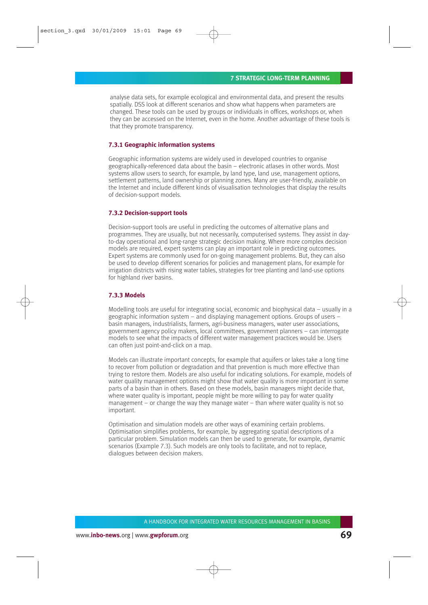analyse data sets, for example ecological and environmental data, and present the results spatially. DSS look at different scenarios and show what happens when parameters are changed. These tools can be used by groups or individuals in offices, workshops or, when they can be accessed on the Internet, even in the home. Another advantage of these tools is that they promote transparency.

### **7.3.1 Geographic information systems**

Geographic information systems are widely used in developed countries to organise geographically-referenced data about the basin – electronic atlases in other words. Most systems allow users to search, for example, by land type, land use, management options, settlement patterns, land ownership or planning zones. Many are user-friendly, available on the Internet and include different kinds of visualisation technologies that display the results of decision-support models.

#### **7.3.2 Decision-support tools**

Decision-support tools are useful in predicting the outcomes of alternative plans and programmes. They are usually, but not necessarily, computerised systems. They assist in dayto-day operational and long-range strategic decision making. Where more complex decision models are required, expert systems can play an important role in predicting outcomes. Expert systems are commonly used for on-going management problems. But, they can also be used to develop different scenarios for policies and management plans, for example for irrigation districts with rising water tables, strategies for tree planting and land-use options for highland river basins.

#### **7.3.3 Models**

Modelling tools are useful for integrating social, economic and biophysical data – usually in a geographic information system – and displaying management options. Groups of users – basin managers, industrialists, farmers, agri-business managers, water user associations, government agency policy makers, local committees, government planners – can interrogate models to see what the impacts of different water management practices would be. Users can often just point-and-click on a map.

Models can illustrate important concepts, for example that aquifers or lakes take a long time to recover from pollution or degradation and that prevention is much more effective than trying to restore them. Models are also useful for indicating solutions. For example, models of water quality management options might show that water quality is more important in some parts of a basin than in others. Based on these models, basin managers might decide that, where water quality is important, people might be more willing to pay for water quality management – or change the way they manage water – than where water quality is not so important.

Optimisation and simulation models are other ways of examining certain problems. Optimisation simplifies problems, for example, by aggregating spatial descriptions of a particular problem. Simulation models can then be used to generate, for example, dynamic scenarios (Example 7.3). Such models are only tools to facilitate, and not to replace, dialogues between decision makers.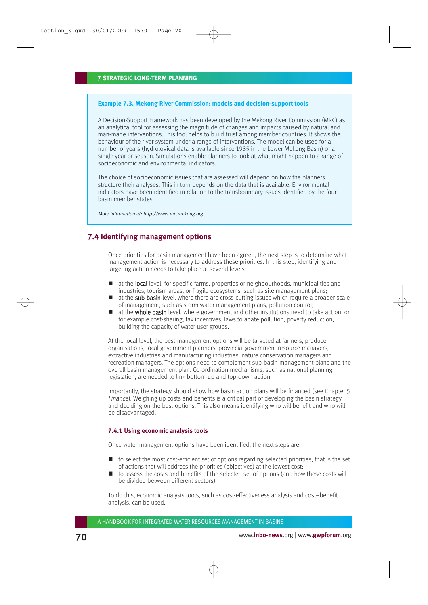### **Example 7.3. Mekong River Commission: models and decision-support tools**

A Decision-Support Framework has been developed by the Mekong River Commission (MRC) as an analytical tool for assessing the magnitude of changes and impacts caused by natural and man-made interventions. This tool helps to build trust among member countries. It shows the behaviour of the river system under a range of interventions. The model can be used for a number of years (hydrological data is available since 1985 in the Lower Mekong Basin) or a single year or season. Simulations enable planners to look at what might happen to a range of socioeconomic and environmental indicators.

The choice of socioeconomic issues that are assessed will depend on how the planners structure their analyses. This in turn depends on the data that is available. Environmental indicators have been identified in relation to the transboundary issues identified by the four basin member states.

More information at: http://www.mrcmekong.org

# **7.4 Identifying management options**

Once priorities for basin management have been agreed, the next step is to determine what management action is necessary to address these priorities. In this step, identifying and targeting action needs to take place at several levels:

- at the **local** level, for specific farms, properties or neighbourhoods, municipalities and industries, tourism areas, or fragile ecosystems, such as site management plans;
- at the sub-basin level, where there are cross-cutting issues which require a broader scale of management, such as storm water management plans, pollution control;
- at the whole basin level, where government and other institutions need to take action, on for example cost-sharing, tax incentives, laws to abate pollution, poverty reduction, building the capacity of water user groups.

At the local level, the best management options will be targeted at farmers, producer organisations, local government planners, provincial government resource managers, extractive industries and manufacturing industries, nature conservation managers and recreation managers. The options need to complement sub-basin management plans and the overall basin management plan. Co-ordination mechanisms, such as national planning legislation, are needed to link bottom-up and top-down action.

Importantly, the strategy should show how basin action plans will be financed (see Chapter 5 Finance). Weighing up costs and benefits is a critical part of developing the basin strategy and deciding on the best options. This also means identifying who will benefit and who will be disadvantaged.

### **7.4.1 Using economic analysis tools**

Once water management options have been identified, the next steps are:

- $\blacksquare$  to select the most cost-efficient set of options regarding selected priorities, that is the set of actions that will address the priorities (objectives) at the lowest cost;
- $\blacksquare$  to assess the costs and benefits of the selected set of options (and how these costs will be divided between different sectors).

To do this, economic analysis tools, such as cost-effectiveness analysis and cost–benefit analysis, can be used.

A HANDBOOK FOR INTEGRATED WATER RESOURCES MANAGEMENT IN BASINS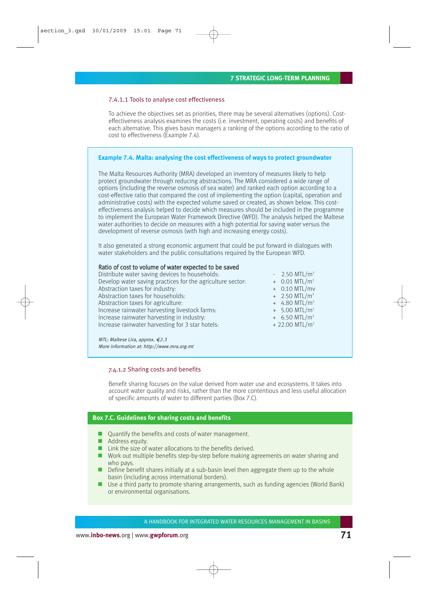#### 7.4.1.1 Tools to analyse cost effectiveness

To achieve the objectives set as priorities, there may be several alternatives (options). Costeffectiveness analysis examines the costs (i.e. investment, operating costs) and benefits of each alternative. This gives basin managers a ranking of the options according to the ratio of cost to effectiveness (Example 7.4).

### **Example 7.4. Malta: analysing the cost effectiveness of ways to protect groundwater**

The Malta Resources Authority (MRA) developed an inventory of measures likely to help protect groundwater through reducing abstractions. The MRA considered a wide range of options (including the reverse osmosis of sea water) and ranked each option according to a cost-effective ratio that compared the cost of implementing the option (capital, operation and administrative costs) with the expected volume saved or created, as shown below. This costeffectiveness analysis helped to decide which measures should be included in the programme to implement the European Water Framework Directive (WFD). The analysis helped the Maltese water authorities to decide on measures with a high potential for saving water versus the development of reverse osmosis (with high and increasing energy costs).

It also generated a strong economic argument that could be put forward in dialogues with water stakeholders and the public consultations required by the European WFD.

### Ratio of cost to volume of water expected to be saved

| Distribute water saving devices to households:             |
|------------------------------------------------------------|
| Develop water saving practices for the agriculture sector. |
| Abstraction taxes for industry:                            |
| Abstraction taxes for households:                          |
| Abstraction taxes for agriculture:                         |
| Increase rainwater harvesting livestock farms:             |
| Increase rainwater harvesting in industry.                 |
| Increase rainwater harvesting for 3 star hotels:           |
|                                                            |

 $-2.50$  MTL/m<sup>3</sup>  $+ 0.01$  MTL/m<sup>3</sup>  $+$  0.10 MTL/mv  $+$  2.50 MTL/m<sup>3</sup>  $+ 4.80$  MTL/m<sup>3</sup>  $+ 5.00$  MTL/m<sup>3</sup>  $+ 6.50$  MTL/m<sup>3</sup>  $+22.00$  MTL/m<sup>3</sup>

MTL: Maltese Lira, approx.  $\text{\textsterling}2.3$ More information at: http://www.mra.org.mt

#### 7.4.1.2 Sharing costs and benefits

Benefit sharing focuses on the value derived from water use and ecosystems. It takes into account water quality and risks, rather than the more contentious and less useful allocation of specific amounts of water to different parties (Box 7.C).

### **Box 7.C. Guidelines for sharing costs and benefits**

- Quantify the benefits and costs of water management.
- **Address equity.**
- $\blacksquare$  Link the size of water allocations to the benefits derived.
- Work out multiple benefits step-by-step before making agreements on water sharing and who pays.
- Define benefit shares initially at a sub-basin level then aggregate them up to the whole basin (including across international borders).
- Use a third party to promote sharing arrangements, such as funding agencies (World Bank) or environmental organisations.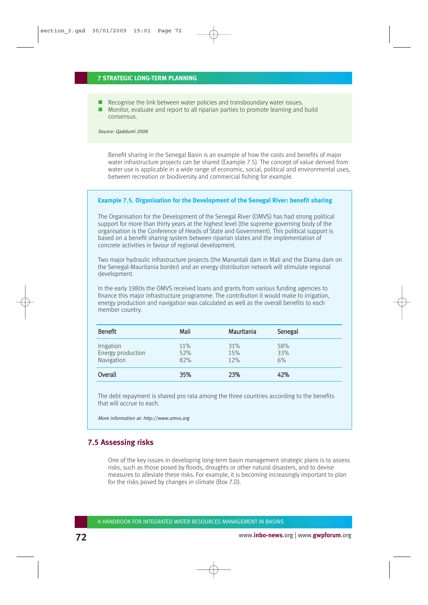- Recognise the link between water policies and transboundary water issues.
- Monitor, evaluate and report to all riparian parties to promote learning and build consensus.

Source: Qaddumi 2008

Benefit sharing in the Senegal Basin is an example of how the costs and benefits of major water infrastructure projects can be shared (Example 7.5). The concept of value derived from water use is applicable in a wide range of economic, social, political and environmental uses, between recreation or biodiversity and commercial fishing for example.

#### **Example 7.5. Organisation for the Development of the Senegal River: benefit sharing**

The Organisation for the Development of the Senegal River (OMVS) has had strong political support for more than thirty years at the highest level (the supreme governing body of the organisation is the Conference of Heads of State and Government). This political support is based on a benefit sharing system between riparian states and the implementation of concrete activities in favour of regional development.

Two major hydraulic infrastructure projects (the Manantali dam in Mali and the Diama dam on the Senegal-Mauritania border) and an energy distribution network will stimulate regional development.

In the early 1980s the OMVS received loans and grants from various funding agencies to finance this major infrastructure programme. The contribution it would make to irrigation, energy production and navigation was calculated as well as the overall benefits to each member country.

| <b>Benefit</b>                                | Mali              | Mauritania        | Senegal          |
|-----------------------------------------------|-------------------|-------------------|------------------|
| Irrigation<br>Energy production<br>Navigation | 11%<br>52%<br>82% | 31%<br>15%<br>12% | 58%<br>33%<br>6% |
| Overall                                       | 35%               | 23%               | 42%              |

The debt repayment is shared pro rata among the three countries according to the benefits that will accrue to each.

More information at: http://www.omvs.org

# **7.5 Assessing risks**

One of the key issues in developing long-term basin management strategic plans is to assess risks, such as those posed by floods, droughts or other natural disasters, and to devise measures to alleviate these risks. For example, it is becoming increasingly important to plan for the risks posed by changes in climate (Box 7.D).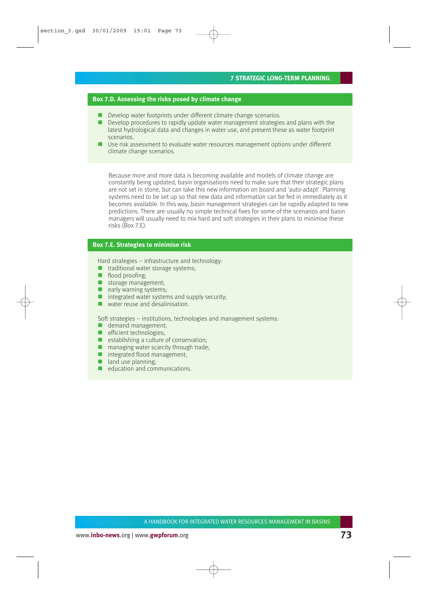#### **Box 7.D. Assessing the risks posed by climate change**

- Develop water footprints under different climate change scenarios.
- Develop procedures to rapidly update water management strategies and plans with the latest hydrological data and changes in water use, and present these as water footprint scenarios.
- Use risk assessment to evaluate water resources management options under different climate change scenarios.

Because more and more data is becoming available and models of climate change are constantly being updated, basin organisations need to make sure that their strategic plans are not set in stone, but can take this new information on board and 'auto-adapt'. Planning systems need to be set up so that new data and information can be fed in immediately as it becomes available. In this way, basin management strategies can be rapidly adapted to new predictions. There are usually no simple technical fixes for some of the scenarios and basin managers will usually need to mix hard and soft strategies in their plans to minimise these risks (Box 7.E).

### **Box 7.E. Strategies to minimise risk**

Hard strategies – infrastructure and technology:

- **thaditional water storage systems;**
- **flood proofing:**
- storage management;
- $\blacksquare$  early warning systems;
- $\blacksquare$  integrated water systems and supply security;
- **WATER WATER THE VALUE AND MATER**

Soft strategies – institutions, technologies and management systems:

- demand management:
- $\blacksquare$  efficient technologies:
- $\blacksquare$  establishing a culture of conservation;
- **n** managing water scarcity through trade;
- integrated flood management;
- $\blacksquare$  land use planning:
- **E** education and communications.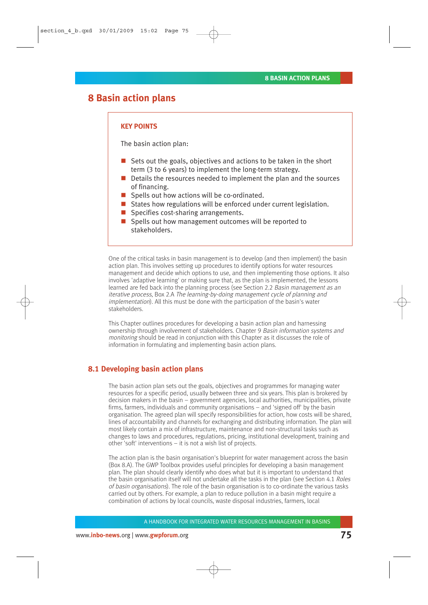# **8 Basin action plans**

### **KEY POINTS**

The basin action plan:

- Sets out the goals, objectives and actions to be taken in the short term (3 to 6 years) to implement the long-term strategy.
- Details the resources needed to implement the plan and the sources of financing.
- Spells out how actions will be co-ordinated.
- States how regulations will be enforced under current legislation.
- Specifies cost-sharing arrangements.
- $\blacksquare$  Spells out how management outcomes will be reported to stakeholders.

One of the critical tasks in basin management is to develop (and then implement) the basin action plan. This involves setting up procedures to identify options for water resources management and decide which options to use, and then implementing those options. It also involves 'adaptive learning' or making sure that, as the plan is implemented, the lessons learned are fed back into the planning process (see Section 2.2 Basin management as an iterative process, Box 2.A The learning-by-doing management cycle of planning and implementation). All this must be done with the participation of the basin's water stakeholders.

This Chapter outlines procedures for developing a basin action plan and harnessing ownership through involvement of stakeholders. Chapter 9 Basin information systems and monitoring should be read in conjunction with this Chapter as it discusses the role of information in formulating and implementing basin action plans.

## **8.1 Developing basin action plans**

The basin action plan sets out the goals, objectives and programmes for managing water resources for a specific period, usually between three and six years. This plan is brokered by decision makers in the basin – government agencies, local authorities, municipalities, private firms, farmers, individuals and community organisations – and 'signed off' by the basin organisation. The agreed plan will specify responsibilities for action, how costs will be shared, lines of accountability and channels for exchanging and distributing information. The plan will most likely contain a mix of infrastructure, maintenance and non-structural tasks such as changes to laws and procedures, regulations, pricing, institutional development, training and other 'soft' interventions – it is not a wish list of projects.

The action plan is the basin organisation's blueprint for water management across the basin (Box 8.A). The GWP Toolbox provides useful principles for developing a basin management plan. The plan should clearly identify who does what but it is important to understand that the basin organisation itself will not undertake all the tasks in the plan (see Section 4.1 Roles of basin organisations). The role of the basin organisation is to co-ordinate the various tasks carried out by others. For example, a plan to reduce pollution in a basin might require a combination of actions by local councils, waste disposal industries, farmers, local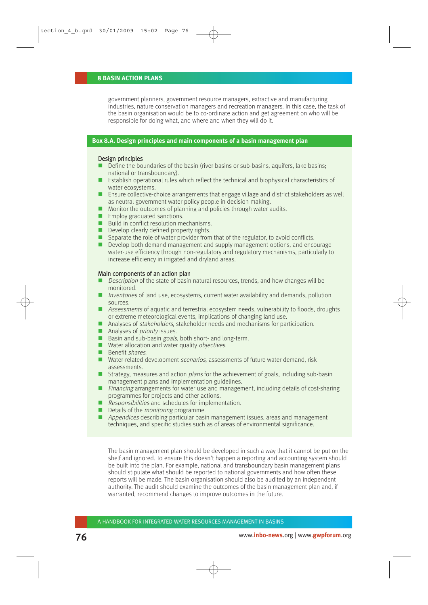#### **8 BASIN ACTION PLANS**

government planners, government resource managers, extractive and manufacturing industries, nature conservation managers and recreation managers. In this case, the task of the basin organisation would be to co-ordinate action and get agreement on who will be responsible for doing what, and where and when they will do it.

#### **Box 8.A. Design principles and main components of a basin management plan**

#### Design principles

- Define the boundaries of the basin (river basins or sub-basins, aquifers, lake basins; national or transboundary).
- Establish operational rules which reflect the technical and biophysical characteristics of water ecosystems.
- Ensure collective-choice arrangements that engage village and district stakeholders as well as neutral government water policy people in decision making.
- **Monitor the outcomes of planning and policies through water audits.**
- **Employ graduated sanctions.**
- Build in conflict resolution mechanisms.
- Develop clearly defined property rights.
- Separate the role of water provider from that of the regulator, to avoid conflicts.
- Develop both demand management and supply management options, and encourage water-use efficiency through non-regulatory and regulatory mechanisms, particularly to increase efficiency in irrigated and dryland areas.

#### Main components of an action plan

- $\Box$  Description of the state of basin natural resources, trends, and how changes will be monitored.
- **Inventories of land use, ecosystems, current water availability and demands, pollution** sources.
- Assessments of aquatic and terrestrial ecosystem needs, vulnerability to floods, droughts or extreme meteorological events, implications of changing land use.
- Analyses of *stakeholders*, stakeholder needs and mechanisms for participation.
- $\blacksquare$  Analyses of *priority* issues.
- Basin and sub-basin goals, both short- and long-term.
- $\blacksquare$  Water allocation and water quality objectives.
- **Benefit shares.**
- Water-related development *scenarios*, assessments of future water demand, risk assessments.
- Strategy, measures and action *plans* for the achievement of goals, including sub-basin management plans and implementation guidelines.
- **Financing arrangements for water use and management, including details of cost-sharing** programmes for projects and other actions.
- Responsibilities and schedules for implementation.
- Details of the *monitoring* programme.
- **Appendices describing particular basin management issues, areas and management** techniques, and specific studies such as of areas of environmental significance.

The basin management plan should be developed in such a way that it cannot be put on the shelf and ignored. To ensure this doesn't happen a reporting and accounting system should be built into the plan. For example, national and transboundary basin management plans should stipulate what should be reported to national governments and how often these reports will be made. The basin organisation should also be audited by an independent authority. The audit should examine the outcomes of the basin management plan and, if warranted, recommend changes to improve outcomes in the future.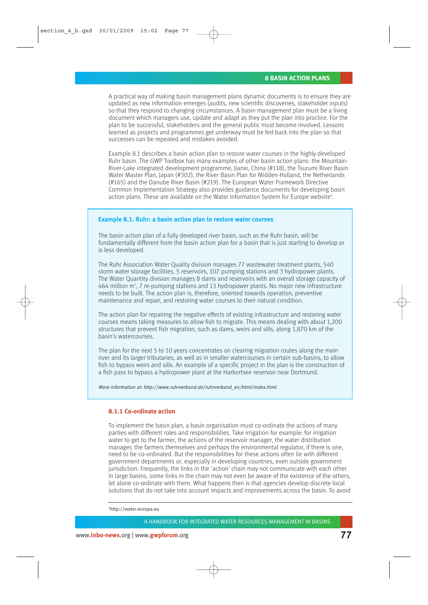A practical way of making basin management plans dynamic documents is to ensure they are updated as new information emerges (audits, new scientific discoveries, stakeholder inputs) so that they respond to changing circumstances. A basin management plan must be a living document which managers use, update and adapt as they put the plan into practice. For the plan to be successful, stakeholders and the general public must become involved. Lessons learned as projects and programmes get underway must be fed back into the plan so that successes can be repeated and mistakes avoided.

Example 8.1 describes a basin action plan to restore water courses in the highly developed Ruhr basin. The GWP Toolbox has many examples of other basin action plans: the Mountain-River-Lake integrated development programme, Jianxi, China (#118), the Tsurumi River Basin Water Master Plan, Japan (#302), the River Basin Plan for Midden-Holland, the Netherlands (#165) and the Danube River Basin (#219). The European Water Framework Directive Common Implementation Strategy also provides guidance documents for developing basin action plans. These are available on the Water Information System for Europe website<sup>6</sup>.

#### **Example 8.1. Ruhr: a basin action plan to restore water courses**

The basin action plan of a fully developed river basin, such as the Ruhr basin, wilI be fundamentally different from the basin action plan for a basin that is just starting to develop or is less developed.

The Ruhr Association Water Quality division manages 77 wastewater treatment plants, 540 storm water storage facilities, 5 reservoirs, 107 pumping stations and 3 hydropower plants. The Water Quantity division manages 8 dams and reservoirs with an overall storage capacity of  $464$  million m<sup>3</sup>, 7 re-pumping stations and 13 hydropower plants. No major new infrastructure needs to be built. The action plan is, therefore, oriented towards operation, preventive maintenance and repair, and restoring water courses to their natural condition.

The action plan for repairing the negative effects of existing infrastructure and restoring water courses means taking measures to allow fish to migrate. This means dealing with about 1,200 structures that prevent fish migration, such as dams, weirs and sills, along 1,870 km of the basin's watercourses.

The plan for the next 5 to 10 years concentrates on clearing migration routes along the main river and its larger tributaries, as well as in smaller watercourses in certain sub-basins, to allow fish to bypass weirs and sills. An example of a specific project in the plan is the construction of a fish pass to bypass a hydropower plant at the Harkortsee reservoir near Dortmund.

More information at: http://www.ruhrverband.de/ruhrverband\_en/html/index.html

#### **8.1.1 Co-ordinate action**

To implement the basin plan, a basin organisation must co-ordinate the actions of many parties with different roles and responsibilities. Take irrigation for example: for irrigation water to get to the farmer, the actions of the reservoir manager, the water distribution manager, the farmers themselves and perhaps the environmental regulator, if there is one, need to be co-ordinated. But the responsibilities for these actions often lie with different government departments or, especially in developing countries, even outside government jurisdiction. Frequently, the links in the 'action' chain may not communicate with each other. In large basins, some links in the chain may not even be aware of the existence of the others, let alone co-ordinate with them. What happens then is that agencies develop discrete local solutions that do not take into account impacts and improvements across the basin. To avoid

6 http://water.europa.eu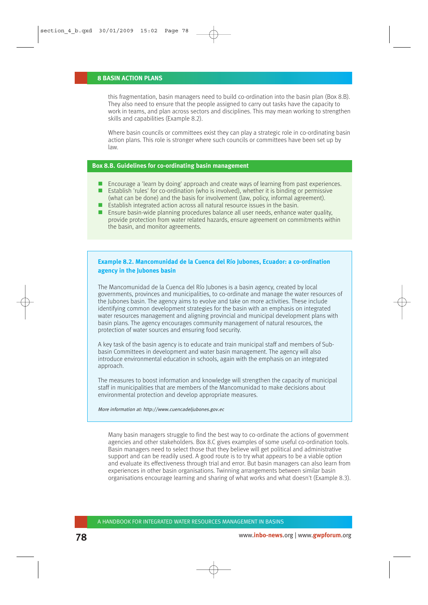#### **8 BASIN ACTION PLANS**

this fragmentation, basin managers need to build co-ordination into the basin plan (Box 8.B). They also need to ensure that the people assigned to carry out tasks have the capacity to work in teams, and plan across sectors and disciplines. This may mean working to strengthen skills and capabilities (Example 8.2).

Where basin councils or committees exist they can play a strategic role in co-ordinating basin action plans. This role is stronger where such councils or committees have been set up by law.

#### **Box 8.B. Guidelines for co-ordinating basin management**

- Encourage a 'learn by doing' approach and create ways of learning from past experiences.
- Establish 'rules' for co-ordination (who is involved), whether it is binding or permissive (what can be done) and the basis for involvement (law, policy, informal agreement).
- $\blacksquare$  Establish integrated action across all natural resource issues in the basin.
- Ensure basin-wide planning procedures balance all user needs, enhance water quality, provide protection from water related hazards, ensure agreement on commitments within the basin, and monitor agreements.

## **Example 8.2. Mancomunidad de la Cuenca del Río Jubones, Ecuador: a co-ordination agency in the Jubones basin**

The Mancomunidad de la Cuenca del Río Jubones is a basin agency, created by local governments, provinces and municipalities, to co-ordinate and manage the water resources of the Jubones basin. The agency aims to evolve and take on more activities. These include identifying common development strategies for the basin with an emphasis on integrated water resources management and aligning provincial and municipal development plans with basin plans. The agency encourages community management of natural resources, the protection of water sources and ensuring food security.

A key task of the basin agency is to educate and train municipal staff and members of Subbasin Committees in development and water basin management. The agency will also introduce environmental education in schools, again with the emphasis on an integrated approach.

The measures to boost information and knowledge will strengthen the capacity of municipal staff in municipalities that are members of the Mancomunidad to make decisions about environmental protection and develop appropriate measures.

#### More information at: http://www.cuencadeljubones.gov.ec

Many basin managers struggle to find the best way to co-ordinate the actions of government agencies and other stakeholders. Box 8.C gives examples of some useful co-ordination tools. Basin managers need to select those that they believe will get political and administrative support and can be readily used. A good route is to try what appears to be a viable option and evaluate its effectiveness through trial and error. But basin managers can also learn from experiences in other basin organisations. Twinning arrangements between similar basin organisations encourage learning and sharing of what works and what doesn't (Example 8.3).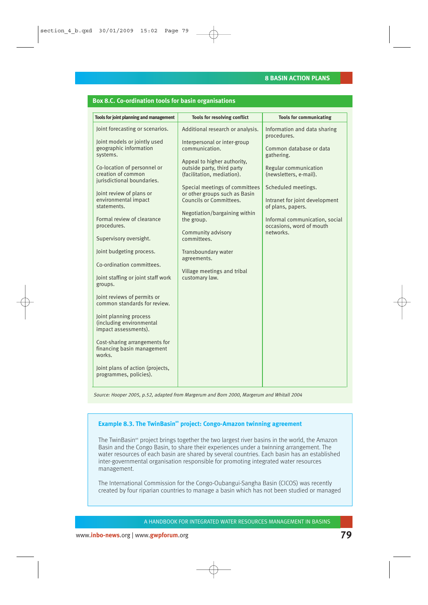### **Box 8.C. Co-ordination tools for basin organisations**

| Tools for joint planning and management                                                                                                                                                                                                                                                                                                                                                     | Tools for resolving conflict                                                                                                                                                                                                                                                                                                                                                                          | <b>Tools for communicating</b>                                                                                                                                                                                                                                                                   |
|---------------------------------------------------------------------------------------------------------------------------------------------------------------------------------------------------------------------------------------------------------------------------------------------------------------------------------------------------------------------------------------------|-------------------------------------------------------------------------------------------------------------------------------------------------------------------------------------------------------------------------------------------------------------------------------------------------------------------------------------------------------------------------------------------------------|--------------------------------------------------------------------------------------------------------------------------------------------------------------------------------------------------------------------------------------------------------------------------------------------------|
| Joint forecasting or scenarios.<br>Joint models or jointly used<br>geographic information<br>systems.<br>Co-location of personnel or<br>creation of common<br>jurisdictional boundaries.<br>Joint review of plans or<br>environmental impact<br>statements.<br>Formal review of clearance<br>procedures.<br>Supervisory oversight.<br>Joint budgeting process.<br>Co-ordination committees. | Additional research or analysis.<br>Interpersonal or inter-group<br>communication.<br>Appeal to higher authority,<br>outside party, third party<br>(facilitation, mediation).<br>Special meetings of committees<br>or other groups such as Basin<br>Councils or Committees.<br>Negotiation/bargaining within<br>the group.<br>Community advisory<br>committees.<br>Transboundary water<br>agreements. | Information and data sharing<br>procedures.<br>Common database or data<br>gathering.<br>Regular communication<br>(newsletters, e-mail).<br>Scheduled meetings.<br>Intranet for joint development<br>of plans, papers.<br>Informal communication, social<br>occasions, word of mouth<br>networks. |
| Joint staffing or joint staff work<br>groups.<br>Joint reviews of permits or<br>common standards for review.<br>Joint planning process<br>(including environmental<br>impact assessments).<br>Cost-sharing arrangements for<br>financing basin management<br>works.<br>Joint plans of action (projects,<br>programmes, policies).                                                           | Village meetings and tribal<br>customary law.                                                                                                                                                                                                                                                                                                                                                         |                                                                                                                                                                                                                                                                                                  |

Source: Hooper 2005, p.52, adapted from Margerum and Born 2000, Margerum and Whitall 2004

## **Example 8.3. The TwinBasin<sup>xn</sup> project: Congo-Amazon twinning agreement**

The TwinBasin<sup>xn</sup> project brings together the two largest river basins in the world, the Amazon Basin and the Congo Basin, to share their experiences under a twinning arrangement. The water resources of each basin are shared by several countries. Each basin has an established inter-governmental organisation responsible for promoting integrated water resources management.

The International Commission for the Congo-Oubangui-Sangha Basin (CICOS) was recently created by four riparian countries to manage a basin which has not been studied or managed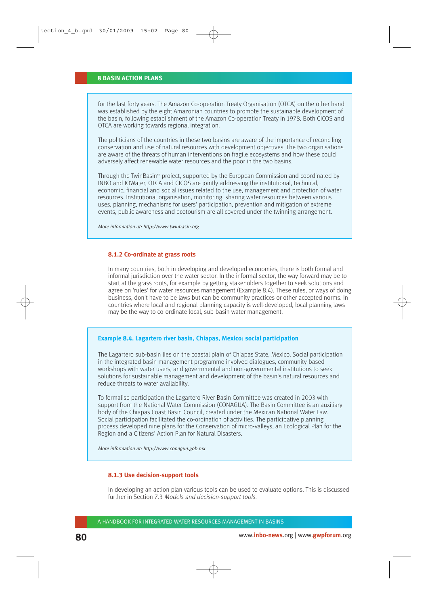for the last forty years. The Amazon Co-operation Treaty Organisation (OTCA) on the other hand was established by the eight Amazonian countries to promote the sustainable development of the basin, following establishment of the Amazon Co-operation Treaty in 1978. Both CICOS and OTCA are working towards regional integration.

The politicians of the countries in these two basins are aware of the importance of reconciling conservation and use of natural resources with development objectives. The two organisations are aware of the threats of human interventions on fragile ecosystems and how these could adversely affect renewable water resources and the poor in the two basins.

Through the TwinBasin<sup>xn</sup> project, supported by the European Commission and coordinated by INBO and IOWater, OTCA and CICOS are jointly addressing the institutional, technical, economic, financial and social issues related to the use, management and protection of water resources. Institutional organisation, monitoring, sharing water resources between various uses, planning, mechanisms for users' participation, prevention and mitigation of extreme events, public awareness and ecotourism are all covered under the twinning arrangement.

More information at: http://www.twinbasin.org

#### **8.1.2 Co-ordinate at grass roots**

In many countries, both in developing and developed economies, there is both formal and informal jurisdiction over the water sector. In the informal sector, the way forward may be to start at the grass roots, for example by getting stakeholders together to seek solutions and agree on 'rules' for water resources management (Example 8.4). These rules, or ways of doing business, don't have to be laws but can be community practices or other accepted norms. In countries where local and regional planning capacity is well-developed, local planning laws may be the way to co-ordinate local, sub-basin water management.

#### **Example 8.4. Lagartero river basin, Chiapas, Mexico: social participation**

The Lagartero sub-basin lies on the coastal plain of Chiapas State, Mexico. Social participation in the integrated basin management programme involved dialogues, community-based workshops with water users, and governmental and non-governmental institutions to seek solutions for sustainable management and development of the basin's natural resources and reduce threats to water availability.

To formalise participation the Lagartero River Basin Committee was created in 2003 with support from the National Water Commission (CONAGUA). The Basin Committee is an auxiliary body of the Chiapas Coast Basin Council, created under the Mexican National Water Law. Social participation facilitated the co-ordination of activities. The participative planning process developed nine plans for the Conservation of micro-valleys, an Ecological Plan for the Region and a Citizens' Action Plan for Natural Disasters.

More information at: http://www.conagua.gob.mx

#### **8.1.3 Use decision-support tools**

In developing an action plan various tools can be used to evaluate options. This is discussed further in Section 7.3 Models and decision-support tools.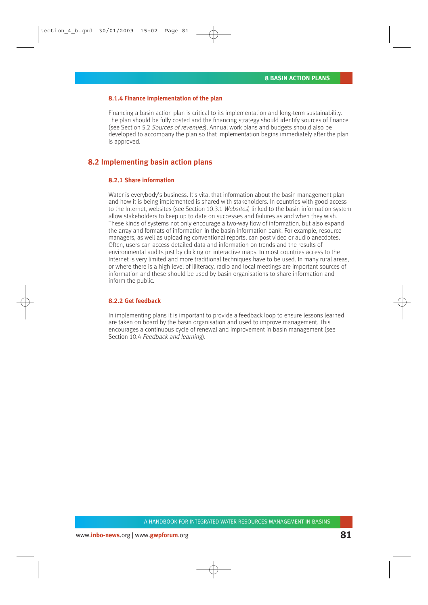#### **8.1.4 Finance implementation of the plan**

Financing a basin action plan is critical to its implementation and long-term sustainability. The plan should be fully costed and the financing strategy should identify sources of finance (see Section 5.2 Sources of revenues). Annual work plans and budgets should also be developed to accompany the plan so that implementation begins immediately after the plan is approved.

## **8.2 Implementing basin action plans**

#### **8.2.1 Share information**

Water is everybody's business. It's vital that information about the basin management plan and how it is being implemented is shared with stakeholders. In countries with good access to the Internet, websites (see Section 10.3.1 Websites) linked to the basin information system allow stakeholders to keep up to date on successes and failures as and when they wish. These kinds of systems not only encourage a two-way flow of information, but also expand the array and formats of information in the basin information bank. For example, resource managers, as well as uploading conventional reports, can post video or audio anecdotes. Often, users can access detailed data and information on trends and the results of environmental audits just by clicking on interactive maps. In most countries access to the Internet is very limited and more traditional techniques have to be used. In many rural areas, or where there is a high level of illiteracy, radio and local meetings are important sources of information and these should be used by basin organisations to share information and inform the public.

#### **8.2.2 Get feedback**

In implementing plans it is important to provide a feedback loop to ensure lessons learned are taken on board by the basin organisation and used to improve management. This encourages a continuous cycle of renewal and improvement in basin management (see Section 10.4 Feedback and learning).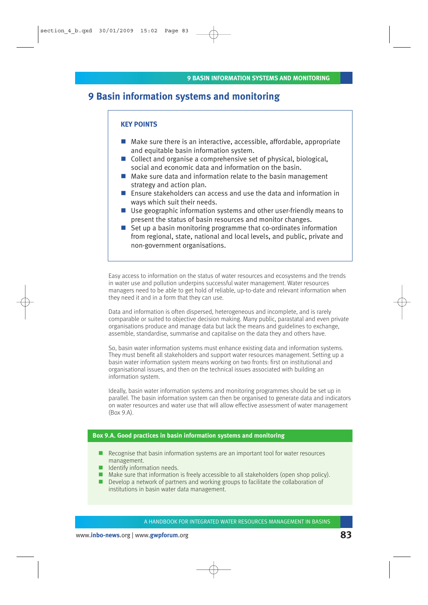# **9 Basin information systems and monitoring**

#### **KEY POINTS**

- Make sure there is an interactive, accessible, affordable, appropriate and equitable basin information system.
- Collect and organise a comprehensive set of physical, biological, social and economic data and information on the basin.
- Make sure data and information relate to the basin management strategy and action plan.
- Ensure stakeholders can access and use the data and information in ways which suit their needs.
- Use geographic information systems and other user-friendly means to present the status of basin resources and monitor changes.
- Set up a basin monitoring programme that co-ordinates information from regional, state, national and local levels, and public, private and non-government organisations.

Easy access to information on the status of water resources and ecosystems and the trends in water use and pollution underpins successful water management. Water resources managers need to be able to get hold of reliable, up-to-date and relevant information when they need it and in a form that they can use.

Data and information is often dispersed, heterogeneous and incomplete, and is rarely comparable or suited to objective decision making. Many public, parastatal and even private organisations produce and manage data but lack the means and guidelines to exchange, assemble, standardise, summarise and capitalise on the data they and others have.

So, basin water information systems must enhance existing data and information systems. They must benefit all stakeholders and support water resources management. Setting up a basin water information system means working on two fronts: first on institutional and organisational issues, and then on the technical issues associated with building an information system.

Ideally, basin water information systems and monitoring programmes should be set up in parallel. The basin information system can then be organised to generate data and indicators on water resources and water use that will allow effective assessment of water management (Box 9.A).

## **Box 9.A. Good practices in basin information systems and monitoring**

- Recognise that basin information systems are an important tool for water resources management.
- **I** Identify information needs.
- Make sure that information is freely accessible to all stakeholders (open shop policy).
- Develop a network of partners and working groups to facilitate the collaboration of institutions in basin water data management.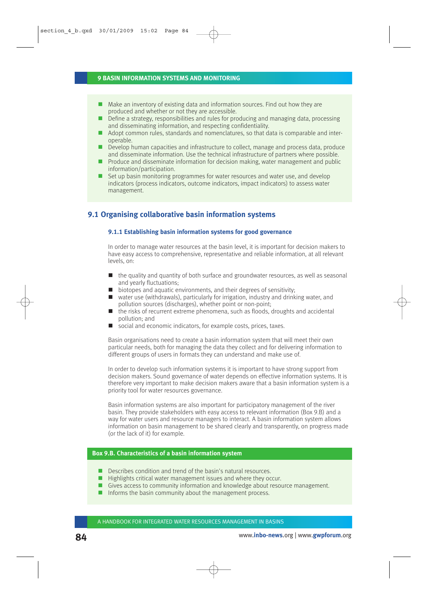- Make an inventory of existing data and information sources. Find out how they are produced and whether or not they are accessible.
- Define a strategy, responsibilities and rules for producing and managing data, processing and disseminating information, and respecting confidentiality.
- Adopt common rules, standards and nomenclatures, so that data is comparable and interoperable.
- **Develop human capacities and infrastructure to collect, manage and process data, produce** and disseminate information. Use the technical infrastructure of partners where possible.
- **Produce and disseminate information for decision making, water management and public** information/participation.
- Set up basin monitoring programmes for water resources and water use, and develop indicators (process indicators, outcome indicators, impact indicators) to assess water management.

## **9.1 Organising collaborative basin information systems**

#### **9.1.1 Establishing basin information systems for good governance**

In order to manage water resources at the basin level, it is important for decision makers to have easy access to comprehensive, representative and reliable information, at all relevant levels, on:

- $\blacksquare$  the quality and quantity of both surface and groundwater resources, as well as seasonal and yearly fluctuations;
- biotopes and aquatic environments, and their degrees of sensitivity;
- water use (withdrawals), particularly for irrigation, industry and drinking water, and pollution sources (discharges), whether point or non-point;
- $\blacksquare$  the risks of recurrent extreme phenomena, such as floods, droughts and accidental pollution; and
- social and economic indicators, for example costs, prices, taxes.

Basin organisations need to create a basin information system that will meet their own particular needs, both for managing the data they collect and for delivering information to different groups of users in formats they can understand and make use of.

In order to develop such information systems it is important to have strong support from decision makers. Sound governance of water depends on effective information systems. It is therefore very important to make decision makers aware that a basin information system is a priority tool for water resources governance.

Basin information systems are also important for participatory management of the river basin. They provide stakeholders with easy access to relevant information (Box 9.B) and a way for water users and resource managers to interact. A basin information system allows information on basin management to be shared clearly and transparently, on progress made (or the lack of it) for example.

## **Box 9.B. Characteristics of a basin information system**

- Describes condition and trend of the basin's natural resources.
- $\blacksquare$  Highlights critical water management issues and where they occur.
- Gives access to community information and knowledge about resource management.
- $\blacksquare$  Informs the basin community about the management process.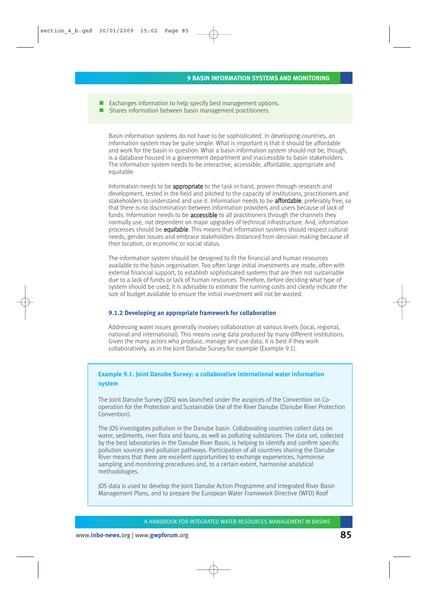- Exchanges information to help specify best management options.
- Shares information between basin management practitioners.

Basin information systems do not have to be sophisticated. In developing countries, an information system may be quite simple. What is important is that it should be affordable and work for the basin in question. What a basin information system should not be, though, is a database housed in a government department and inaccessible to basin stakeholders. The information system needs to be interactive, accessible, affordable, appropriate and equitable.

Information needs to be appropriate to the task in hand, proven through research and development, tested in the field and pitched to the capacity of institutions, practitioners and stakeholders to understand and use it. Information needs to be **affordable**, preferably free, so that there is no discrimination between information providers and users because of lack of funds. Information needs to be **accessible** to all practitioners through the channels they normally use, not dependent on major upgrades of technical infrastructure. And, information processes should be equitable. This means that information systems should respect cultural needs, gender issues and embrace stakeholders distanced from decision making because of their location, or economic or social status.

The information system should be designed to fit the financial and human resources available to the basin organisation. Too often large initial investments are made, often with external financial support, to establish sophisticated systems that are then not sustainable due to a lack of funds or lack of human resources. Therefore, before deciding what type of system should be used, it is advisable to estimate the running costs and clearly indicate the size of budget available to ensure the initial investment will not be wasted.

#### **9.1.2 Developing an appropriate framework for collaboration**

Addressing water issues generally involves collaboration at various levels (local, regional, national and international). This means using data produced by many different institutions. Given the many actors who produce, manage and use data, it is best if they work collaboratively, as in the Joint Danube Survey for example (Example 9.1).

## **Example 9.1. Joint Danube Survey: a collaborative international water information system**

The Joint Danube Survey (JDS) was launched under the auspices of the Convention on Cooperation for the Protection and Sustainable Use of the River Danube (Danube River Protection Convention).

The JDS investigates pollution in the Danube basin. Collaborating countries collect data on water, sediments, river flora and fauna, as well as polluting substances. The data set, collected by the best laboratories in the Danube River Basin, is helping to identify and confirm specific pollution sources and pollution pathways. Participation of all countries sharing the Danube River means that there are excellent opportunities to exchange experiences, harmonise sampling and monitoring procedures and, to a certain extent, harmonise analytical methodologies.

JDS data is used to develop the Joint Danube Action Programme and Integrated River Basin Management Plans, and to prepare the European Water Framework Directive (WFD) Roof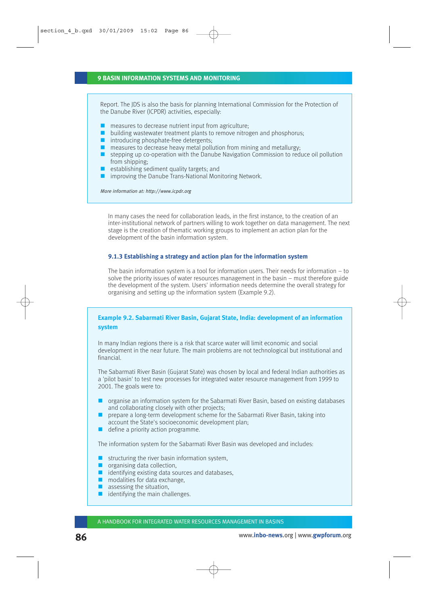#### **9 BASIN INFORMATION SYSTEMS AND MONITORING**

Report. The JDS is also the basis for planning International Commission for the Protection of the Danube River (ICPDR) activities, especially:

- $\blacksquare$  measures to decrease nutrient input from agriculture;
- **D** building wastewater treatment plants to remove nitrogen and phosphorus;
- introducing phosphate-free detergents;
- $\blacksquare$  measures to decrease heavy metal pollution from mining and metallurgy:
- $\blacksquare$  stepping up co-operation with the Danube Navigation Commission to reduce oil pollution from shipping;
- $\blacksquare$  establishing sediment quality targets; and
- $\blacksquare$  improving the Danube Trans-National Monitoring Network.

More information at: http://www.icpdr.org

In many cases the need for collaboration leads, in the first instance, to the creation of an inter-institutional network of partners willing to work together on data management. The next stage is the creation of thematic working groups to implement an action plan for the development of the basin information system.

#### **9.1.3 Establishing a strategy and action plan for the information system**

The basin information system is a tool for information users. Their needs for information – to solve the priority issues of water resources management in the basin – must therefore guide the development of the system. Users' information needs determine the overall strategy for organising and setting up the information system (Example 9.2).

## **Example 9.2. Sabarmati River Basin, Gujarat State, India: development of an information system**

In many Indian regions there is a risk that scarce water will limit economic and social development in the near future. The main problems are not technological but institutional and financial.

The Sabarmati River Basin (Gujarat State) was chosen by local and federal Indian authorities as a 'pilot basin' to test new processes for integrated water resource management from 1999 to 2001. The goals were to:

- organise an information system for the Sabarmati River Basin, based on existing databases and collaborating closely with other projects;
- **PED A** prepare a long-term development scheme for the Sabarmati River Basin, taking into account the State's socioeconomic development plan;
- define a priority action programme.

The information system for the Sabarmati River Basin was developed and includes:

- $\blacksquare$  structuring the river basin information system,
- $q$  organising data collection,
- $\blacksquare$  identifying existing data sources and databases,
- modalities for data exchange.
- $\blacksquare$  assessing the situation,
- $\blacksquare$  identifying the main challenges.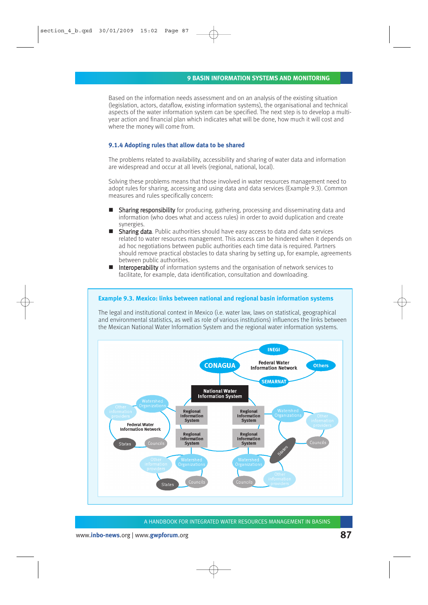Based on the information needs assessment and on an analysis of the existing situation (legislation, actors, dataflow, existing information systems), the organisational and technical aspects of the water information system can be specified. The next step is to develop a multiyear action and financial plan which indicates what will be done, how much it will cost and where the money will come from.

#### **9.1.4 Adopting rules that allow data to be shared**

The problems related to availability, accessibility and sharing of water data and information are widespread and occur at all levels (regional, national, local).

Solving these problems means that those involved in water resources management need to adopt rules for sharing, accessing and using data and data services (Example 9.3). Common measures and rules specifically concern:

- Sharing responsibility for producing, gathering, processing and disseminating data and information (who does what and access rules) in order to avoid duplication and create synergies.
- $\blacksquare$  Sharing data. Public authorities should have easy access to data and data services related to water resources management. This access can be hindered when it depends on ad hoc negotiations between public authorities each time data is required. Partners should remove practical obstacles to data sharing by setting up, for example, agreements between public authorities.
- **Interoperability** of information systems and the organisation of network services to facilitate, for example, data identification, consultation and downloading.

#### **Example 9.3. Mexico: links between national and regional basin information systems**

The legal and institutional context in Mexico (i.e. water law, laws on statistical, geographical and environmental statistics, as well as role of various institutions) influences the links between the Mexican National Water Information System and the regional water information systems.

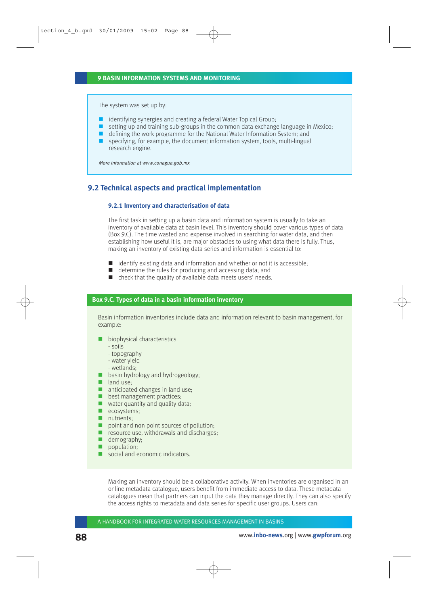The system was set up by:

- $\blacksquare$  identifying synergies and creating a federal Water Topical Group;
- $\Box$  setting up and training sub-groups in the common data exchange language in Mexico;
- $\blacksquare$  defining the work programme for the National Water Information System; and
- $\Box$  specifying, for example, the document information system, tools, multi-lingual research engine.

More information at www.conagua.gob.mx

## **9.2 Technical aspects and practical implementation**

#### **9.2.1 Inventory and characterisation of data**

The first task in setting up a basin data and information system is usually to take an inventory of available data at basin level. This inventory should cover various types of data (Box 9.C). The time wasted and expense involved in searching for water data, and then establishing how useful it is, are major obstacles to using what data there is fully. Thus, making an inventory of existing data series and information is essential to:

- $\blacksquare$  identify existing data and information and whether or not it is accessible;
- $\blacksquare$  determine the rules for producing and accessing data; and
- check that the quality of available data meets users' needs.

#### **Box 9.C. Types of data in a basin information inventory**

Basin information inventories include data and information relevant to basin management, for example:

- **biophysical characteristics** 
	- soils
	- topography
	- water yield
	- wetlands;
- **basin hydrology and hydrogeology;**
- $\blacksquare$  land use:
- anticipated changes in land use;
- **best management practices;**
- $\blacksquare$  water quantity and quality data;
- ecosystems;
- nutrients:
- point and non point sources of pollution;
- $\blacksquare$  resource use, withdrawals and discharges;
- **demography**:
- population:
- social and economic indicators.

Making an inventory should be a collaborative activity. When inventories are organised in an online metadata catalogue, users benefit from immediate access to data. These metadata catalogues mean that partners can input the data they manage directly. They can also specify the access rights to metadata and data series for specific user groups. Users can: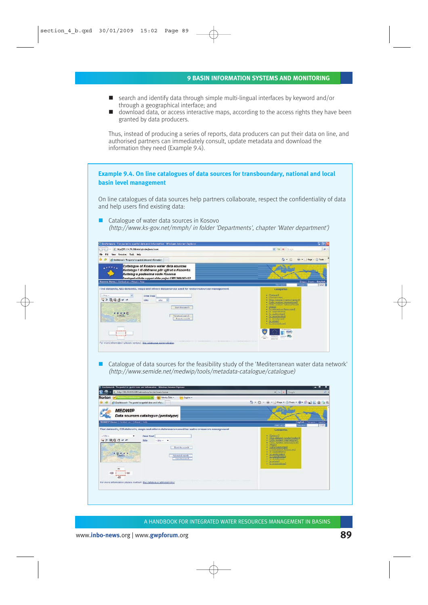#### **9 BASIN INFORMATION SYSTEMS AND MONITORING**

- search and identify data through simple multi-lingual interfaces by keyword and/or through a geographical interface; and
- download data, or access interactive maps, according to the access rights they have been granted by data producers.

Thus, instead of producing a series of reports, data producers can put their data on line, and authorised partners can immediately consult, update metadata and download the information they need (Example 9.4).

# **Example 9.4. On line catalogues of data sources for transboundary, national and local basin level management**

On line catalogues of data sources help partners collaborate, respect the confidentiality of data and help users find existing data:

■ Catalogue of water data sources in Kosovo (http://www.ks-gov.net/mmph/ in folder 'Departments', chapter 'Water department')



 Catalogue of data sources for the feasibility study of the 'Mediterranean water data network' (http://www.semide.net/medwip/tools/metadata-catalogue/catalogue)

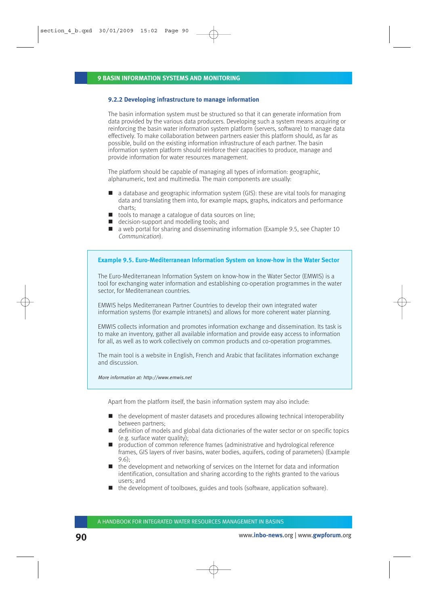#### **9.2.2 Developing infrastructure to manage information**

The basin information system must be structured so that it can generate information from data provided by the various data producers. Developing such a system means acquiring or reinforcing the basin water information system platform (servers, software) to manage data effectively. To make collaboration between partners easier this platform should, as far as possible, build on the existing information infrastructure of each partner. The basin information system platform should reinforce their capacities to produce, manage and provide information for water resources management.

The platform should be capable of managing all types of information: geographic, alphanumeric, text and multimedia. The main components are usually:

- $\Box$  a database and geographic information system (GIS): these are vital tools for managing data and translating them into, for example maps, graphs, indicators and performance charts;
- tools to manage a catalogue of data sources on line;
- decision-support and modelling tools: and
- $\blacksquare$  a web portal for sharing and disseminating information (Example 9.5, see Chapter 10 Communication).

#### **Example 9.5. Euro-Mediterranean Information System on know-how in the Water Sector**

The Euro-Mediterranean Information System on know-how in the Water Sector (EMWIS) is a tool for exchanging water information and establishing co-operation programmes in the water sector, for Mediterranean countries.

EMWIS helps Mediterranean Partner Countries to develop their own integrated water information systems (for example intranets) and allows for more coherent water planning.

EMWIS collects information and promotes information exchange and dissemination. Its task is to make an inventory, gather all available information and provide easy access to information for all, as well as to work collectively on common products and co-operation programmes.

The main tool is a website in English, French and Arabic that facilitates information exchange and discussion.

More information at: http://www.emwis.net

Apart from the platform itself, the basin information system may also include:

- $\blacksquare$  the development of master datasets and procedures allowing technical interoperability between partners;
- definition of models and global data dictionaries of the water sector or on specific topics (e.g. surface water quality);
- **P** production of common reference frames (administrative and hydrological reference frames, GIS layers of river basins, water bodies, aquifers, coding of parameters) (Example 9.6);
- $\blacksquare$  the development and networking of services on the Internet for data and information identification, consultation and sharing according to the rights granted to the various users; and
- $\blacksquare$  the development of toolboxes, guides and tools (software, application software).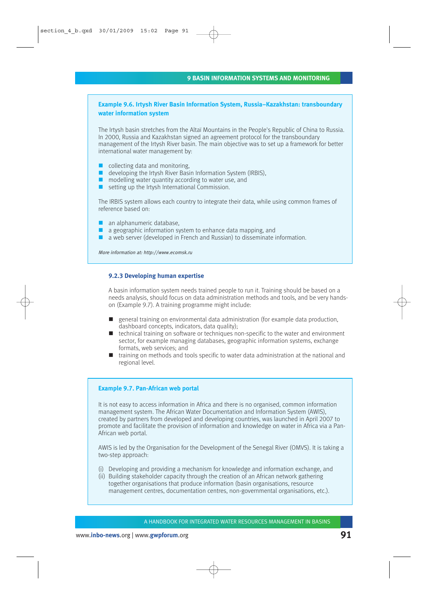## **Example 9.6. Irtysh River Basin Information System, Russia–Kazakhstan: transboundary water information system**

The Irtysh basin stretches from the Altaï Mountains in the People's Republic of China to Russia. In 2000, Russia and Kazakhstan signed an agreement protocol for the transboundary management of the Irtysh River basin. The main objective was to set up a framework for better international water management by:

- collecting data and monitoring.
- developing the Irtysh River Basin Information System (IRBIS),
- modelling water quantity according to water use, and
- $\blacksquare$  setting up the Irtysh International Commission.

The IRBIS system allows each country to integrate their data, while using common frames of reference based on:

- an alphanumeric database,
- a geographic information system to enhance data mapping, and
- a web server (developed in French and Russian) to disseminate information.

More information at: http://www.ecomsk.ru

### **9.2.3 Developing human expertise**

A basin information system needs trained people to run it. Training should be based on a needs analysis, should focus on data administration methods and tools, and be very handson (Example 9.7). A training programme might include:

- general training on environmental data administration (for example data production, dashboard concepts, indicators, data quality);
- $\blacksquare$  technical training on software or techniques non-specific to the water and environment sector, for example managing databases, geographic information systems, exchange formats, web services; and
- $\blacksquare$  training on methods and tools specific to water data administration at the national and regional level.

#### **Example 9.7. Pan-African web portal**

It is not easy to access information in Africa and there is no organised, common information management system. The African Water Documentation and Information System (AWIS), created by partners from developed and developing countries, was launched in April 2007 to promote and facilitate the provision of information and knowledge on water in Africa via a Pan-African web portal.

AWIS is led by the Organisation for the Development of the Senegal River (OMVS). It is taking a two-step approach:

- (i) Developing and providing a mechanism for knowledge and information exchange, and
- (ii) Building stakeholder capacity through the creation of an African network gathering together organisations that produce information (basin organisations, resource management centres, documentation centres, non-governmental organisations, etc.).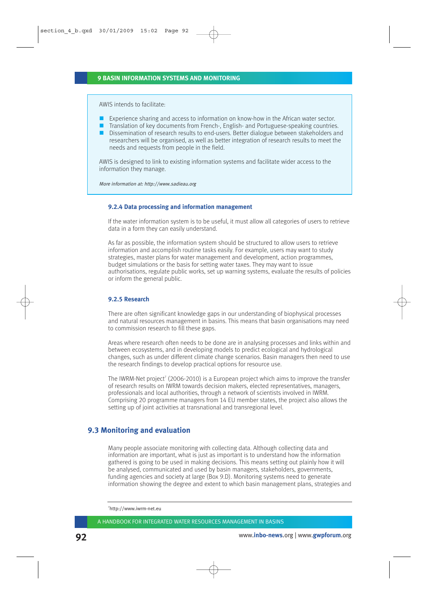AWIS intends to facilitate:

- **EXPERIEGE SHARING EXPERIENCES** TO information on know-how in the African water sector.
- Translation of key documents from French-, English- and Portuguese-speaking countries.
- Dissemination of research results to end-users. Better dialogue between stakeholders and researchers will be organised, as well as better integration of research results to meet the needs and requests from people in the field.

AWIS is designed to link to existing information systems and facilitate wider access to the information they manage.

More information at: http://www.sadieau.org

#### **9.2.4 Data processing and information management**

If the water information system is to be useful, it must allow all categories of users to retrieve data in a form they can easily understand.

As far as possible, the information system should be structured to allow users to retrieve information and accomplish routine tasks easily. For example, users may want to study strategies, master plans for water management and development, action programmes, budget simulations or the basis for setting water taxes. They may want to issue authorisations, regulate public works, set up warning systems, evaluate the results of policies or inform the general public.

#### **9.2.5 Research**

There are often significant knowledge gaps in our understanding of biophysical processes and natural resources management in basins. This means that basin organisations may need to commission research to fill these gaps.

Areas where research often needs to be done are in analysing processes and links within and between ecosystems, and in developing models to predict ecological and hydrological changes, such as under different climate change scenarios. Basin managers then need to use the research findings to develop practical options for resource use.

The IWRM-Net project<sup>7</sup> (2006-2010) is a European project which aims to improve the transfer of research results on IWRM towards decision makers, elected representatives, managers, professionals and local authorities, through a network of scientists involved in IWRM. Comprising 20 programme managers from 14 EU member states, the project also allows the setting up of joint activities at transnational and transregional level.

## **9.3 Monitoring and evaluation**

Many people associate monitoring with collecting data. Although collecting data and information are important, what is just as important is to understand how the information gathered is going to be used in making decisions. This means setting out plainly how it will be analysed, communicated and used by basin managers, stakeholders, governments, funding agencies and society at large (Box 9.D). Monitoring systems need to generate information showing the degree and extent to which basin management plans, strategies and

<sup>7</sup> http://www.iwrm-net.eu

A HANDBOOK FOR INTEGRATED WATER RESOURCES MANAGEMENT IN BASINS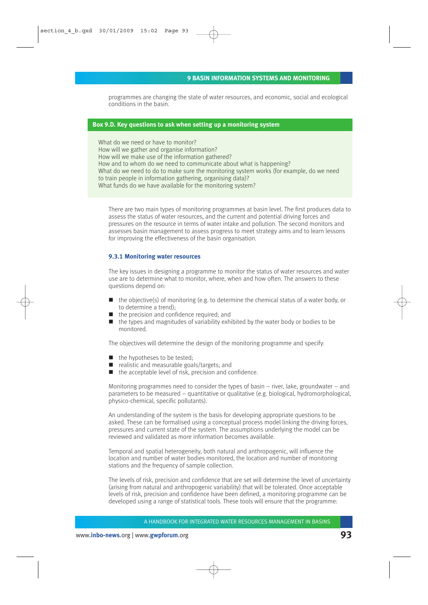programmes are changing the state of water resources, and economic, social and ecological conditions in the basin.

#### **Box 9.D. Key questions to ask when setting up a monitoring system**

What do we need or have to monitor? How will we gather and organise information? How will we make use of the information gathered? How and to whom do we need to communicate about what is happening? What do we need to do to make sure the monitoring system works (for example, do we need to train people in information gathering, organising data)? What funds do we have available for the monitoring system?

There are two main types of monitoring programmes at basin level. The first produces data to assess the status of water resources, and the current and potential driving forces and pressures on the resource in terms of water intake and pollution. The second monitors and assesses basin management to assess progress to meet strategy aims and to learn lessons for improving the effectiveness of the basin organisation.

#### **9.3.1 Monitoring water resources**

The key issues in designing a programme to monitor the status of water resources and water use are to determine what to monitor, where, when and how often. The answers to these questions depend on:

- $\blacksquare$  the objective(s) of monitoring (e.g. to determine the chemical status of a water body, or to determine a trend);
- the precision and confidence required; and
- $\blacksquare$  the types and magnitudes of variability exhibited by the water body or bodies to be monitored.

The objectives will determine the design of the monitoring programme and specify:

- $\blacksquare$  the hypotheses to be tested;
- realistic and measurable goals/targets; and
- $\blacksquare$  the acceptable level of risk, precision and confidence.

Monitoring programmes need to consider the types of basin – river, lake, groundwater – and parameters to be measured – quantitative or qualitative (e.g. biological, hydromorphological, physico-chemical, specific pollutants).

An understanding of the system is the basis for developing appropriate questions to be asked. These can be formalised using a conceptual process model linking the driving forces, pressures and current state of the system. The assumptions underlying the model can be reviewed and validated as more information becomes available.

Temporal and spatial heterogeneity, both natural and anthropogenic, will influence the location and number of water bodies monitored, the location and number of monitoring stations and the frequency of sample collection.

The levels of risk, precision and confidence that are set will determine the level of uncertainty (arising from natural and anthropogenic variability) that will be tolerated. Once acceptable levels of risk, precision and confidence have been defined, a monitoring programme can be developed using a range of statistical tools. These tools will ensure that the programme: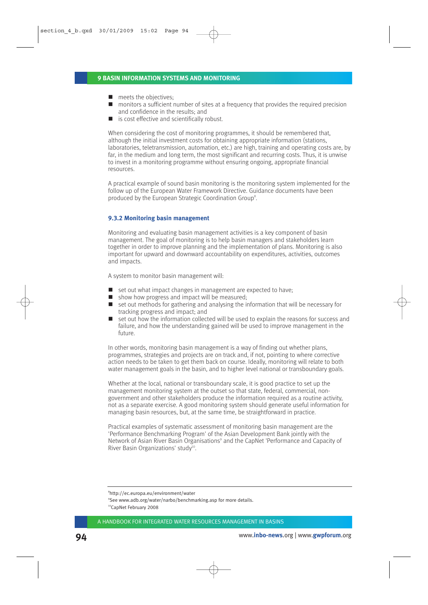- $\blacksquare$  meets the objectives:
- monitors a sufficient number of sites at a frequency that provides the required precision and confidence in the results; and
- is cost effective and scientifically robust.

When considering the cost of monitoring programmes, it should be remembered that, although the initial investment costs for obtaining appropriate information (stations, laboratories, teletransmission, automation, etc.) are high, training and operating costs are, by far, in the medium and long term, the most significant and recurring costs. Thus, it is unwise to invest in a monitoring programme without ensuring ongoing, appropriate financial resources.

A practical example of sound basin monitoring is the monitoring system implemented for the follow up of the European Water Framework Directive. Guidance documents have been produced by the European Strategic Coordination Group<sup>8</sup>.

#### **9.3.2 Monitoring basin management**

Monitoring and evaluating basin management activities is a key component of basin management. The goal of monitoring is to help basin managers and stakeholders learn together in order to improve planning and the implementation of plans. Monitoring is also important for upward and downward accountability on expenditures, activities, outcomes and impacts.

A system to monitor basin management will:

- set out what impact changes in management are expected to have:
- $\blacksquare$  show how progress and impact will be measured;
- $\blacksquare$  set out methods for gathering and analysing the information that will be necessary for tracking progress and impact; and
- set out how the information collected will be used to explain the reasons for success and failure, and how the understanding gained will be used to improve management in the future.

In other words, monitoring basin management is a way of finding out whether plans, programmes, strategies and projects are on track and, if not, pointing to where corrective action needs to be taken to get them back on course. Ideally, monitoring will relate to both water management goals in the basin, and to higher level national or transboundary goals.

Whether at the local, national or transboundary scale, it is good practice to set up the management monitoring system at the outset so that state, federal, commercial, nongovernment and other stakeholders produce the information required as a routine activity, not as a separate exercise. A good monitoring system should generate useful information for managing basin resources, but, at the same time, be straightforward in practice.

Practical examples of systematic assessment of monitoring basin management are the 'Performance Benchmarking Program' of the Asian Development Bank jointly with the Network of Asian River Basin Organisations<sup>9</sup> and the CapNet 'Performance and Capacity of River Basin Organizations' study<sup>10</sup>.

<sup>8</sup> http://ec.europa.eu/environment/water

<sup>9</sup> See www.adb.org/water/narbo/benchmarking.asp for more details.

<sup>10</sup>CapNet February 2008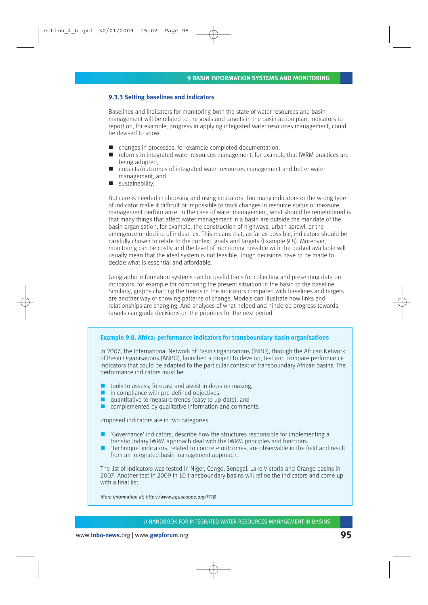#### **9.3.3 Setting baselines and indicators**

Baselines and indicators for monitoring both the state of water resources and basin management will be related to the goals and targets in the basin action plan. Indicators to report on, for example, progress in applying integrated water resources management, could be devised to show:

- $\blacksquare$  changes in processes, for example completed documentation,
- $\blacksquare$  reforms in integrated water resources management, for example that IWRM practices are being adopted,
- impacts/outcomes of integrated water resources management and better water management, and
- sustainability.

But care is needed in choosing and using indicators. Too many indicators or the wrong type of indicator make it difficult or impossible to track changes in resource status or measure management performance. In the case of water management, what should be remembered is that many things that affect water management in a basin are outside the mandate of the basin organisation, for example, the construction of highways, urban sprawl, or the emergence or decline of industries. This means that, as far as possible, indicators should be carefully chosen to relate to the context, goals and targets (Example 9.8). Moreover, monitoring can be costly and the level of monitoring possible with the budget available will usually mean that the ideal system is not feasible. Tough decisions have to be made to decide what is essential and affordable.

Geographic information systems can be useful tools for collecting and presenting data on indicators, for example for comparing the present situation in the basin to the baseline. Similarly, graphs charting the trends in the indicators compared with baselines and targets are another way of showing patterns of change. Models can illustrate how links and relationships are changing. And analyses of what helped and hindered progress towards targets can guide decisions on the priorities for the next period.

#### **Example 9.8. Africa: performance indicators for transboundary basin organisations**

In 2007, the International Network of Basin Organizations (INBO), through the African Network of Basin Organisations (ANBO), launched a project to develop, test and compare performance indicators that could be adapted to the particular context of transboundary African basins. The performance indicators must be:

- $\blacksquare$  tools to assess, forecast and assist in decision making.
- $\blacksquare$  in compliance with pre-defined objectives,
- quantitative to measure trends (easy to up-date), and
- complemented by qualitative information and comments.

Proposed indicators are in two categories:

- 'Governance' indicators, describe how the structures responsible for implementing a transboundary IWRM approach deal with the IWRM principles and functions.
- 'Technique' indicators, related to concrete outcomes, are observable in the field and result from an integrated basin management approach.

The list of indicators was tested in Niger, Congo, Senegal, Lake Victoria and Orange basins in 2007. Another test in 2009 in 10 transboundary basins will refine the indicators and come up with a final list.

More information at: http://www.aquacoope.org/PITB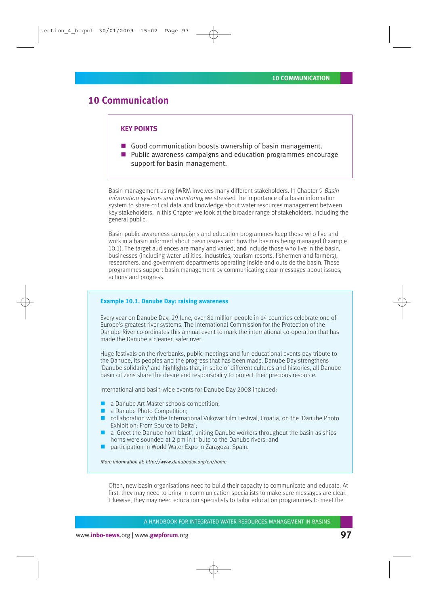# **10 Communication**

### **KEY POINTS**

- Good communication boosts ownership of basin management.
- **Public awareness campaigns and education programmes encourage** support for basin management.

Basin management using IWRM involves many different stakeholders. In Chapter 9 Basin information systems and monitoring we stressed the importance of a basin information system to share critical data and knowledge about water resources management between key stakeholders. In this Chapter we look at the broader range of stakeholders, including the general public.

Basin public awareness campaigns and education programmes keep those who live and work in a basin informed about basin issues and how the basin is being managed (Example 10.1). The target audiences are many and varied, and include those who live in the basin, businesses (including water utilities, industries, tourism resorts, fishermen and farmers), researchers, and government departments operating inside and outside the basin. These programmes support basin management by communicating clear messages about issues, actions and progress.

#### **Example 10.1. Danube Day: raising awareness**

Every year on Danube Day, 29 June, over 81 million people in 14 countries celebrate one of Europe's greatest river systems. The International Commission for the Protection of the Danube River co-ordinates this annual event to mark the international co-operation that has made the Danube a cleaner, safer river.

Huge festivals on the riverbanks, public meetings and fun educational events pay tribute to the Danube, its peoples and the progress that has been made. Danube Day strengthens 'Danube solidarity' and highlights that, in spite of different cultures and histories, all Danube basin citizens share the desire and responsibility to protect their precious resource.

International and basin-wide events for Danube Day 2008 included:

- **a** a Danube Art Master schools competition:
- a Danube Photo Competition:
- **E** collaboration with the International Vukovar Film Festival, Croatia, on the 'Danube Photo' Exhibition: From Source to Delta';
- $\Box$  a 'Greet the Danube horn blast', uniting Danube workers throughout the basin as ships horns were sounded at 2 pm in tribute to the Danube rivers; and
- participation in World Water Expo in Zaragoza, Spain.

More information at: http://www.danubeday.org/en/home

Often, new basin organisations need to build their capacity to communicate and educate. At first, they may need to bring in communication specialists to make sure messages are clear. Likewise, they may need education specialists to tailor education programmes to meet the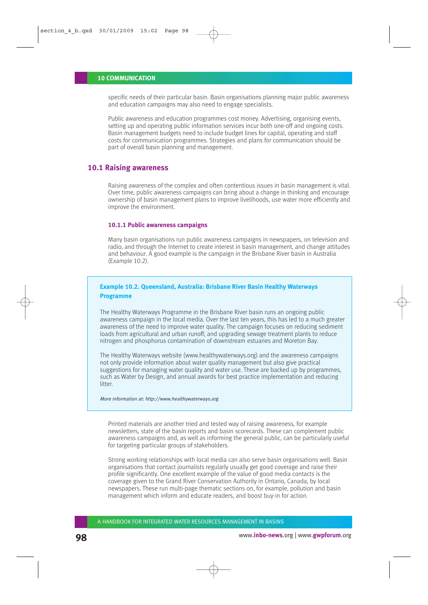specific needs of their particular basin. Basin organisations planning major public awareness and education campaigns may also need to engage specialists.

Public awareness and education programmes cost money. Advertising, organising events, setting up and operating public information services incur both one-off and ongoing costs. Basin management budgets need to include budget lines for capital, operating and staff costs for communication programmes. Strategies and plans for communication should be part of overall basin planning and management.

## **10.1 Raising awareness**

Raising awareness of the complex and often contentious issues in basin management is vital. Over time, public awareness campaigns can bring about a change in thinking and encourage ownership of basin management plans to improve livelihoods, use water more efficiently and improve the environment.

#### **10.1.1 Public awareness campaigns**

Many basin organisations run public awareness campaigns in newspapers, on television and radio, and through the Internet to create interest in basin management, and change attitudes and behaviour. A good example is the campaign in the Brisbane River basin in Australia (Example 10.2).

#### **Example 10.2. Queensland, Australia: Brisbane River Basin Healthy Waterways Programme**

The Healthy Waterways Programme in the Brisbane River basin runs an ongoing public awareness campaign in the local media. Over the last ten years, this has led to a much greater awareness of the need to improve water quality. The campaign focuses on reducing sediment loads from agricultural and urban runoff, and upgrading sewage treatment plants to reduce nitrogen and phosphorus contamination of downstream estuaries and Moreton Bay.

The Healthy Waterways website (www.healthywaterways.org) and the awareness campaigns not only provide information about water quality management but also give practical suggestions for managing water quality and water use. These are backed up by programmes, such as Water by Design, and annual awards for best practice implementation and reducing litter.

#### More information at: http://www.healthywaterways.org

Printed materials are another tried and tested way of raising awareness, for example newsletters, state of the basin reports and basin scorecards. These can complement public awareness campaigns and, as well as informing the general public, can be particularly useful for targeting particular groups of stakeholders.

Strong working relationships with local media can also serve basin organisations well. Basin organisations that contact journalists regularly usually get good coverage and raise their profile significantly. One excellent example of the value of good media contacts is the coverage given to the Grand River Conservation Authority in Ontario, Canada, by local newspapers. These run multi-page thematic sections on, for example, pollution and basin management which inform and educate readers, and boost buy-in for action.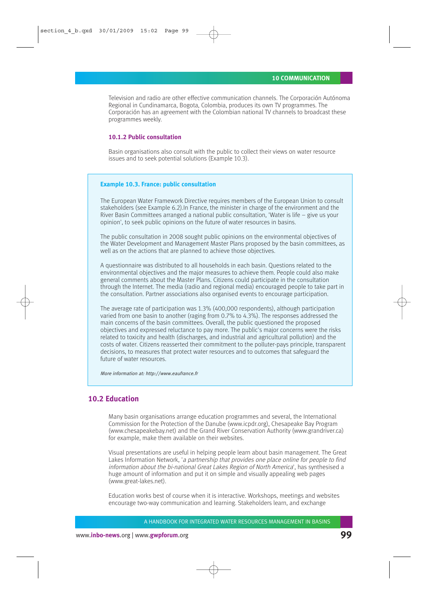Television and radio are other effective communication channels. The Corporación Autónoma Regional in Cundinamarca, Bogota, Colombia, produces its own TV programmes. The Corporación has an agreement with the Colombian national TV channels to broadcast these programmes weekly.

#### **10.1.2 Public consultation**

Basin organisations also consult with the public to collect their views on water resource issues and to seek potential solutions (Example 10.3).

#### **Example 10.3. France: public consultation**

The European Water Framework Directive requires members of the European Union to consult stakeholders (see Example 6.2).In France, the minister in charge of the environment and the River Basin Committees arranged a national public consultation, 'Water is life  $-$  give us your opinion', to seek public opinions on the future of water resources in basins.

The public consultation in 2008 sought public opinions on the environmental objectives of the Water Development and Management Master Plans proposed by the basin committees, as well as on the actions that are planned to achieve those objectives.

A questionnaire was distributed to all households in each basin. Questions related to the environmental objectives and the major measures to achieve them. People could also make general comments about the Master Plans. Citizens could participate in the consultation through the Internet. The media (radio and regional media) encouraged people to take part in the consultation. Partner associations also organised events to encourage participation.

The average rate of participation was 1.3% (400,000 respondents), although participation varied from one basin to another (raging from 0.7% to 4.3%). The responses addressed the main concerns of the basin committees. Overall, the public questioned the proposed objectives and expressed reluctance to pay more. The public's major concerns were the risks related to toxicity and health (discharges, and industrial and agricultural pollution) and the costs of water. Citizens reasserted their commitment to the polluter-pays principle, transparent decisions, to measures that protect water resources and to outcomes that safeguard the future of water resources.

More information at: http://www.eaufrance.fr

## **10.2 Education**

Many basin organisations arrange education programmes and several, the International Commission for the Protection of the Danube (www.icpdr.org), Chesapeake Bay Program (www.chesapeakebay.net) and the Grand River Conservation Authority (www.grandriver.ca) for example, make them available on their websites.

Visual presentations are useful in helping people learn about basin management. The Great Lakes Information Network, 'a partnership that provides one place online for people to find information about the bi-national Great Lakes Region of North America', has synthesised a huge amount of information and put it on simple and visually appealing web pages (www.great-lakes.net).

Education works best of course when it is interactive. Workshops, meetings and websites encourage two-way communication and learning. Stakeholders learn, and exchange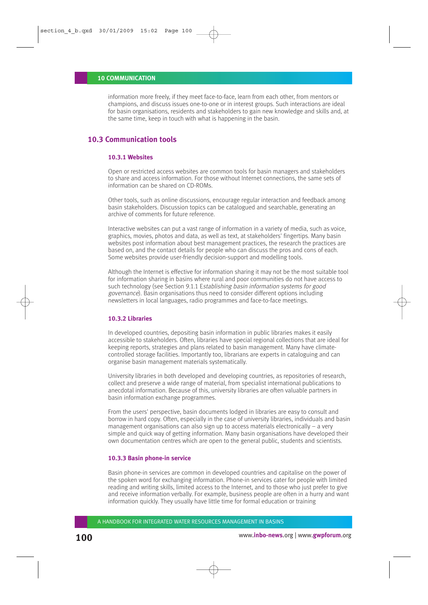#### **10 COMMUNICATION**

information more freely, if they meet face-to-face, learn from each other, from mentors or champions, and discuss issues one-to-one or in interest groups. Such interactions are ideal for basin organisations, residents and stakeholders to gain new knowledge and skills and, at the same time, keep in touch with what is happening in the basin.

# **10.3 Communication tools**

### **10.3.1 Websites**

Open or restricted access websites are common tools for basin managers and stakeholders to share and access information. For those without Internet connections, the same sets of information can be shared on CD-ROMs.

Other tools, such as online discussions, encourage regular interaction and feedback among basin stakeholders. Discussion topics can be catalogued and searchable, generating an archive of comments for future reference.

Interactive websites can put a vast range of information in a variety of media, such as voice, graphics, movies, photos and data, as well as text, at stakeholders' fingertips. Many basin websites post information about best management practices, the research the practices are based on, and the contact details for people who can discuss the pros and cons of each. Some websites provide user-friendly decision-support and modelling tools.

Although the Internet is effective for information sharing it may not be the most suitable tool for information sharing in basins where rural and poor communities do not have access to such technology (see Section 9.1.1 Establishing basin information systems for good governance). Basin organisations thus need to consider different options including newsletters in local languages, radio programmes and face-to-face meetings.

#### **10.3.2 Libraries**

In developed countries, depositing basin information in public libraries makes it easily accessible to stakeholders. Often, libraries have special regional collections that are ideal for keeping reports, strategies and plans related to basin management. Many have climatecontrolled storage facilities. Importantly too, librarians are experts in cataloguing and can organise basin management materials systematically.

University libraries in both developed and developing countries, as repositories of research, collect and preserve a wide range of material, from specialist international publications to anecdotal information. Because of this, university libraries are often valuable partners in basin information exchange programmes.

From the users' perspective, basin documents lodged in libraries are easy to consult and borrow in hard copy. Often, especially in the case of university libraries, individuals and basin management organisations can also sign up to access materials electronically – a very simple and quick way of getting information. Many basin organisations have developed their own documentation centres which are open to the general public, students and scientists.

#### **10.3.3 Basin phone-in service**

Basin phone-in services are common in developed countries and capitalise on the power of the spoken word for exchanging information. Phone-in services cater for people with limited reading and writing skills, limited access to the Internet, and to those who just prefer to give and receive information verbally. For example, business people are often in a hurry and want information quickly. They usually have little time for formal education or training

A HANDBOOK FOR INTEGRATED WATER RESOURCES MANAGEMENT IN BASINS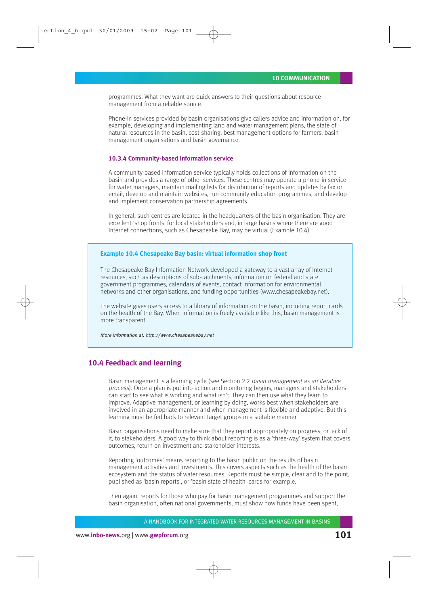programmes. What they want are quick answers to their questions about resource management from a reliable source.

Phone-in services provided by basin organisations give callers advice and information on, for example, developing and implementing land and water management plans, the state of natural resources in the basin, cost-sharing, best management options for farmers, basin management organisations and basin governance.

#### **10.3.4 Community-based information service**

A community-based information service typically holds collections of information on the basin and provides a range of other services. These centres may operate a phone-in service for water managers, maintain mailing lists for distribution of reports and updates by fax or email, develop and maintain websites, run community education programmes, and develop and implement conservation partnership agreements.

In general, such centres are located in the headquarters of the basin organisation. They are excellent 'shop fronts' for local stakeholders and, in large basins where there are good Internet connections, such as Chesapeake Bay, may be virtual (Example 10.4).

#### **Example 10.4 Chesapeake Bay basin: virtual information shop front**

The Chesapeake Bay Information Network developed a gateway to a vast array of Internet resources, such as descriptions of sub-catchments, information on federal and state government programmes, calendars of events, contact information for environmental networks and other organisations, and funding opportunities (www.chesapeakebay.net).

The website gives users access to a library of information on the basin, including report cards on the health of the Bay. When information is freely available like this, basin management is more transparent.

More information at: http://www.chesapeakebay.net

## **10.4 Feedback and learning**

Basin management is a learning cycle (see Section 2.2 Basin management as an iterative process). Once a plan is put into action and monitoring begins, managers and stakeholders can start to see what is working and what isn't. They can then use what they learn to improve. Adaptive management, or learning by doing, works best when stakeholders are involved in an appropriate manner and when management is flexible and adaptive. But this learning must be fed back to relevant target groups in a suitable manner.

Basin organisations need to make sure that they report appropriately on progress, or lack of it, to stakeholders. A good way to think about reporting is as a 'three-way' system that covers outcomes, return on investment and stakeholder interests.

Reporting 'outcomes' means reporting to the basin public on the results of basin management activities and investments. This covers aspects such as the health of the basin ecosystem and the status of water resources. Reports must be simple, clear and to the point, published as 'basin reports', or 'basin state of health' cards for example.

Then again, reports for those who pay for basin management programmes and support the basin organisation, often national governments, must show how funds have been spent,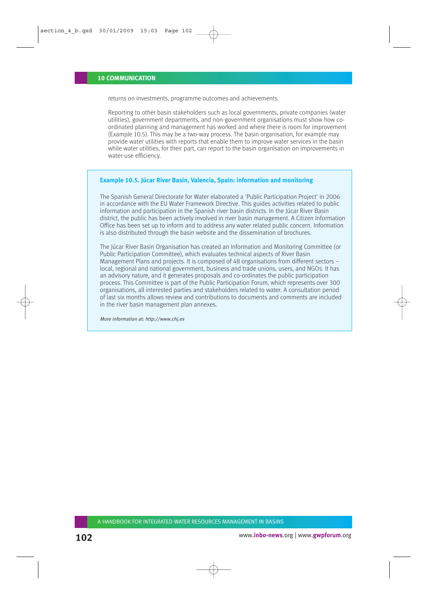returns on investments, programme outcomes and achievements.

Reporting to other basin stakeholders such as local governments, private companies (water utilities), government departments, and non-government organisations must show how coordinated planning and management has worked and where there is room for improvement (Example 10.5). This may be a two-way process. The basin organisation, for example may provide water utilities with reports that enable them to improve water services in the basin while water utilities, for their part, can report to the basin organisation on improvements in water-use efficiency.

#### **Example 10.5. Júcar River Basin, Valencia, Spain: information and monitoring**

The Spanish General Directorate for Water elaborated a 'Public Participation Project' in 2006 in accordance with the EU Water Framework Directive. This guides activities related to public information and participation in the Spanish river basin districts. In the Júcar River Basin district, the public has been actively involved in river basin management. A Citizen Information Office has been set up to inform and to address any water related public concern. Information is also distributed through the basin website and the dissemination of brochures.

The Júcar River Basin Organisation has created an Information and Monitoring Committee (or Public Participation Committee), which evaluates technical aspects of River Basin Management Plans and projects. It is composed of 48 organisations from different sectors – local, regional and national government, business and trade unions, users, and NGOs. It has an advisory nature, and it generates proposals and co-ordinates the public participation process. This Committee is part of the Public Participation Forum, which represents over 300 organisations, all interested parties and stakeholders related to water. A consultation period of last six months allows review and contributions to documents and comments are included in the river basin management plan annexes.

More information at: http://www.chj.es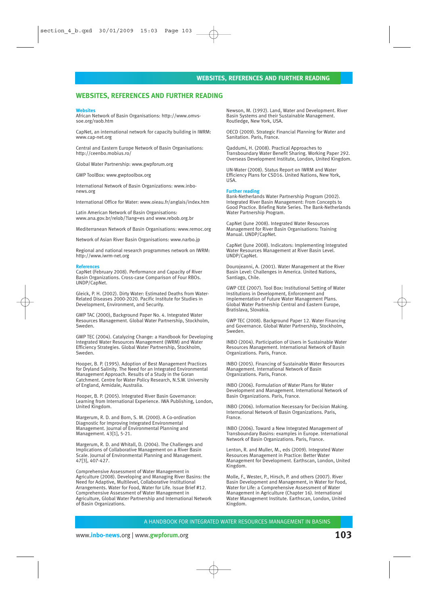#### **WEBSITES, REFERENCES AND FURTHER READING**

#### **Websites**

African Network of Basin Organisations: http://www.omvssoe.org/raob.htm

CapNet, an international network for capacity building in IWRM: www.cap-net.org

Central and Eastern Europe Network of Basin Organisations: http://ceenbo.mobius.ro/

Global Water Partnership: www.gwpforum.org

GWP ToolBox: www.gwptoolbox.org

International Network of Basin Organizations: www.inbonews.org

International Office for Water: www.oieau.fr/anglais/index.htm

Latin American Network of Basin Organisations: www.ana.gov.br/relob/?lang=es and www.rebob.org.br

Mediterranean Network of Basin Organisations: www.remoc.org

Network of Asian River Basin Organisations: www.narbo.jp

Regional and national research programmes network on IWRM: http://www.iwrm-net.org

#### **References**

CapNet (February 2008). Performance and Capacity of River Basin Organizations. Cross-case Comparison of Four RBOs. UNDP/CapNet.

Gleick, P. H. (2002). Dirty Water: Estimated Deaths from Water-Related Diseases 2000-2020. Pacific Institute for Studies in Development, Environment, and Security.

GWP TAC (2000), Background Paper No. 4. Integrated Water Resources Management. Global Water Partnership, Stockholm, Sweden.

GWP TEC (2004). Catalyzing Change: a Handbook for Developing Integrated Water Resources Management (IWRM) and Water Efficiency Strategies. Global Water Partnership, Stockholm, Sweden.

Hooper, B. P. (1995). Adoption of Best Management Practices for Dryland Salinity. The Need for an Integrated Environmental Management Approach. Results of a Study in the Goran Catchment. Centre for Water Policy Research, N.S.W. University of England, Armidale, Australia.

Hooper, B. P. (2005). Integrated River Basin Governance: Learning from International Experience. IWA Publishing, London, United Kingdom.

Margerum, R. D. and Born, S. M. (2000). A Co-ordination Diagnostic for Improving Integrated Environmental Management. Journal of Environmental Planning and Management. 43[1], 5-21.

Margerum, R. D. and Whitall, D. (2004). The Challenges and Implications of Collaborative Management on a River Basin Scale. Journal of Environmental Planning and Management. 47[3], 407-427.

Comprehensive Assessment of Water Management in Agriculture (2008). Developing and Managing River Basins: the Need for Adaptive, Multilevel, Collaborative Institutional Arrangements. Water for Food, Water for Life. Issue Brief #12. Comprehensive Assessment of Water Management in Agriculture, Global Water Partnership and International Network of Basin Organizations.

Newson, M. (1992). Land, Water and Development. River Basin Systems and their Sustainable Management. Routledge, New York, USA.

OECD (2009). Strategic Financial Planning for Water and Sanitation. Paris, France.

Qaddumi, H. (2008). Practical Approaches to Transboundary Water Benefit Sharing. Working Paper 292. Overseas Development Institute, London, United Kingdom.

UN-Water (2008). Status Report on IWRM and Water Efficiency Plans for CSD16. United Nations, New York, USA.

#### **Further reading**

Bank-Netherlands Water Partnership Program (2002). Integrated River Basin Management: From Concepts to Good Practice. Briefing Note Series. The Bank-Netherlands Water Partnership Program.

CapNet (June 2008). Integrated Water Resources Management for River Basin Organisations: Training Manual. UNDP/CapNet.

CapNet (June 2008). Indicators: Implementing Integrated Water Resources Management at River Basin Level. UNDP/CapNet.

Dourojeanni, A. (2001). Water Management at the River Basin Level: Challenges in America. United Nations, Santiago, Chile.

GWP CEE (2007). Tool Box: Institutional Setting of Water Institutions in Development, Enforcement and Implementation of Future Water Management Plans. Global Water Partnership Central and Eastern Europe, Bratislava, Slovakia.

GWP TEC (2008). Background Paper 12. Water Financing and Governance. Global Water Partnership, Stockholm, Sweden.

INBO (2004). Participation of Users in Sustainable Water Resources Management. International Network of Basin Organizations. Paris, France.

INBO (2005). Financing of Sustainable Water Resources **Management.** International Network of Basin Organizations. Paris, France.

INBO (2006). Formulation of Water Plans for Water Development and Management. International Network of Basin Organizations. Paris, France.

INBO (2006). Information Necessary for Decision Making. International Network of Basin Organizations. Paris, France.

INBO (2006). Toward a New Integrated Management of Transboundary Basins: examples in Europe. International Network of Basin Organizations. Paris, France.

Lenton, R. and Muller, M., eds (2009). Integrated Water Resources Management in Practice: Better Water Management for Development. Earthscan, London, United Kingdom.

Molle, F., Wester, P., Hirsch, P. and others (2007). River Basin Development and Management, in Water for Food, Water for Life: a Comprehensive Assessment of Water Management in Agriculture (Chapter 16). International Water Management Institute. Earthscan, London, United Kingdom.